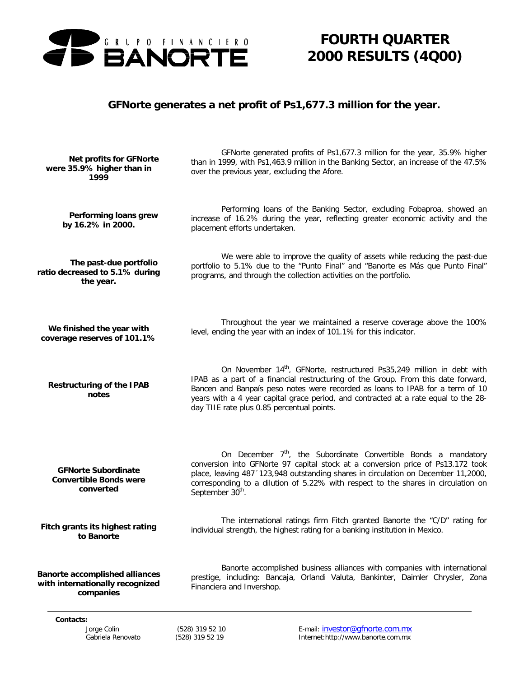

*FOURTH QUARTER 2000 RESULTS (4Q00)*

## *GFNorte generates a net profit of Ps1,677.3 million for the year.*

| Performing loans grew<br>by 16.2% in 2000.                               | Performing loans of the Banking Sector, excluding Fobaproa, showed an<br>increase of 16.2% during the year, reflecting greater economic activity and the<br>placement efforts undertaken.                                                                                                                                                                                                     |
|--------------------------------------------------------------------------|-----------------------------------------------------------------------------------------------------------------------------------------------------------------------------------------------------------------------------------------------------------------------------------------------------------------------------------------------------------------------------------------------|
| The past-due portfolio                                                   | We were able to improve the quality of assets while reducing the past-due                                                                                                                                                                                                                                                                                                                     |
| ratio decreased to 5.1% during                                           | portfolio to 5.1% due to the "Punto Final" and "Banorte es Más que Punto Final"                                                                                                                                                                                                                                                                                                               |
| the year.                                                                | programs, and through the collection activities on the portfolio.                                                                                                                                                                                                                                                                                                                             |
| We finished the year with                                                | Throughout the year we maintained a reserve coverage above the 100%                                                                                                                                                                                                                                                                                                                           |
| coverage reserves of 101.1%                                              | level, ending the year with an index of 101.1% for this indicator.                                                                                                                                                                                                                                                                                                                            |
| <b>Restructuring of the IPAB</b><br>notes                                | On November 14 <sup>th</sup> , GFNorte, restructured Ps35,249 million in debt with<br>IPAB as a part of a financial restructuring of the Group. From this date forward,<br>Bancen and Banpaís peso notes were recorded as loans to IPAB for a term of 10<br>years with a 4 year capital grace period, and contracted at a rate equal to the 28-<br>day TIIE rate plus 0.85 percentual points. |
| <b>GFNorte Subordinate</b><br><b>Convertible Bonds were</b><br>converted | On December $7th$ , the Subordinate Convertible Bonds a mandatory<br>conversion into GFNorte 97 capital stock at a conversion price of Ps13.172 took<br>place, leaving 487 '123,948 outstanding shares in circulation on December 11,2000,<br>corresponding to a dilution of 5.22% with respect to the shares in circulation on<br>September 30 <sup>th</sup> .                               |
| Fitch grants its highest rating                                          | The international ratings firm Fitch granted Banorte the "C/D" rating for                                                                                                                                                                                                                                                                                                                     |
| to Banorte                                                               | individual strength, the highest rating for a banking institution in Mexico.                                                                                                                                                                                                                                                                                                                  |
| <b>Banorte accomplished alliances</b>                                    | Banorte accomplished business alliances with companies with international                                                                                                                                                                                                                                                                                                                     |
| with internationally recognized                                          | prestige, including: Bancaja, Orlandi Valuta, Bankinter, Daimler Chrysler, Zona                                                                                                                                                                                                                                                                                                               |
| companies                                                                | Financiera and Invershop.                                                                                                                                                                                                                                                                                                                                                                     |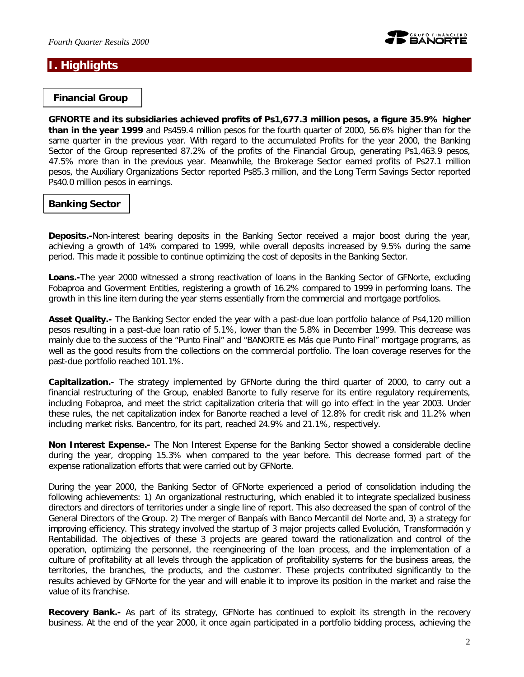

## **I. Highlights**

#### *Financial Group*

**GFNORTE and its subsidiaries achieved profits of Ps1,677.3 million pesos, a figure 35.9% higher than in the year 1999** and Ps459.4 million pesos for the fourth quarter of 2000, 56.6% higher than for the same quarter in the previous year. With regard to the accumulated Profits for the year 2000, the Banking Sector of the Group represented 87.2% of the profits of the Financial Group, generating Ps1,463.9 pesos, 47.5% more than in the previous year. Meanwhile, the Brokerage Sector earned profits of Ps27.1 million pesos, the Auxiliary Organizations Sector reported Ps85.3 million, and the Long Term Savings Sector reported Ps40.0 million pesos in earnings.

### *Banking Sector*

*Deposits.-*Non-interest bearing deposits in the Banking Sector received a major boost during the year, achieving a growth of 14% compared to 1999, while overall deposits increased by 9.5% during the same period. This made it possible to continue optimizing the cost of deposits in the Banking Sector.

*Loans.-*The year 2000 witnessed a strong reactivation of loans in the Banking Sector of GFNorte, excluding Fobaproa and Goverment Entities, registering a growth of 16.2% compared to 1999 in performing loans. The growth in this line item during the year stems essentially from the commercial and mortgage portfolios.

*Asset Quality.-* The Banking Sector ended the year with a past-due loan portfolio balance of Ps4,120 million pesos resulting in a past-due loan ratio of 5.1%, lower than the 5.8% in December 1999. This decrease was mainly due to the success of the "Punto Final" and "BANORTE es Más que Punto Final" mortgage programs, as well as the good results from the collections on the commercial portfolio. The loan coverage reserves for the past-due portfolio reached 101.1%.

*Capitalization.-* The strategy implemented by GFNorte during the third quarter of 2000, to carry out a financial restructuring of the Group, enabled Banorte to fully reserve for its entire regulatory requirements, including Fobaproa, and meet the strict capitalization criteria that will go into effect in the year 2003. Under these rules, the net capitalization index for Banorte reached a level of 12.8% for credit risk and 11.2% when including market risks. Bancentro, for its part, reached 24.9% and 21.1%, respectively.

*Non Interest Expense.-* The Non Interest Expense for the Banking Sector showed a considerable decline during the year, dropping 15.3% when compared to the year before. This decrease formed part of the expense rationalization efforts that were carried out by GFNorte.

During the year 2000, the Banking Sector of GFNorte experienced a period of consolidation including the following achievements: 1) An organizational restructuring, which enabled it to integrate specialized business directors and directors of territories under a single line of report. This also decreased the span of control of the General Directors of the Group. 2) The merger of Banpaís with Banco Mercantil del Norte and, 3) a strategy for improving efficiency. This strategy involved the startup of 3 major projects called Evolución, Transformación y Rentabilidad. The objectives of these 3 projects are geared toward the rationalization and control of the operation, optimizing the personnel, the reengineering of the loan process, and the implementation of a culture of profitability at all levels through the application of profitability systems for the business areas, the territories, the branches, the products, and the customer. These projects contributed significantly to the results achieved by GFNorte for the year and will enable it to improve its position in the market and raise the value of its franchise.

**Recovery Bank.-** As part of its strategy, GFNorte has continued to exploit its strength in the recovery business. At the end of the year 2000, it once again participated in a portfolio bidding process, achieving the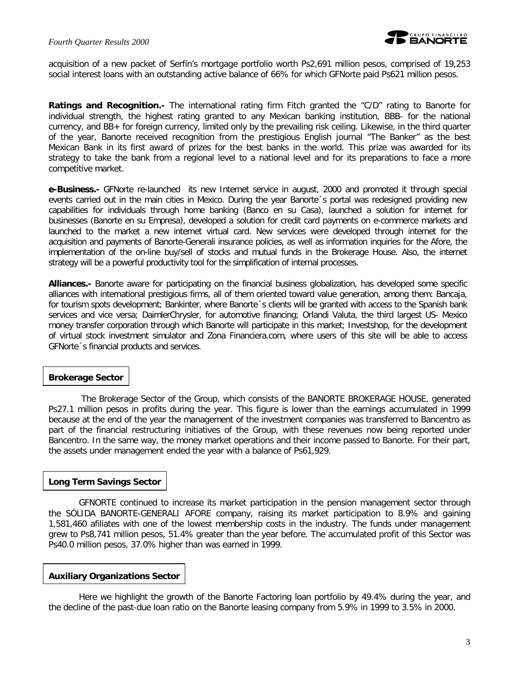

acquisition of a new packet of Serfín's mortgage portfolio worth Ps2,691 million pesos, comprised of 19,253 social interest loans with an outstanding active balance of 66% for which GFNorte paid Ps621 million pesos.

*Ratings and Recognition.-* The international rating firm Fitch granted the "C/D" rating to Banorte for individual strength, the highest rating granted to any Mexican banking institution, BBB- for the national currency, and BB+ for foreign currency, limited only by the prevailing risk ceiling. Likewise, in the third quarter of the year, Banorte received recognition from the prestigious English journal "The Banker" as the best Mexican Bank in its first award of prizes for the best banks in the world. This prize was awarded for its strategy to take the bank from a regional level to a national level and for its preparations to face a more competitive market.

*e-Business.-* GFNorte re-launched its new Internet service in august, 2000 and promoted it through special events carried out in the main cities in Mexico. During the year Banorte´s portal was redesigned providing new capabilities for individuals through home banking (Banco en su Casa), launched a solution for internet for businesses (Banorte en su Empresa), developed a solution for credit card payments on e-commerce markets and launched to the market a new internet virtual card. New services were developed through internet for the acquisition and payments of Banorte-Generali insurance policies, as well as information inquiries for the Afore, the implementation of the on-line buy/sell of stocks and mutual funds in the Brokerage House. Also, the internet strategy will be a powerful productivity tool for the simplification of internal processes.

*Alliances.-* Banorte aware for participating on the financial business globalization, has developed some specific alliances with international prestigious firms, all of them oriented toward value generation, among them: Bancaja, for tourism spots development; Bankinter, where Banorte´s clients will be granted with access to the Spanish bank services and vice versa; DaimlerChrysler, for automotive financing; Orlandi Valuta, the third largest US- Mexico money transfer corporation through which Banorte will participate in this market; Investshop, for the development of virtual stock investment simulator and Zona Financiera.com, where users of this site will be able to access GFNorte´s financial products and services.

#### *Brokerage Sector*

The Brokerage Sector of the Group, which consists of the BANORTE BROKERAGE HOUSE, generated Ps27.1 million pesos in profits during the year. This figure is lower than the earnings accumulated in 1999 because at the end of the year the management of the investment companies was transferred to Bancentro as part of the financial restructuring initiatives of the Group, with these revenues now being reported under Bancentro. In the same way, the money market operations and their income passed to Banorte. For their part, the assets under management ended the year with a balance of Ps61,929.

#### *Long Term Savings Sector*

GFNORTE continued to increase its market participation in the pension management sector through the SÓLIDA BANORTE-GENERALI AFORE company, raising its market participation to 8.9% and gaining 1,581,460 afiliates with one of the lowest membership costs in the industry. The funds under management grew to Ps8,741 million pesos, 51.4% greater than the year before. The accumulated profit of this Sector was Ps40.0 million pesos, 37.0% higher than was earned in 1999.

#### *Auxiliary Organizations Sector*

Here we highlight the growth of the Banorte Factoring loan portfolio by 49.4% during the year, and the decline of the past-due loan ratio on the Banorte leasing company from 5.9% in 1999 to 3.5% in 2000.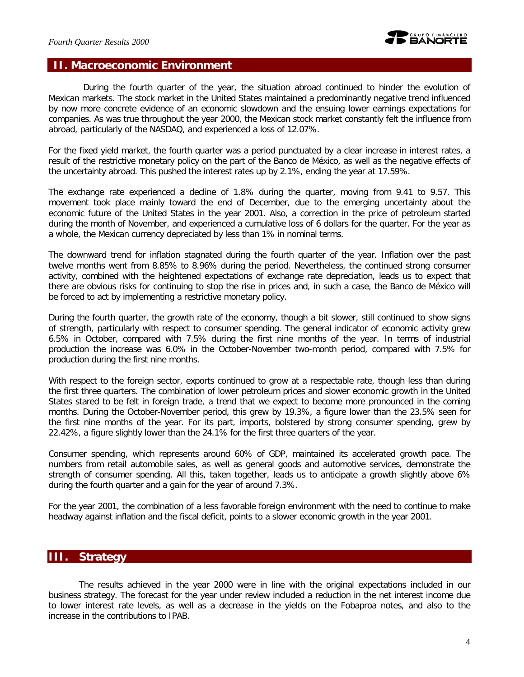

#### **II. Macroeconomic Environment**

During the fourth quarter of the year, the situation abroad continued to hinder the evolution of Mexican markets. The stock market in the United States maintained a predominantly negative trend influenced by now more concrete evidence of an economic slowdown and the ensuing lower earnings expectations for companies. As was true throughout the year 2000, the Mexican stock market constantly felt the influence from abroad, particularly of the NASDAQ, and experienced a loss of 12.07%.

For the fixed yield market, the fourth quarter was a period punctuated by a clear increase in interest rates, a result of the restrictive monetary policy on the part of the Banco de México, as well as the negative effects of the uncertainty abroad. This pushed the interest rates up by 2.1%, ending the year at 17.59%.

The exchange rate experienced a decline of 1.8% during the quarter, moving from 9.41 to 9.57. This movement took place mainly toward the end of December, due to the emerging uncertainty about the economic future of the United States in the year 2001. Also, a correction in the price of petroleum started during the month of November, and experienced a cumulative loss of 6 dollars for the quarter. For the year as a whole, the Mexican currency depreciated by less than 1% in nominal terms.

The downward trend for inflation stagnated during the fourth quarter of the year. Inflation over the past twelve months went from 8.85% to 8.96% during the period. Nevertheless, the continued strong consumer activity, combined with the heightened expectations of exchange rate depreciation, leads us to expect that there are obvious risks for continuing to stop the rise in prices and, in such a case, the Banco de México will be forced to act by implementing a restrictive monetary policy.

During the fourth quarter, the growth rate of the economy, though a bit slower, still continued to show signs of strength, particularly with respect to consumer spending. The general indicator of economic activity grew 6.5% in October, compared with 7.5% during the first nine months of the year. In terms of industrial production the increase was 6.0% in the October-November two-month period, compared with 7.5% for production during the first nine months.

With respect to the foreign sector, exports continued to grow at a respectable rate, though less than during the first three quarters. The combination of lower petroleum prices and slower economic growth in the United States stared to be felt in foreign trade, a trend that we expect to become more pronounced in the coming months. During the October-November period, this grew by 19.3%, a figure lower than the 23.5% seen for the first nine months of the year. For its part, imports, bolstered by strong consumer spending, grew by 22.42%, a figure slightly lower than the 24.1% for the first three quarters of the year.

Consumer spending, which represents around 60% of GDP, maintained its accelerated growth pace. The numbers from retail automobile sales, as well as general goods and automotive services, demonstrate the strength of consumer spending. All this, taken together, leads us to anticipate a growth slightly above 6% during the fourth quarter and a gain for the year of around 7.3%.

For the year 2001, the combination of a less favorable foreign environment with the need to continue to make headway against inflation and the fiscal deficit, points to a slower economic growth in the year 2001.

### **III. Strategy**

The results achieved in the year 2000 were in line with the original expectations included in our business strategy. The forecast for the year under review included a reduction in the net interest income due to lower interest rate levels, as well as a decrease in the yields on the Fobaproa notes, and also to the increase in the contributions to IPAB.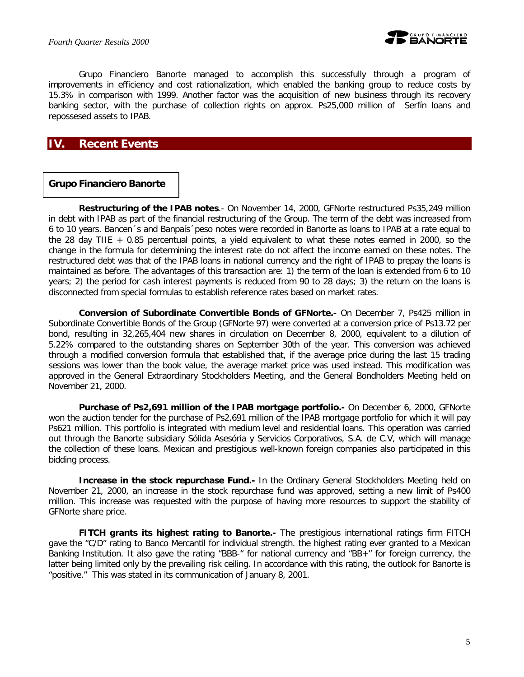

Grupo Financiero Banorte managed to accomplish this successfully through a program of improvements in efficiency and cost rationalization, which enabled the banking group to reduce costs by 15.3% in comparison with 1999. Another factor was the acquisition of new business through its recovery banking sector, with the purchase of collection rights on approx. Ps25,000 million of Serfín loans and repossesed assets to IPAB.

## **IV. Recent Events**

#### *Grupo Financiero Banorte*

*Restructuring of the IPAB notes*.- On November 14, 2000, GFNorte restructured Ps35,249 million in debt with IPAB as part of the financial restructuring of the Group. The term of the debt was increased from 6 to 10 years. Bancen´s and Banpaís´peso notes were recorded in Banorte as loans to IPAB at a rate equal to the 28 day TIIE + 0.85 percentual points, a yield equivalent to what these notes earned in 2000, so the change in the formula for determining the interest rate do not affect the income earned on these notes. The restructured debt was that of the IPAB loans in national currency and the right of IPAB to prepay the loans is maintained as before. The advantages of this transaction are: 1) the term of the loan is extended from 6 to 10 years; 2) the period for cash interest payments is reduced from 90 to 28 days; 3) the return on the loans is disconnected from special formulas to establish reference rates based on market rates.

*Conversion of Subordinate Convertible Bonds of GFNorte.-* On December 7, Ps425 million in Subordinate Convertible Bonds of the Group (GFNorte 97) were converted at a conversion price of Ps13.72 per bond, resulting in 32,265,404 new shares in circulation on December 8, 2000, equivalent to a dilution of 5.22% compared to the outstanding shares on September 30th of the year. This conversion was achieved through a modified conversion formula that established that, if the average price during the last 15 trading sessions was lower than the book value, the average market price was used instead. This modification was approved in the General Extraordinary Stockholders Meeting, and the General Bondholders Meeting held on November 21, 2000.

**Purchase of Ps2,691 million of the IPAB mortgage portfolio.**- On December 6, 2000, GFNorte won the auction tender for the purchase of Ps2,691 million of the IPAB mortgage portfolio for which it will pay Ps621 million. This portfolio is integrated with medium level and residential loans. This operation was carried out through the Banorte subsidiary Sólida Asesória y Servicios Corporativos, S.A. de C.V, which will manage the collection of these loans. Mexican and prestigious well-known foreign companies also participated in this bidding process.

**Increase in the stock repurchase Fund.-** In the Ordinary General Stockholders Meeting held on November 21, 2000, an increase in the stock repurchase fund was approved, setting a new limit of Ps400 million. This increase was requested with the purpose of having more resources to support the stability of GFNorte share price.

*FITCH grants its highest rating to Banorte.-* The prestigious international ratings firm FITCH gave the "C/D" rating to Banco Mercantil for individual strength. the highest rating ever granted to a Mexican Banking Institution. It also gave the rating "BBB-" for national currency and "BB+" for foreign currency, the latter being limited only by the prevailing risk ceiling. In accordance with this rating, the outlook for Banorte is "positive." This was stated in its communication of January 8, 2001.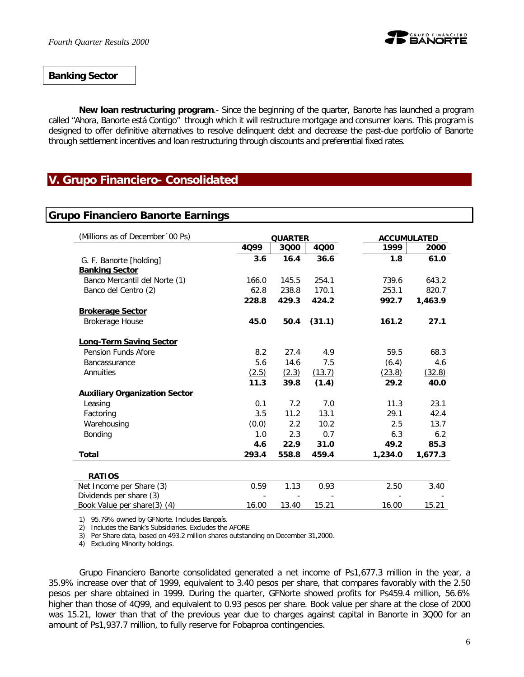#### *Banking Sector*

*New loan restructuring program*.- Since the beginning of the quarter, Banorte has launched a program called "*Ahora, Banorte está Contigo"* through which it will restructure mortgage and consumer loans. This program is designed to offer definitive alternatives to resolve delinquent debt and decrease the past-due portfolio of Banorte through settlement incentives and loan restructuring through discounts and preferential fixed rates.

## **V. Grupo Financiero- Consolidated**

#### **Grupo Financiero Banorte Earnings**

| (Millions as of December '00 Ps)                      | <b>QUARTER</b> |       |        | <b>ACCUMULATED</b> |         |
|-------------------------------------------------------|----------------|-------|--------|--------------------|---------|
|                                                       | 4099           | 3000  | 4000   | 1999               | 2000    |
| G. F. Banorte [holding]                               | 3.6            | 16.4  | 36.6   | 1.8                | 61.0    |
| <b>Banking Sector</b>                                 |                |       |        |                    |         |
| Banco Mercantil del Norte (1)                         | 166.0          | 145.5 | 254.1  | 739.6              | 643.2   |
| Banco del Centro (2)                                  | 62.8           | 238.8 | 170.1  | 253.1              | 820.7   |
|                                                       | 228.8          | 429.3 | 424.2  | 992.7              | 1,463.9 |
| <b>Brokerage Sector</b>                               |                |       |        |                    |         |
| Brokerage House                                       | 45.0           | 50.4  | (31.1) | 161.2              | 27.1    |
|                                                       |                |       |        |                    |         |
| <b>Long-Term Saving Sector</b><br>Pension Funds Afore | 8.2            | 27.4  | 4.9    | 59.5               | 68.3    |
| <b>Bancassurance</b>                                  | 5.6            | 14.6  | 7.5    |                    | 4.6     |
|                                                       |                |       |        | (6.4)              |         |
| Annuities                                             | (2.5)          | (2.3) | (13.7) | (23.8)             | (32.8)  |
|                                                       | 11.3           | 39.8  | (1.4)  | 29.2               | 40.0    |
| <b>Auxiliary Organization Sector</b>                  |                |       |        |                    |         |
| Leasing                                               | 0.1            | 7.2   | 7.0    | 11.3               | 23.1    |
| Factoring                                             | 3.5            | 11.2  | 13.1   | 29.1               | 42.4    |
| Warehousing                                           | (0.0)          | 2.2   | 10.2   | 2.5                | 13.7    |
| Bonding                                               | <u>1.0</u>     | 2.3   | 0.7    | <u>6.3</u>         | 6.2     |
|                                                       | 4.6            | 22.9  | 31.0   | 49.2               | 85.3    |
| <b>Total</b>                                          | 293.4          | 558.8 | 459.4  | 1,234.0            | 1,677.3 |
|                                                       |                |       |        |                    |         |
| <b>RATIOS</b>                                         |                |       |        |                    |         |
| Net Income per Share (3)                              | 0.59           | 1.13  | 0.93   | 2.50               | 3.40    |
| Dividends per share (3)                               |                |       |        |                    |         |
| Book Value per share(3) (4)                           | 16.00          | 13.40 | 15.21  | 16.00              | 15.21   |

1) 95.79% owned by GFNorte. Includes Banpaís.

2) Includes the Bank's Subsidiaries. Excludes the AFORE

3) Per Share data, based on 493.2 million shares outstanding on December 31,2000.

4) Excluding Minority holdings.

Grupo Financiero Banorte consolidated generated a net income of Ps1,677.3 million in the year, a 35.9% increase over that of 1999, equivalent to 3.40 pesos per share, that compares favorably with the 2.50 pesos per share obtained in 1999. During the quarter, GFNorte showed profits for Ps459.4 million, 56.6% higher than those of 4Q99, and equivalent to 0.93 pesos per share. Book value per share at the close of 2000 was 15.21, lower than that of the previous year due to charges against capital in Banorte in 3Q00 for an amount of Ps1,937.7 million, to fully reserve for Fobaproa contingencies.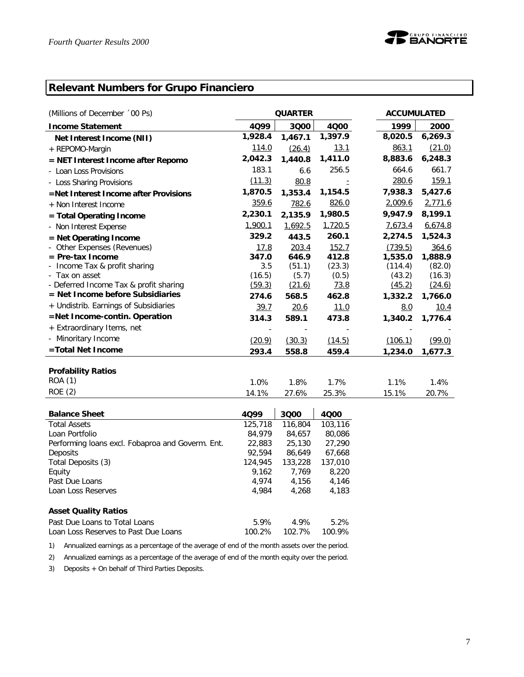## **Relevant Numbers for Grupo Financiero**

| (Millions of December '00 Ps)          | <b>QUARTER</b> |         |         |  |         | <b>ACCUMULATED</b> |
|----------------------------------------|----------------|---------|---------|--|---------|--------------------|
| <b>Income Statement</b>                | 4099           | 3000    | 4000    |  | 1999    | 2000               |
| Net Interest Income (NII)              | 1,928.4        | 1,467.1 | 1,397.9 |  | 8,020.5 | 6,269.3            |
| + REPOMO-Margin                        | 114.0          | (26.4)  | 13.1    |  | 863.1   | (21.0)             |
| = NET Interest Income after Repomo     | 2,042.3        | 1,440.8 | 1,411.0 |  | 8,883.6 | 6,248.3            |
| - Loan Loss Provisions                 | 183.1          | 6.6     | 256.5   |  | 664.6   | 661.7              |
| - Loss Sharing Provisions              | (11.3)         | 80.8    |         |  | 280.6   | 159.1              |
| =Net Interest Income after Provisions  | 1,870.5        | 1,353.4 | 1,154.5 |  | 7,938.3 | 5,427.6            |
| + Non Interest Income                  | 359.6          | 782.6   | 826.0   |  | 2,009.6 | 2,771.6            |
| = Total Operating Income               | 2,230.1        | 2,135.9 | 1,980.5 |  | 9,947.9 | 8,199.1            |
| - Non Interest Expense                 | 1,900.1        | 1,692.5 | 1,720.5 |  | 7,673.4 | 6,674.8            |
| $=$ Net Operating Income               | 329.2          | 443.5   | 260.1   |  | 2,274.5 | 1,524.3            |
| - Other Expenses (Revenues)            | 17.8           | 203.4   | 152.7   |  | (739.5) | 364.6              |
| $=$ Pre-tax Income                     | 347.0          | 646.9   | 412.8   |  | 1,535.0 | 1,888.9            |
| - Income Tax & profit sharing          | 3.5            | (51.1)  | (23.3)  |  | (114.4) | (82.0)             |
| - Tax on asset                         | (16.5)         | (5.7)   | (0.5)   |  | (43.2)  | (16.3)             |
| - Deferred Income Tax & profit sharing | (59.3)         | (21.6)  | 73.8    |  | (45.2)  | (24.6)             |
| = Net Income before Subsidiaries       | 274.6          | 568.5   | 462.8   |  | 1,332.2 | 1,766.0            |
| + Undistrib. Earnings of Subsidiaries  | 39.7           | 20.6    | 11.0    |  | 8.0     | 10.4               |
| =Net Income-contin. Operation          | 314.3          | 589.1   | 473.8   |  | 1,340.2 | 1,776.4            |
| + Extraordinary Items, net             |                |         |         |  |         |                    |
| - Minoritary Income                    | (20.9)         | (30.3)  | (14.5)  |  | (106.1) | (99.0)             |
| =Total Net Income                      | 293.4          | 558.8   | 459.4   |  | 1,234.0 | 1,677.3            |
|                                        |                |         |         |  |         |                    |
| <b>Profability Ratios</b>              |                |         |         |  |         |                    |
| ROA (1)                                | 1.0%           | 1.8%    | 1.7%    |  | 1.1%    | 1.4%               |
| <b>ROE</b> (2)                         | 14.1%          | 27.6%   | 25.3%   |  | 15.1%   | 20.7%              |

| <b>Balance Sheet</b>                             | 4099    | 3000    | 4000    |
|--------------------------------------------------|---------|---------|---------|
| <b>Total Assets</b>                              | 125,718 | 116,804 | 103,116 |
| Loan Portfolio                                   | 84,979  | 84.657  | 80,086  |
| Performing loans excl. Fobaproa and Goverm. Ent. | 22,883  | 25,130  | 27,290  |
| Deposits                                         | 92.594  | 86.649  | 67,668  |
| Total Deposits (3)                               | 124,945 | 133,228 | 137,010 |
| Equity                                           | 9.162   | 7.769   | 8,220   |
| Past Due Loans                                   | 4.974   | 4.156   | 4,146   |
| Loan Loss Reserves                               | 4.984   | 4.268   | 4.183   |
|                                                  |         |         |         |
| <b>Asset Quality Ratios</b>                      |         |         |         |
| Past Due Loans to Total Loans                    | 5.9%    | 4.9%    | 5.2%    |
| Loan Loss Reserves to Past Due Loans             | 100.2%  | 102.7%  | 100.9%  |

1) Annualized earnings as a percentage of the average of end of the month assets over the period.

2) Annualized earnings as a percentage of the average of end of the month equity over the period.

3) Deposits + On behalf of Third Parties Deposits.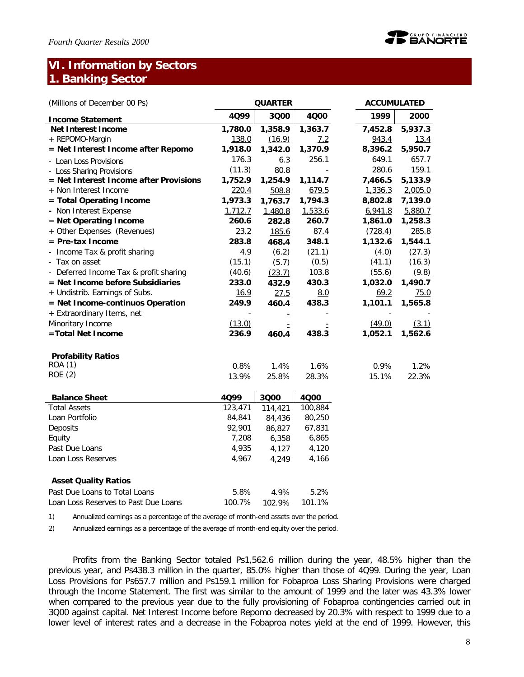## **VI. Information by Sectors 1. Banking Sector**

| (Millions of December 00 Ps)           |             | <b>QUARTER</b> |         | <b>ACCUMULATED</b> |                      |
|----------------------------------------|-------------|----------------|---------|--------------------|----------------------|
| <b>Income Statement</b>                | 4Q99        | 3000           | 4000    | 1999               | 2000                 |
| <b>Net Interest Income</b>             | 1,780.0     | 1,358.9        | 1,363.7 | 7,452.8            | $5,937.\overline{3}$ |
| + REPOMO-Margin                        | 138.0       | (16.9)         | 7.2     | 943.4              | 13.4                 |
| = Net Interest Income after Repomo     | 1,918.0     | 1,342.0        | 1,370.9 | 8,396.2            | 5,950.7              |
| - Loan Loss Provisions                 | 176.3       | 6.3            | 256.1   | 649.1              | 657.7                |
| - Loss Sharing Provisions              | (11.3)      | 80.8           |         | 280.6              | 159.1                |
| = Net Interest Income after Provisions | 1,752.9     | 1,254.9        | 1,114.7 | 7,466.5            | 5,133.9              |
| + Non Interest Income                  | 220.4       | 508.8          | 679.5   | 1,336.3            | 2,005.0              |
| = Total Operating Income               | 1,973.3     | 1,763.7        | 1,794.3 | 8,802.8            | 7,139.0              |
| - Non Interest Expense                 | 1,712.7     | 1,480.8        | 1,533.6 | 6,941.8            | 5,880.7              |
| = Net Operating Income                 | 260.6       | 282.8          | 260.7   | 1,861.0            | 1,258.3              |
| + Other Expenses (Revenues)            | 23.2        | 185.6          | 87.4    | (728.4)            | 285.8                |
| = Pre-tax Income                       | 283.8       | 468.4          | 348.1   | 1,132.6            | 1,544.1              |
| - Income Tax & profit sharing          | 4.9         | (6.2)          | (21.1)  | (4.0)              | (27.3)               |
| - Tax on asset                         | (15.1)      | (5.7)          | (0.5)   | (41.1)             | (16.3)               |
| - Deferred Income Tax & profit sharing | (40.6)      | (23.7)         | 103.8   | (55.6)             | (9.8)                |
| = Net Income before Subsidiaries       | 233.0       | 432.9          | 430.3   | 1,032.0            | 1,490.7              |
| + Undistrib. Earnings of Subs.         | <u>16.9</u> | 27.5           | 8.0     | 69.2               | 75.0                 |
| = Net Income-continuos Operation       | 249.9       | 460.4          | 438.3   | 1,101.1            | 1,565.8              |
| + Extraordinary Items, net             |             |                |         |                    |                      |
| Minoritary Income                      | (13.0)      | Ė              |         | (49.0)             | (3.1)                |
| =Total Net Income                      | 236.9       | 460.4          | 438.3   | 1,052.1            | 1,562.6              |
| <b>Profability Ratios</b>              |             |                |         |                    |                      |
| <b>ROA (1)</b>                         | 0.8%        | 1.4%           | 1.6%    | 0.9%               | 1.2%                 |
| <b>ROE</b> (2)                         | 13.9%       | 25.8%          | 28.3%   | 15.1%              | 22.3%                |
| <b>Balance Sheet</b>                   | 4Q99        | 3Q00           | 4000    |                    |                      |
| <b>Total Assets</b>                    | 123,471     | 114,421        | 100,884 |                    |                      |
| Loan Portfolio                         | 84,841      | 84,436         | 80,250  |                    |                      |
| Deposits                               | 92,901      | 86,827         | 67,831  |                    |                      |
| Equity                                 | 7,208       | 6,358          | 6,865   |                    |                      |
| Past Due Loans                         | 4,935       | 4,127          | 4,120   |                    |                      |
| Loan Loss Reserves                     | 4,967       | 4,249          | 4,166   |                    |                      |
| <b>Asset Quality Ratios</b>            |             |                |         |                    |                      |
| Past Due Loans to Total Loans          | 5.8%        | 4.9%           | 5.2%    |                    |                      |
| Loan Loss Reserves to Past Due Loans   | 100.7%      | 102.9%         | 101.1%  |                    |                      |

1) Annualized earnings as a percentage of the average of month-end assets over the period.

2) Annualized earnings as a percentage of the average of month-end equity over the period.

Profits from the Banking Sector totaled Ps1,562.6 million during the year, 48.5% higher than the previous year, and Ps438.3 million in the quarter, 85.0% higher than those of 4Q99. During the year, Loan Loss Provisions for Ps657.7 million and Ps159.1 million for Fobaproa Loss Sharing Provisions were charged through the Income Statement. The first was similar to the amount of 1999 and the later was 43.3% lower when compared to the previous year due to the fully provisioning of Fobaproa contingencies carried out in 3Q00 against capital. Net Interest Income before Repomo decreased by 20.3% with respect to 1999 due to a lower level of interest rates and a decrease in the Fobaproa notes yield at the end of 1999. However, this

D<sup>GRUPO FINANCIERO</sup><br>D**EANORTE**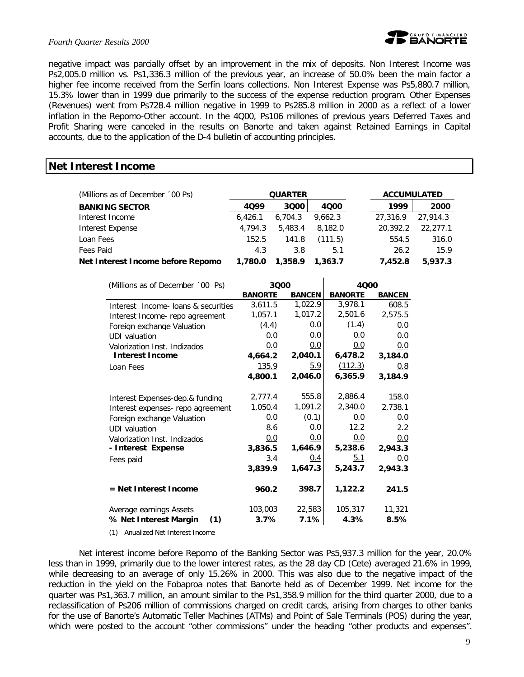#### *Fourth Quarter Results 2000*



negative impact was parcially offset by an improvement in the mix of deposits. Non Interest Income was Ps2,005.0 million vs. Ps1,336.3 million of the previous year, an increase of 50.0% been the main factor a higher fee income received from the Serfín loans collections. Non Interest Expense was Ps5,880.7 million, 15.3% lower than in 1999 due primarily to the success of the expense reduction program. Other Expenses (Revenues) went from Ps728.4 million negative in 1999 to Ps285.8 million in 2000 as a reflect of a lower inflation in the Repomo-Other account. In the 4Q00, Ps106 millones of previous years Deferred Taxes and Profit Sharing were canceled in the results on Banorte and taken against Retained Earnings in Capital accounts, due to the application of the D-4 bulletin of accounting principles.

#### **Net Interest Income**

| (Millions as of December '00 Ps)  | <b>QUARTER</b> |         |         | <b>ACCUMULATED</b> |          |          |
|-----------------------------------|----------------|---------|---------|--------------------|----------|----------|
| <b>BANKING SECTOR</b>             | 4099           | 3000    | 4000    |                    | 1999     | 2000     |
| Interest Income                   | 6.426.1        | 6.704.3 | 9.662.3 |                    | 27,316.9 | 27.914.3 |
| Interest Expense                  | 4.794.3        | 5,483.4 | 8,182.0 |                    | 20,392.2 | 22,277.1 |
| Loan Fees                         | 152.5          | 141.8   | (111.5) |                    | 554.5    | 316.0    |
| Fees Paid                         | 4.3            | 3.8     | 5.1     |                    | 26.2     | 15.9     |
| Net Interest Income before Repomo | 1,780.0        | 1,358.9 | 1,363.7 |                    | 7.452.8  | 5,937.3  |

| (Millions as of December '00 Ps)    | 3000           |               | 4000           |               |
|-------------------------------------|----------------|---------------|----------------|---------------|
|                                     | <b>BANORTE</b> | <b>BANCEN</b> | <b>BANORTE</b> | <b>BANCEN</b> |
| Interest Income- loans & securities | 3,611.5        | 1,022.9       | 3,978.1        | 608.5         |
| Interest Income-repo agreement      | 1,057.1        | 1,017.2       | 2,501.6        | 2,575.5       |
| Foreign exchange Valuation          | (4.4)          | 0.0           | (1.4)          | 0.0           |
| UDI valuation                       | 0.0            | 0.0           | 0.0            | 0.0           |
| Valorization Inst. Indizados        | 0.0            | 0.0           | 0.0            | 0.0           |
| <b>Interest Income</b>              | 4,664.2        | 2,040.1       | 6,478.2        | 3,184.0       |
| Loan Fees                           | 135.9          | 5.9           | (112.3)        | 0.8           |
|                                     | 4,800.1        | 2,046.0       | 6,365.9        | 3,184.9       |
|                                     |                |               |                |               |
| Interest Expenses-dep.& funding     | 2,777.4        | 555.8         | 2,886.4        | 158.0         |
| Interest expenses- repo agreement   | 1,050.4        | 1,091.2       | 2,340.0        | 2,738.1       |
| Foreign exchange Valuation          | 0.0            | (0.1)         | 0.0            | 0.0           |
| UDI valuation                       | 8.6            | 0.0           | 12.2           | 2.2           |
| Valorization Inst. Indizados        | 0.0            | <u>0.0</u>    | 0.0            | 0.0           |
| - Interest Expense                  | 3,836.5        | 1,646.9       | 5,238.6        | 2,943.3       |
| Fees paid                           | 3.4            | 0.4           | 5.1            | 0.0           |
|                                     | 3,839.9        | 1,647.3       | 5,243.7        | 2,943.3       |
| $=$ Net Interest Income             | 960.2          | 398.7         | 1,122.2        | 241.5         |
| Average earnings Assets             | 103,003        | 22,583        | 105,317        | 11,321        |
| % Net Interest Margin<br>(1)        | 3.7%           | 7.1%          | 4.3%           | 8.5%          |

(1) Anualized Net Interest Income

Net interest income before Repomo of the Banking Sector was Ps5,937.3 million for the year, 20.0% less than in 1999, primarily due to the lower interest rates, as the 28 day CD (Cete) averaged 21.6% in 1999, while decreasing to an average of only 15.26% in 2000. This was also due to the negative impact of the reduction in the yield on the Fobaproa notes that Banorte held as of December 1999. Net income for the quarter was Ps1,363.7 million, an amount similar to the Ps1,358.9 million for the third quarter 2000, due to a reclassification of Ps206 million of commissions charged on credit cards, arising from charges to other banks for the use of Banorte's Automatic Teller Machines (ATMs) and Point of Sale Terminals (POS) during the year, which were posted to the account "other commissions" under the heading "other products and expenses".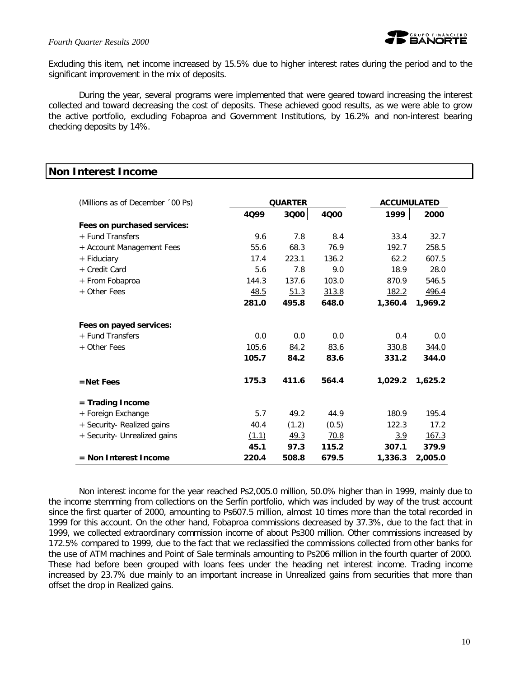#### *Fourth Quarter Results 2000*



Excluding this item, net income increased by 15.5% due to higher interest rates during the period and to the significant improvement in the mix of deposits.

During the year, several programs were implemented that were geared toward increasing the interest collected and toward decreasing the cost of deposits. These achieved good results, as we were able to grow the active portfolio, excluding Fobaproa and Government Institutions, by 16.2% and non-interest bearing checking deposits by 14%.

#### **Non Interest Income**

| (Millions as of December '00 Ps) | <b>QUARTER</b> |       |       | <b>ACCUMULATED</b> |         |
|----------------------------------|----------------|-------|-------|--------------------|---------|
|                                  | 4Q99           | 3000  | 4000  | 1999               | 2000    |
| Fees on purchased services:      |                |       |       |                    |         |
| + Fund Transfers                 | 9.6            | 7.8   | 8.4   | 33.4               | 32.7    |
| + Account Management Fees        | 55.6           | 68.3  | 76.9  | 192.7              | 258.5   |
| + Fiduciary                      | 17.4           | 223.1 | 136.2 | 62.2               | 607.5   |
| + Credit Card                    | 5.6            | 7.8   | 9.0   | 18.9               | 28.0    |
| + From Fobaproa                  | 144.3          | 137.6 | 103.0 | 870.9              | 546.5   |
| + Other Fees                     | 48.5           | 51.3  | 313.8 | 182.2              | 496.4   |
|                                  | 281.0          | 495.8 | 648.0 | 1,360.4            | 1,969.2 |
| Fees on payed services:          |                |       |       |                    |         |
| + Fund Transfers                 | 0.0            | 0.0   | 0.0   | 0.4                | 0.0     |
| + Other Fees                     | <u>105.6</u>   | 84.2  | 83.6  | 330.8              | 344.0   |
|                                  | 105.7          | 84.2  | 83.6  | 331.2              | 344.0   |
| $=$ Net Fees                     | 175.3          | 411.6 | 564.4 | 1,029.2            | 1,625.2 |
| = Trading Income                 |                |       |       |                    |         |
| + Foreign Exchange               | 5.7            | 49.2  | 44.9  | 180.9              | 195.4   |
| + Security- Realized gains       | 40.4           | (1.2) | (0.5) | 122.3              | 17.2    |
| + Security- Unrealized gains     | (1.1)          | 49.3  | 70.8  | <u>3.9</u>         | 167.3   |
|                                  | 45.1           | 97.3  | 115.2 | 307.1              | 379.9   |
| $=$ Non Interest Income          | 220.4          | 508.8 | 679.5 | 1,336.3            | 2,005.0 |

Non interest income for the year reached Ps2,005.0 million, 50.0% higher than in 1999, mainly due to the income stemming from collections on the Serfín portfolio, which was included by way of the trust account since the first quarter of 2000, amounting to Ps607.5 million, almost 10 times more than the total recorded in 1999 for this account. On the other hand, Fobaproa commissions decreased by 37.3%, due to the fact that in 1999, we collected extraordinary commission income of about Ps300 million. Other commissions increased by 172.5% compared to 1999, due to the fact that we reclassified the commissions collected from other banks for the use of ATM machines and Point of Sale terminals amounting to Ps206 million in the fourth quarter of 2000. These had before been grouped with loans fees under the heading net interest income. Trading income increased by 23.7% due mainly to an important increase in Unrealized gains from securities that more than offset the drop in Realized gains.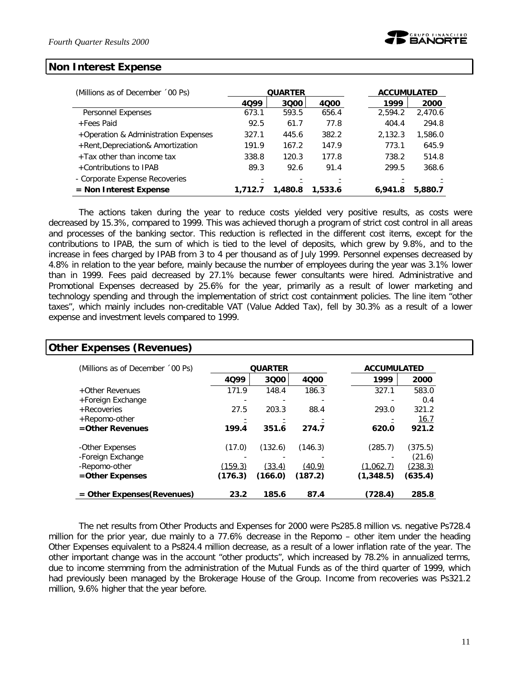#### **Non Interest Expense**

| (Millions as of December '00 Ps)     | <b>QUARTER</b> |         |         |         | <b>ACCUMULATED</b> |
|--------------------------------------|----------------|---------|---------|---------|--------------------|
|                                      | 4099           | 3000    | 4000    | 1999    | 2000               |
| Personnel Expenses                   | 673.1          | 593.5   | 656.4   | 2,594.2 | 2,470.6            |
| +Fees Paid                           | 92.5           | 61.7    | 77.8    | 404.4   | 294.8              |
| +Operation & Administration Expenses | 327.1          | 445.6   | 382.2   | 2,132.3 | 1,586.0            |
| +Rent, Depreciation& Amortization    | 191.9          | 167.2   | 147.9   | 773.1   | 645.9              |
| +Tax other than income tax           | 338.8          | 120.3   | 177.8   | 738.2   | 514.8              |
| +Contributions to IPAB               | 89.3           | 92.6    | 91.4    | 299.5   | 368.6              |
| - Corporate Expense Recoveries       |                |         |         |         |                    |
| $=$ Non Interest Expense             | 1,712.7        | 1,480.8 | 1,533.6 | 6,941.8 | 5,880.7            |

The actions taken during the year to reduce costs yielded very positive results, as costs were decreased by 15.3%, compared to 1999. This was achieved thorugh a program of strict cost control in all areas and processes of the banking sector. This reduction is reflected in the different cost items, except for the contributions to IPAB, the sum of which is tied to the level of deposits, which grew by 9.8%, and to the increase in fees charged by IPAB from 3 to 4 per thousand as of July 1999. Personnel expenses decreased by 4.8% in relation to the year before, mainly because the number of employees during the year was 3.1% lower than in 1999. Fees paid decreased by 27.1% because fewer consultants were hired. Administrative and Promotional Expenses decreased by 25.6% for the year, primarily as a result of lower marketing and technology spending and through the implementation of strict cost containment policies. The line item "other taxes", which mainly includes non-creditable VAT (Value Added Tax), fell by 30.3% as a result of a lower expense and investment levels compared to 1999.

| (Millions as of December '00 Ps) |         | <b>QUARTER</b> |         | <b>ACCUMULATED</b> |                |
|----------------------------------|---------|----------------|---------|--------------------|----------------|
|                                  | 4099    | 3000           | 4000    | 1999               | 2000           |
| +Other Revenues                  | 171.9   | 148.4          | 186.3   | 327.1              | 583.0          |
| +Foreign Exchange                |         |                |         |                    | 0.4            |
| +Recoveries                      | 27.5    | 203.3          | 88.4    | 293.0              | 321.2          |
| +Repomo-other                    |         |                |         |                    | 16.7           |
| $=$ Other Revenues               | 199.4   | 351.6          | 274.7   | 620.0              | 921.2          |
| -Other Expenses                  | (17.0)  | (132.6)        | (146.3) | (285.7)            | (375.5)        |
| -Foreign Exchange                |         |                |         |                    | (21.6)         |
| -Repomo-other                    | (159.3) | (33.4)         | (40.9)  | (1,062.7)          | <u>(238.3)</u> |
| =Other Expenses                  | (176.3) | (166.0)        | (187.2) | (1,348.5)          | (635.4)        |

The net results from Other Products and Expenses for 2000 were Ps285.8 million vs. negative Ps728.4 million for the prior year, due mainly to a 77.6% decrease in the Repomo – other item under the heading Other Expenses equivalent to a Ps824.4 million decrease, as a result of a lower inflation rate of the year. The other important change was in the account "other products", which increased by 78.2% in annualized terms, due to income stemming from the administration of the Mutual Funds as of the third quarter of 1999, which had previously been managed by the Brokerage House of the Group. Income from recoveries was Ps321.2 million, 9.6% higher that the year before.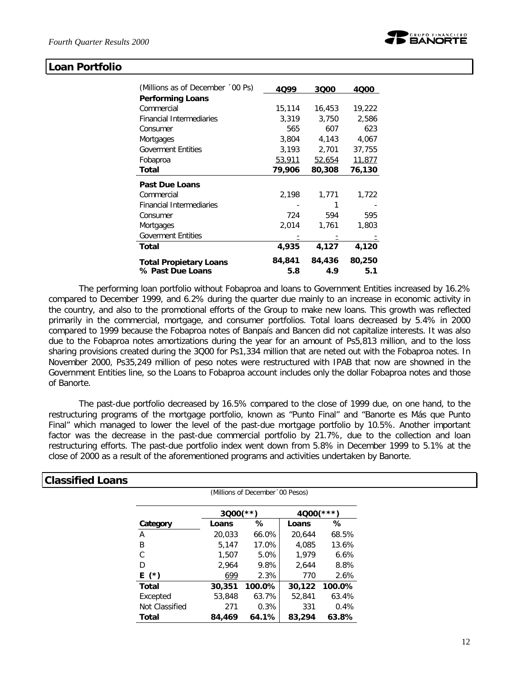

#### **Loan Portfolio**

| (Millions as of December '00 Ps) | 4099   | 3000   | 4000   |
|----------------------------------|--------|--------|--------|
| <b>Performing Loans</b>          |        |        |        |
| Commercial                       | 15,114 | 16,453 | 19,222 |
| <b>Financial Intermediaries</b>  | 3,319  | 3,750  | 2,586  |
| Consumer                         | 565    | 607    | 623    |
| Mortgages                        | 3,804  | 4,143  | 4,067  |
| <b>Goverment Entities</b>        | 3,193  | 2,701  | 37,755 |
| Fobaproa                         | 53,911 | 52,654 | 11,877 |
| Total                            | 79,906 | 80,308 | 76,130 |
| <b>Past Due Loans</b>            |        |        |        |
| Commercial                       | 2,198  | 1,771  | 1,722  |
| <b>Financial Intermediaries</b>  |        |        |        |
| Consumer                         | 724    | 594    | 595    |
| Mortgages                        | 2,014  | 1,761  | 1,803  |
| <b>Goverment Entities</b>        |        |        |        |
| Total                            | 4,935  | 4,127  | 4,120  |
| <b>Total Propietary Loans</b>    | 84,841 | 84,436 | 80,250 |
| % Past Due Loans                 | 5.8    | 4.9    | 5.1    |

The performing loan portfolio without Fobaproa and loans to Government Entities increased by 16.2% compared to December 1999, and 6.2% during the quarter due mainly to an increase in economic activity in the country, and also to the promotional efforts of the Group to make new loans. This growth was reflected primarily in the commercial, mortgage, and consumer portfolios. Total loans decreased by 5.4% in 2000 compared to 1999 because the Fobaproa notes of Banpaís and Bancen did not capitalize interests. It was also due to the Fobaproa notes amortizations during the year for an amount of Ps5,813 million, and to the loss sharing provisions created during the 3Q00 for Ps1,334 million that are neted out with the Fobaproa notes. In November 2000, Ps35,249 million of peso notes were restructured with IPAB that now are showned in the Government Entities line, so the Loans to Fobaproa account includes only the dollar Fobaproa notes and those of Banorte.

The past-due portfolio decreased by 16.5% compared to the close of 1999 due, on one hand, to the restructuring programs of the mortgage portfolio, known as "Punto Final" and "Banorte es Más que Punto Final" which managed to lower the level of the past-due mortgage portfolio by 10.5%. Another important factor was the decrease in the past-due commercial portfolio by 21.7%, due to the collection and loan restructuring efforts. The past-due portfolio index went down from 5.8% in December 1999 to 5.1% at the close of 2000 as a result of the aforementioned programs and activities undertaken by Banorte.

(Millions of December´00 Pesos)

| <b>Classified Loans</b> |  |
|-------------------------|--|
|-------------------------|--|

|                | $3000$ (**) |        | 4Q00   | $* * * *$ |
|----------------|-------------|--------|--------|-----------|
| Category       | Loans       | ℅      | Loans  | ℅         |
| Α              | 20,033      | 66.0%  | 20,644 | 68.5%     |
| В              | 5,147       | 17.0%  | 4,085  | 13.6%     |
| C              | 1,507       | 5.0%   | 1,979  | 6.6%      |
| D              | 2,964       | 9.8%   | 2,644  | 8.8%      |
| E (*)          | 699         | 2.3%   | 770    | 2.6%      |
| <b>Total</b>   | 30,351      | 100.0% | 30,122 | 100.0%    |
| Excepted       | 53,848      | 63.7%  | 52,841 | 63.4%     |
| Not Classified | 271         | 0.3%   | 331    | 0.4%      |
| Total          | 84,469      | 64.1%  | 83,294 | 63.8%     |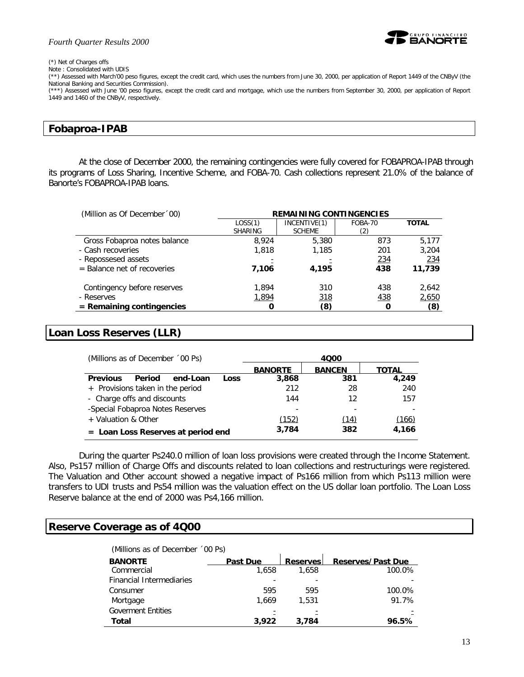#### *Fourth Quarter Results 2000*



#### (\*) Net of Charges offs

Note : Consolidated with UDIS

(\*\*) Assessed with March'00 peso figures, except the credit card, which uses the numbers from June 30, 2000, per application of Report 1449 of the CNByV (the National Banking and Securities Commission).

(\*\*\*) Assessed with June '00 peso figures, except the credit card and mortgage, which use the numbers from September 30, 2000, per application of Report 1449 and 1460 of the CNByV, respectively.

#### **Fobaproa-IPAB**

At the close of December 2000, the remaining contingencies were fully covered for FOBAPROA-IPAB through its programs of Loss Sharing, Incentive Scheme, and FOBA-70. Cash collections represent 21.0% of the balance of Banorte's FOBAPROA-IPAB loans.

| (Million as Of December '00)  | <b>REMAINING CONTINGENCIES</b> |               |         |              |  |  |  |
|-------------------------------|--------------------------------|---------------|---------|--------------|--|--|--|
|                               | LOS(1)                         | INCENTIVE(1)  | FOBA-70 | <b>TOTAL</b> |  |  |  |
|                               | <b>SHARING</b>                 | <b>SCHEME</b> | (2)     |              |  |  |  |
| Gross Fobaproa notes balance  | 8.924                          | 5,380         | 873     | 5,177        |  |  |  |
| - Cash recoveries             | 1,818                          | 1,185         | 201     | 3,204        |  |  |  |
| - Repossesed assets           |                                |               | 234     | 234          |  |  |  |
| $=$ Balance net of recoveries | 7,106                          | 4.195         | 438     | 11,739       |  |  |  |
| Contingency before reserves   | 1.894                          | 310           | 438     | 2,642        |  |  |  |
| - Reserves                    | 1,894                          | 318           | 438     | 2,650        |  |  |  |
| $=$ Remaining contingencies   |                                | (8)           | Ω       | (8)          |  |  |  |

#### **Loan Loss Reserves (LLR)**

| (Millions as of December '00 Ps)              | 4000                                     |      |       |  |  |  |
|-----------------------------------------------|------------------------------------------|------|-------|--|--|--|
|                                               | <b>BANCEN</b><br><b>BANORTE</b><br>ΤΟΤΑΙ |      |       |  |  |  |
| Period<br>end-Loan<br><b>Previous</b><br>Loss | 3,868                                    | 381  | 4.249 |  |  |  |
| + Provisions taken in the period              | 212                                      | 28   | 240   |  |  |  |
| - Charge offs and discounts                   | 144                                      | 12   | 157   |  |  |  |
| -Special Fobaproa Notes Reserves              |                                          |      |       |  |  |  |
| + Valuation & Other                           | (152)                                    | (14) | (166) |  |  |  |
| $=$ Loan Loss Reserves at period end          | 3.784                                    | 382  | 4.166 |  |  |  |

During the quarter Ps240.0 million of loan loss provisions were created through the Income Statement. Also, Ps157 million of Charge Offs and discounts related to loan collections and restructurings were registered. The Valuation and Other account showed a negative impact of Ps166 million from which Ps113 million were transfers to UDI trusts and Ps54 million was the valuation effect on the US dollar loan portfolio. The Loan Loss Reserve balance at the end of 2000 was Ps4,166 million.

#### **Reserve Coverage as of 4Q00**

| (Millions as of December '00 Ps) |                 |                 |                          |
|----------------------------------|-----------------|-----------------|--------------------------|
| <b>BANORTE</b>                   | <b>Past Due</b> | <b>Reserves</b> | <b>Reserves/Past Due</b> |
| Commercial                       | 1,658           | 1.658           | 100.0%                   |
| <b>Financial Intermediaries</b>  |                 |                 |                          |
| Consumer                         | 595             | 595             | 100.0%                   |
| Mortgage                         | 1.669           | 1.531           | 91.7%                    |
| <b>Goverment Entities</b>        |                 |                 |                          |
| Total                            | 3.922           | 3.784           | 96.5%                    |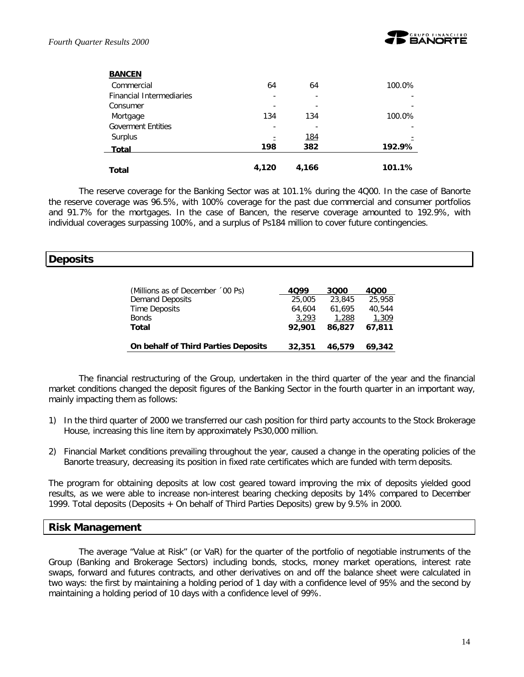

| <b>BANCEN</b>                   |       |            |        |
|---------------------------------|-------|------------|--------|
| Commercial                      | 64    | 64         | 100.0% |
| <b>Financial Intermediaries</b> | ۰     | ۰          |        |
| Consumer                        |       |            |        |
| Mortgage                        | 134   | 134        | 100.0% |
| <b>Goverment Entities</b>       |       |            |        |
| Surplus                         |       | <u>184</u> |        |
| <b>Total</b>                    | 198   | 382        | 192.9% |
| <b>Total</b>                    | 4,120 | 4,166      | 101.1% |

The reserve coverage for the Banking Sector was at 101.1% during the 4Q00. In the case of Banorte the reserve coverage was 96.5%, with 100% coverage for the past due commercial and consumer portfolios and 91.7% for the mortgages. In the case of Bancen, the reserve coverage amounted to 192.9%, with individual coverages surpassing 100%, and a surplus of Ps184 million to cover future contingencies.

# **Deposits**

| (Millions as of December '00 Ps)    | 4099   | 3000   | 4000   |
|-------------------------------------|--------|--------|--------|
| Demand Deposits                     | 25,005 | 23,845 | 25,958 |
| <b>Time Deposits</b>                | 64.604 | 61.695 | 40.544 |
| <b>Bonds</b>                        | 3,293  | 1,288  | 1,309  |
| Total                               | 92.901 | 86,827 | 67.811 |
|                                     |        |        |        |
| On behalf of Third Parties Deposits | 32,351 | 46,579 | 69,342 |

The financial restructuring of the Group, undertaken in the third quarter of the year and the financial market conditions changed the deposit figures of the Banking Sector in the fourth quarter in an important way, mainly impacting them as follows:

- 1) In the third quarter of 2000 we transferred our cash position for third party accounts to the Stock Brokerage House, increasing this line item by approximately Ps30,000 million.
- 2) Financial Market conditions prevailing throughout the year, caused a change in the operating policies of the Banorte treasury, decreasing its position in fixed rate certificates which are funded with term deposits.

The program for obtaining deposits at low cost geared toward improving the mix of deposits yielded good results, as we were able to increase non-interest bearing checking deposits by 14% compared to December 1999. Total deposits (Deposits + On behalf of Third Parties Deposits) grew by 9.5% in 2000.

#### **Risk Management**

The average "Value at Risk" (or VaR) for the quarter of the portfolio of negotiable instruments of the Group (Banking and Brokerage Sectors) including bonds, stocks, money market operations, interest rate swaps, forward and futures contracts, and other derivatives on and off the balance sheet were calculated in two ways: the first by maintaining a holding period of 1 day with a confidence level of 95% and the second by maintaining a holding period of 10 days with a confidence level of 99%.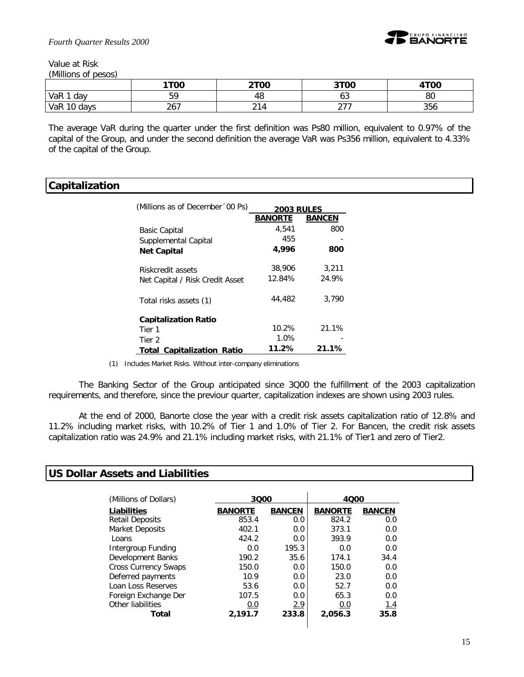

*Fourth Quarter Results 2000*

Value at Risk *(Millions of pesos)*

|             | 1T00                | <b>2T00</b>             | 3T00 | 4TOO |
|-------------|---------------------|-------------------------|------|------|
| VaR<br>dav  | БC                  | 48                      | υJ   | 80   |
| VaR 10 days | <u>_ , _</u><br>ر ب | $\sim$<br>4<br><u>.</u> | _ _  | 356  |

The average VaR during the quarter under the first definition was Ps80 million, equivalent to 0.97% of the capital of the Group, and under the second definition the average VaR was Ps356 million, equivalent to 4.33% of the capital of the Group.

#### **Capitalization**

| (Millions as of December '00 Ps)  | <b>2003 RULES</b> |               |  |
|-----------------------------------|-------------------|---------------|--|
|                                   | <b>BANORTE</b>    | <b>BANCEN</b> |  |
| <b>Basic Capital</b>              | 4,541             | 800           |  |
| Supplemental Capital              | 455               |               |  |
| <b>Net Capital</b>                | 4,996             | 800           |  |
| Riskcredit assets                 | 38,906            | 3.211         |  |
| Net Capital / Risk Credit Asset   | 12.84%            | 24.9%         |  |
| Total risks assets (1)            | 44,482            | 3,790         |  |
| <b>Capitalization Ratio</b>       |                   |               |  |
| Tier 1                            | 10.2%             | 21.1%         |  |
| Tier 2                            | 1.0%              |               |  |
| <b>Total Capitalization Ratio</b> | 11.2%             | 21.1%         |  |

(1) Includes Market Risks. Without inter-company eliminations

The Banking Sector of the Group anticipated since 3Q00 the fulfillment of the 2003 capitalization requirements, and therefore, since the previour quarter, capitalization indexes are shown using 2003 rules.

At the end of 2000, Banorte close the year with a credit risk assets capitalization ratio of 12.8% and 11.2% including market risks, with 10.2% of Tier 1 and 1.0% of Tier 2. For Bancen, the credit risk assets capitalization ratio was 24.9% and 21.1% including market risks, with 21.1% of Tier1 and zero of Tier2.

#### **US Dollar Assets and Liabilities**

| (Millions of Dollars)       | 3000           |               | 4000           |               |
|-----------------------------|----------------|---------------|----------------|---------------|
| Liabilities                 | <b>BANORTE</b> | <b>BANCEN</b> | <b>BANORTE</b> | <b>BANCEN</b> |
| <b>Retail Deposits</b>      | 853.4          | 0.0           | 824.2          | 0.0           |
| Market Deposits             | 402.1          | 0.0           | 373.1          | 0.0           |
| Loans                       | 424.2          | 0.0           | 393.9          | 0.0           |
| Intergroup Funding          | 0.0            | 195.3         | 0.0            | 0.0           |
| Development Banks           | 190.2          | 35.6          | 174.1          | 34.4          |
| <b>Cross Currency Swaps</b> | 150.0          | 0.0           | 150.0          | 0.0           |
| Deferred payments           | 10.9           | 0.0           | 23.0           | 0.0           |
| Loan Loss Reserves          | 53.6           | 0.0           | 52.7           | 0.0           |
| Foreign Exchange Der        | 107.5          | 0.0           | 65.3           | 0.0           |
| Other liabilities           | 0.0            | 2.9           | 0.0            | 1.4           |
| Total                       | 2.191.7        | 233.8         | 2,056.3        | 35.8          |
|                             |                |               |                |               |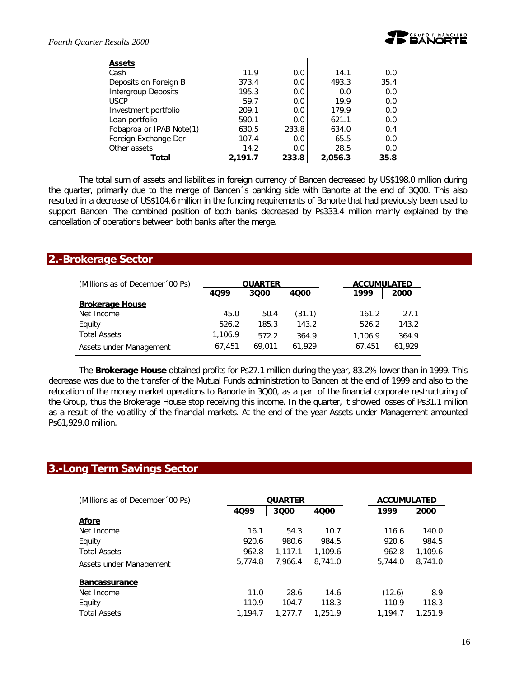

| <b>Assets</b>              |         |       |         |      |
|----------------------------|---------|-------|---------|------|
| Cash                       | 11.9    | 0.0   | 14.1    | 0.0  |
| Deposits on Foreign B      | 373.4   | 0.0   | 493.3   | 35.4 |
| <b>Intergroup Deposits</b> | 195.3   | 0.0   | 0.0     | 0.0  |
| <b>USCP</b>                | 59.7    | 0.0   | 19.9    | 0.0  |
| Investment portfolio       | 209.1   | 0.0   | 179.9   | 0.0  |
| Loan portfolio             | 590.1   | 0.0   | 621.1   | 0.0  |
| Fobaproa or IPAB Note(1)   | 630.5   | 233.8 | 634.0   | 0.4  |
| Foreign Exchange Der       | 107.4   | 0.0   | 65.5    | 0.0  |
| Other assets               | 14.2    | 0.0   | 28.5    | 0.0  |
| Total                      | 2,191.7 | 233.8 | 2.056.3 | 35.8 |

The total sum of assets and liabilities in foreign currency of Bancen decreased by US\$198.0 million during the quarter, primarily due to the merge of Bancen´s banking side with Banorte at the end of 3Q00. This also resulted in a decrease of US\$104.6 million in the funding requirements of Banorte that had previously been used to support Bancen. The combined position of both banks decreased by Ps333.4 million mainly explained by the cancellation of operations between both banks after the merge.

#### **2.-Brokerage Sector**

| (Millions as of December '00 Ps) | <b>QUARTER</b> |        |        | <b>ACCUMULATED</b> |        |  |  |
|----------------------------------|----------------|--------|--------|--------------------|--------|--|--|
|                                  | 4099           | 3000   | 4000   | 1999               | 2000   |  |  |
| <b>Brokerage House</b>           |                |        |        |                    |        |  |  |
| Net Income                       | 45.0           | 50.4   | (31.1) | 161.2              | 27.1   |  |  |
| Equity                           | 526.2          | 185.3  | 143.2  | 526.2              | 143.2  |  |  |
| <b>Total Assets</b>              | 1,106.9        | 572.2  | 364.9  | 1.106.9            | 364.9  |  |  |
| Assets under Management          | 67.451         | 69.011 | 61.929 | 67.451             | 61.929 |  |  |

The *Brokerage House* obtained profits for Ps27.1 million during the year, 83.2% lower than in 1999. This decrease was due to the transfer of the Mutual Funds administration to Bancen at the end of 1999 and also to the relocation of the money market operations to Banorte in 3Q00, as a part of the financial corporate restructuring of the Group, thus the Brokerage House stop receiving this income. In the quarter, it showed losses of Ps31.1 million as a result of the volatility of the financial markets. At the end of the year Assets under Management amounted Ps61,929.0 million.

#### **3.-Long Term Savings Sector**

| (Millions as of December '00 Ps) | <b>QUARTER</b> |         |         |  |         |         |  | <b>ACCUMULATED</b> |  |
|----------------------------------|----------------|---------|---------|--|---------|---------|--|--------------------|--|
|                                  | 4099           | 3000    | 4000    |  | 1999    | 2000    |  |                    |  |
| Afore                            |                |         |         |  |         |         |  |                    |  |
| Net Income                       | 16.1           | 54.3    | 10.7    |  | 116.6   | 140.0   |  |                    |  |
| Equity                           | 920.6          | 980.6   | 984.5   |  | 920.6   | 984.5   |  |                    |  |
| <b>Total Assets</b>              | 962.8          | 1.117.1 | 1,109.6 |  | 962.8   | 1,109.6 |  |                    |  |
| Assets under Management          | 5.774.8        | 7.966.4 | 8,741.0 |  | 5,744.0 | 8,741.0 |  |                    |  |
| <b>Bancassurance</b>             |                |         |         |  |         |         |  |                    |  |
| Net Income                       | 11.0           | 28.6    | 14.6    |  | (12.6)  | 8.9     |  |                    |  |
| Equity                           | 110.9          | 104.7   | 118.3   |  | 110.9   | 118.3   |  |                    |  |
| <b>Total Assets</b>              | 1.194.7        | 1.277.7 | 1.251.9 |  | 1.194.7 | 1.251.9 |  |                    |  |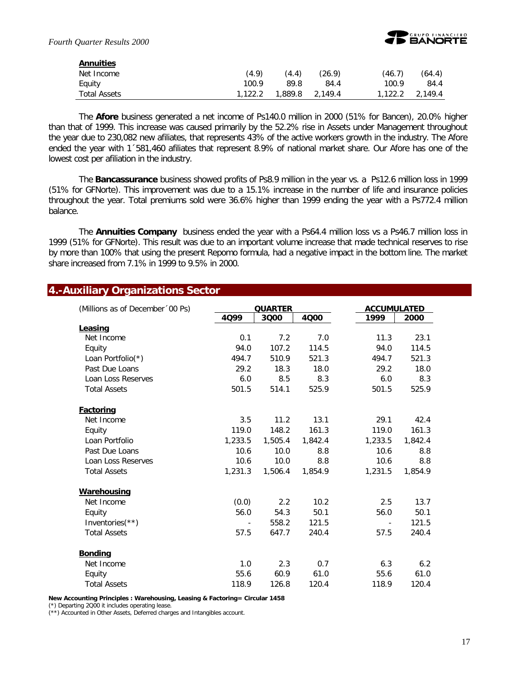

| (4.9) | (4.4) | (26.9) | (46.7)                  | (64.4)  |
|-------|-------|--------|-------------------------|---------|
| 100.9 | 89.8  | 84.4   | 100.9                   | 84.4    |
|       |       |        |                         | 2,149.4 |
|       |       |        | 1,122.2 1,889.8 2,149.4 | 1,122.2 |

The *Afore* business generated a net income of Ps140.0 million in 2000 (51% for Bancen), 20.0% higher than that of 1999. This increase was caused primarily by the 52.2% rise in Assets under Management throughout the year due to 230,082 new afiliates, that represents 43% of the active workers growth in the industry. The Afore ended the year with 1´581,460 afiliates that represent 8.9% of national market share. Our Afore has one of the lowest cost per afiliation in the industry.

The *Bancassurance* business showed profits of Ps8.9 million in the year vs. a Ps12.6 million loss in 1999 (51% for GFNorte). This improvement was due to a 15.1% increase in the number of life and insurance policies throughout the year. Total premiums sold were 36.6% higher than 1999 ending the year with a Ps772.4 million balance.

The *Annuities Company* business ended the year with a Ps64.4 million loss vs a Ps46.7 million loss in 1999 (51% for GFNorte). This result was due to an important volume increase that made technical reserves to rise by more than 100% that using the present Repomo formula, had a negative impact in the bottom line. The market share increased from 7.1% in 1999 to 9.5% in 2000.

#### **4.-Auxiliary Organizations Sector**

| (Millions as of December '00 Ps) |         | <b>QUARTER</b> | <b>ACCUMULATED</b> |                |         |  |
|----------------------------------|---------|----------------|--------------------|----------------|---------|--|
|                                  | 4099    | 3000           | 4000               | 1999           | 2000    |  |
| Leasing                          |         |                |                    |                |         |  |
| Net Income                       | 0.1     | 7.2            | 7.0                | 11.3           | 23.1    |  |
| Equity                           | 94.0    | 107.2          | 114.5              | 94.0           | 114.5   |  |
| Loan Portfolio(*)                | 494.7   | 510.9          | 521.3              | 494.7          | 521.3   |  |
| Past Due Loans                   | 29.2    | 18.3           | 18.0               | 29.2           | 18.0    |  |
| Loan Loss Reserves               | 6.0     | 8.5            | 8.3                | 6.0            | 8.3     |  |
| <b>Total Assets</b>              | 501.5   | 514.1          | 525.9              | 501.5          | 525.9   |  |
| <b>Factoring</b>                 |         |                |                    |                |         |  |
| Net Income                       | 3.5     | 11.2           | 13.1               | 29.1           | 42.4    |  |
| Equity                           | 119.0   | 148.2          | 161.3              | 119.0          | 161.3   |  |
| Loan Portfolio                   | 1,233.5 | 1,505.4        | 1,842.4            | 1,233.5        | 1,842.4 |  |
| Past Due Loans                   | 10.6    | 10.0           | 8.8                | 10.6           | 8.8     |  |
| Loan Loss Reserves               | 10.6    | 10.0           | 8.8                | 10.6           | 8.8     |  |
| <b>Total Assets</b>              | 1,231.3 | 1,506.4        | 1,854.9            | 1,231.5        | 1,854.9 |  |
| Warehousing                      |         |                |                    |                |         |  |
| Net Income                       | (0.0)   | 2.2            | 10.2               | 2.5            | 13.7    |  |
| Equity                           | 56.0    | 54.3           | 50.1               | 56.0           | 50.1    |  |
| Inventories $(**)$               |         | 558.2          | 121.5              | $\blacksquare$ | 121.5   |  |
| <b>Total Assets</b>              | 57.5    | 647.7          | 240.4              | 57.5           | 240.4   |  |
| <b>Bonding</b>                   |         |                |                    |                |         |  |
| Net Income                       | 1.0     | 2.3            | 0.7                | 6.3            | 6.2     |  |
| Equity                           | 55.6    | 60.9           | 61.0               | 55.6           | 61.0    |  |
| <b>Total Assets</b>              | 118.9   | 126.8          | 120.4              | 118.9          | 120.4   |  |

**New Accounting Principles : Warehousing, Leasing & Factoring= Circular 1458**

(\*) Departing 2Q00 it includes operating lease.

(\*\*) Accounted in Other Assets, Deferred charges and Intangibles account.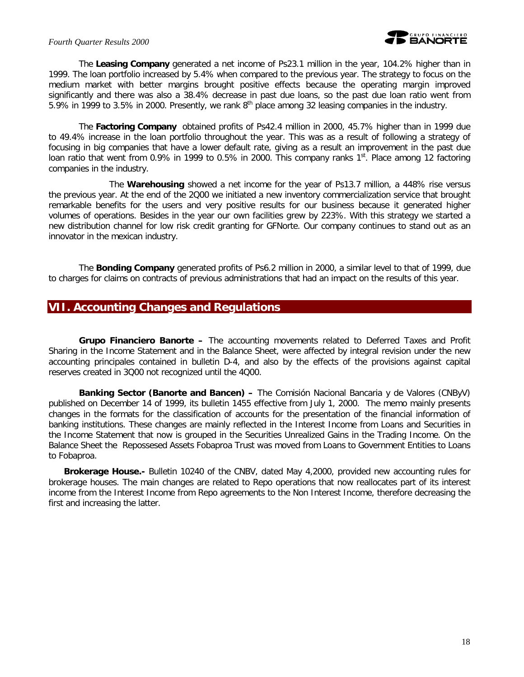#### *Fourth Quarter Results 2000*



The *Leasing Company* generated a net income of Ps23.1 million in the year, 104.2% higher than in 1999. The loan portfolio increased by 5.4% when compared to the previous year. The strategy to focus on the medium market with better margins brought positive effects because the operating margin improved significantly and there was also a 38.4% decrease in past due loans, so the past due loan ratio went from 5.9% in 1999 to 3.5% in 2000. Presently, we rank  $8<sup>th</sup>$  place among 32 leasing companies in the industry.

The *Factoring Company* obtained profits of Ps42.4 million in 2000, 45.7% higher than in 1999 due to 49.4% increase in the loan portfolio throughout the year. This was as a result of following a strategy of focusing in big companies that have a lower default rate, giving as a result an improvement in the past due loan ratio that went from 0.9% in 1999 to 0.5% in 2000. This company ranks 1<sup>st</sup>. Place among 12 factoring companies in the industry.

The *Warehousing* showed a net income for the year of Ps13.7 million, a 448% rise versus the previous year. At the end of the 2Q00 we initiated a new inventory commercialization service that brought remarkable benefits for the users and very positive results for our business because it generated higher volumes of operations. Besides in the year our own facilities grew by 223%. With this strategy we started a new distribution channel for low risk credit granting for GFNorte. Our company continues to stand out as an innovator in the mexican industry.

The *Bonding Company* generated profits of Ps6.2 million in 2000, a similar level to that of 1999, due to charges for claims on contracts of previous administrations that had an impact on the results of this year.

#### **VII. Accounting Changes and Regulations**

*Grupo Financiero Banorte –* The accounting movements related to Deferred Taxes and Profit Sharing in the Income Statement and in the Balance Sheet, were affected by integral revision under the new accounting principales contained in bulletin D-4, and also by the effects of the provisions against capital reserves created in 3Q00 not recognized until the 4Q00.

**Banking Sector (Banorte and Bancen)** – The Comisión Nacional Bancaria y de Valores (CNByV) published on December 14 of 1999, its bulletin 1455 effective from July 1, 2000. The memo mainly presents changes in the formats for the classification of accounts for the presentation of the financial information of banking institutions. These changes are mainly reflected in the Interest Income from Loans and Securities in the Income Statement that now is grouped in the Securities Unrealized Gains in the Trading Income. On the Balance Sheet the Repossesed Assets Fobaproa Trust was moved from Loans to Government Entities to Loans to Fobaproa.

*Brokerage House.***-** Bulletin 10240 of the CNBV, dated May 4,2000, provided new accounting rules for brokerage houses. The main changes are related to Repo operations that now reallocates part of its interest income from the Interest Income from Repo agreements to the Non Interest Income, therefore decreasing the first and increasing the latter.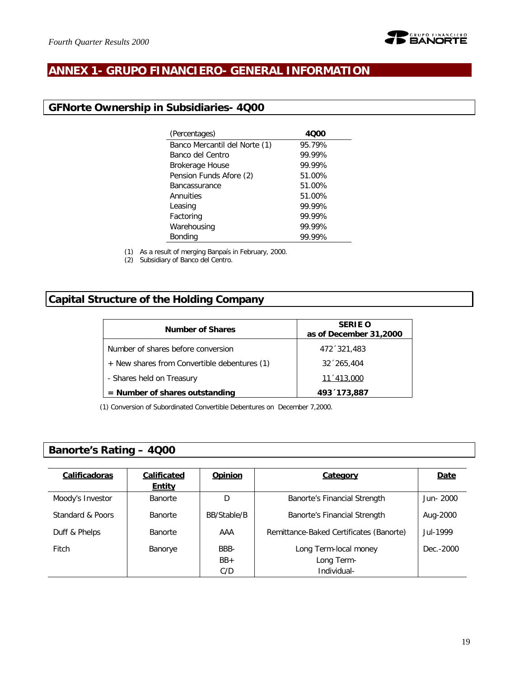

## **ANNEX 1- GRUPO FINANCIERO- GENERAL INFORMATION**

### **GFNorte Ownership in Subsidiaries- 4Q00**

| (Percentages)                 | 4000   |
|-------------------------------|--------|
| Banco Mercantil del Norte (1) | 95.79% |
| Banco del Centro              | 99.99% |
| <b>Brokerage House</b>        | 99.99% |
| Pension Funds Afore (2)       | 51.00% |
| <b>Bancassurance</b>          | 51.00% |
| Annuities                     | 51.00% |
| Leasing                       | 99.99% |
| Factoring                     | 99.99% |
| Warehousing                   | 99.99% |
| Bonding                       | 99.99% |

(1) As a result of merging Banpaís in February, 2000.

(2) Subsidiary of Banco del Centro.

## **Capital Structure of the Holding Company**

| <b>Number of Shares</b>                      | <b>SERIE O</b><br>as of December 31,2000 |
|----------------------------------------------|------------------------------------------|
| Number of shares before conversion           | 472 321,483                              |
| + New shares from Convertible debentures (1) | $32^{6}265,404$                          |
| - Shares held on Treasury                    | 11 '413,000                              |
| $=$ Number of shares outstanding             | 493 173,887                              |

(1) Conversion of Subordinated Convertible Debentures on December 7,2000.

### **Banorte's Rating – 4Q00**

| Calificadoras    | Calificated    | <b>Opinion</b> | Category                                | Date      |
|------------------|----------------|----------------|-----------------------------------------|-----------|
|                  | <b>Entity</b>  |                |                                         |           |
| Moody's Investor | <b>Banorte</b> | D              | Banorte's Financial Strength            | Jun-2000  |
| Standard & Poors | <b>Banorte</b> | BB/Stable/B    | Banorte's Financial Strength            | Aug-2000  |
| Duff & Phelps    | <b>Banorte</b> | AAA            | Remittance-Baked Certificates (Banorte) | Jul-1999  |
| Fitch            | Banorye        | BBB-           | Long Term-local money                   | Dec.-2000 |
|                  |                | $BB+$          | Long Term-                              |           |
|                  |                | C/D            | Individual-                             |           |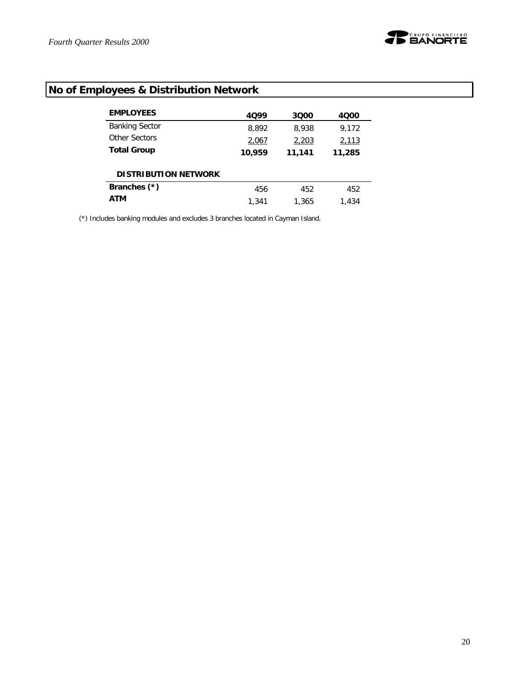

# **No of Employees & Distribution Network**

| <b>EMPLOYEES</b>            | 4099   | 3000   | 4000   |
|-----------------------------|--------|--------|--------|
| <b>Banking Sector</b>       | 8,892  | 8,938  | 9,172  |
| Other Sectors               | 2,067  | 2,203  | 2,113  |
| <b>Total Group</b>          | 10.959 | 11,141 | 11,285 |
| <b>DISTRIBUTION NETWORK</b> |        |        |        |
| Branches (*)                | 456    | 452    | 452    |
| <b>ATM</b>                  | 1,341  | 1.365  | 1,434  |

(\*) Includes banking modules and excludes 3 branches located in Cayman Island.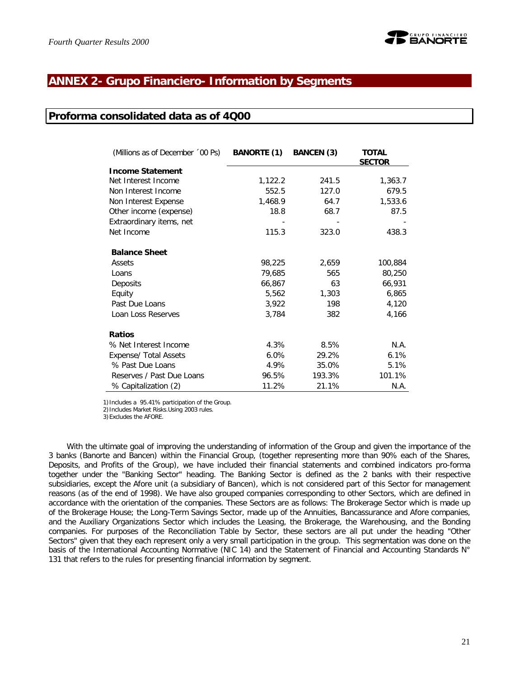

## **ANNEX 2- Grupo Financiero- Information by Segments**

#### **Proforma consolidated data as of 4Q00**

| (Millions as of December '00 Ps) | <b>BANORTE (1)</b> | <b>BANCEN (3)</b> | <b>TOTAL</b><br><b>SECTOR</b> |
|----------------------------------|--------------------|-------------------|-------------------------------|
| <b>Income Statement</b>          |                    |                   |                               |
| Net Interest Income              | 1,122.2            | 241.5             | 1,363.7                       |
| Non Interest Income              | 552.5              | 127.0             | 679.5                         |
| Non Interest Expense             | 1,468.9            | 64.7              | 1,533.6                       |
| Other income (expense)           | 18.8               | 68.7              | 87.5                          |
| Extraordinary items, net         |                    |                   |                               |
| Net Income                       | 115.3              | 323.0             | 438.3                         |
| <b>Balance Sheet</b>             |                    |                   |                               |
| Assets                           | 98,225             | 2,659             | 100,884                       |
| Loans                            | 79,685             | 565               | 80,250                        |
| Deposits                         | 66,867             | 63                | 66,931                        |
| Equity                           | 5,562              | 1,303             | 6,865                         |
| Past Due Loans                   | 3,922              | 198               | 4,120                         |
| Loan Loss Reserves               | 3,784              | 382               | 4,166                         |
| <b>Ratios</b>                    |                    |                   |                               |
| % Net Interest Income            | 4.3%               | 8.5%              | N.A.                          |
| Expense/ Total Assets            | 6.0%               | 29.2%             | 6.1%                          |
| % Past Due Loans                 | 4.9%               | 35.0%             | 5.1%                          |
| Reserves / Past Due Loans        | 96.5%              | 193.3%            | 101.1%                        |
| % Capitalization (2)             | 11.2%              | 21.1%             | N.A.                          |

1)Includes a 95.41% participation of the Group.

2)Includes Market Risks.Using 2003 rules.

3)Excludes the AFORE.

With the ultimate goal of improving the understanding of information of the Group and given the importance of the 3 banks (Banorte and Bancen) within the Financial Group, (together representing more than 90% each of the Shares, Deposits, and Profits of the Group), we have included their financial statements and combined indicators pro-forma together under the "Banking Sector" heading. The Banking Sector is defined as the 2 banks with their respective subsidiaries, except the Afore unit (a subsidiary of Bancen), which is not considered part of this Sector for management reasons (as of the end of 1998). We have also grouped companies corresponding to other Sectors, which are defined in accordance with the orientation of the companies. These Sectors are as follows: The Brokerage Sector which is made up of the Brokerage House; the Long-Term Savings Sector, made up of the Annuities, Bancassurance and Afore companies, and the Auxiliary Organizations Sector which includes the Leasing, the Brokerage, the Warehousing, and the Bonding companies. For purposes of the Reconciliation Table by Sector, these sectors are all put under the heading "Other Sectors" given that they each represent only a very small participation in the group. This segmentation was done on the basis of the International Accounting Normative (NIC 14) and the Statement of Financial and Accounting Standards N° 131 that refers to the rules for presenting financial information by segment.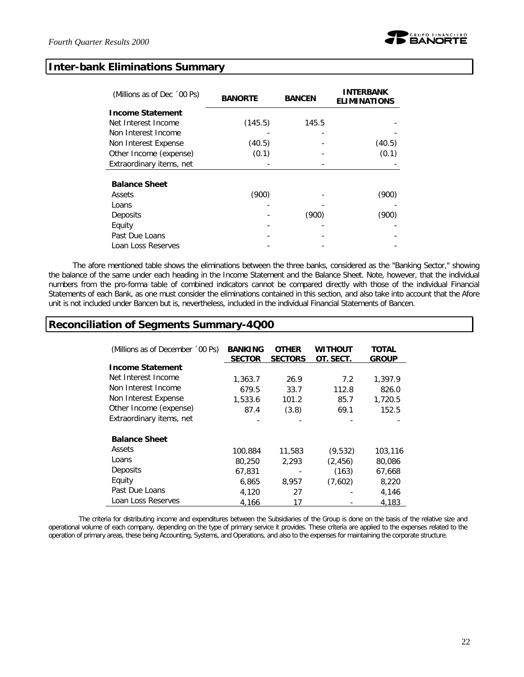#### **Inter-bank Eliminations Summary**

| (Millions as of Dec '00 Ps) | <b>BANORTE</b> | <b>BANCEN</b> | <b>INTERBANK</b><br><b>ELIMINATIONS</b> |
|-----------------------------|----------------|---------------|-----------------------------------------|
| <b>Income Statement</b>     |                |               |                                         |
| Net Interest Income         | (145.5)        | 145.5         |                                         |
| Non Interest Income         |                |               |                                         |
| Non Interest Expense        | (40.5)         |               | (40.5)                                  |
| Other Income (expense)      | (0.1)          |               | (0.1)                                   |
| Extraordinary items, net    |                |               |                                         |
| <b>Balance Sheet</b>        |                |               |                                         |
| Assets                      | (900)          |               | (900)                                   |
| Loans                       |                |               |                                         |
| Deposits                    |                | (900)         | (900)                                   |
| Equity                      |                |               |                                         |
| Past Due Loans              |                |               |                                         |
| Loan Loss Reserves          |                |               |                                         |

The afore mentioned table shows the eliminations between the three banks, considered as the "Banking Sector," showing the balance of the same under each heading in the Income Statement and the Balance Sheet. Note, however, that the individual numbers from the pro-forma table of combined indicators cannot be compared directly with those of the individual Financial Statements of each Bank, as one must consider the eliminations contained in this section, and also take into account that the Afore unit is not included under Bancen but *i*s, nevertheless, included in the individual Financial Statements of Bancen.

### **Reconciliation of Segments Summary-4Q00**

| (Millions as of December '00 Ps) | <b>BANKING</b><br><b>SECTOR</b> | <b>OTHER</b><br><b>SECTORS</b> | <b>WITHOUT</b><br>OT. SECT. | <b>TOTAL</b><br><b>GROUP</b> |
|----------------------------------|---------------------------------|--------------------------------|-----------------------------|------------------------------|
| <b>Income Statement</b>          |                                 |                                |                             |                              |
| Net Interest Income              | 1,363.7                         | 26.9                           | 7.2                         | 1,397.9                      |
| Non Interest Income              | 679.5                           | 33.7                           | 112.8                       | 826.0                        |
| Non Interest Expense             | 1,533.6                         | 101.2                          | 85.7                        | 1,720.5                      |
| Other Income (expense)           | 87.4                            | (3.8)                          | 69.1                        | 152.5                        |
| Extraordinary items, net         |                                 |                                |                             |                              |
| <b>Balance Sheet</b>             |                                 |                                |                             |                              |
| Assets                           | 100,884                         | 11,583                         | (9,532)                     | 103,116                      |
| Loans                            | 80,250                          | 2,293                          | (2, 456)                    | 80,086                       |
| Deposits                         | 67,831                          |                                | (163)                       | 67,668                       |
| Equity                           | 6,865                           | 8,957                          | (7,602)                     | 8,220                        |
| Past Due Loans                   | 4,120                           | 27                             |                             | 4,146                        |
| Loan Loss Reserves               | 4,166                           | 17                             |                             | 4,183                        |

The criteria for distributing income and expenditures between the Subsidiaries of the Group is done on the basis of the relative size and operational volume of each company, depending on the type of primary service it provides. These criteria are applied to the expenses related to the operation of primary areas, these being Accounting, Systems, and Operations, and also to the expenses for maintaining the corporate structure.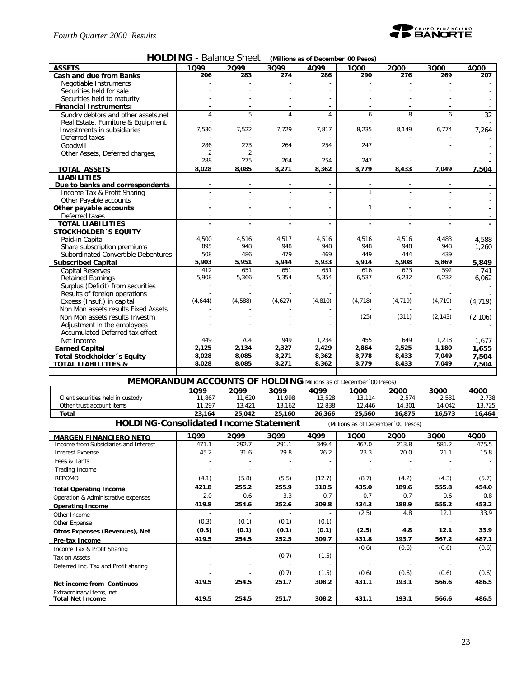

|  | HOLDING - Balance Sheet (Millions as of December '00 Pesos) |
|--|-------------------------------------------------------------|
|--|-------------------------------------------------------------|

| <b>ASSETS</b>                       | 1Q99           | 2099           | 3Q99                     | 4Q99     | 1000                     | 2000     | 3000                     | 4000     |
|-------------------------------------|----------------|----------------|--------------------------|----------|--------------------------|----------|--------------------------|----------|
| Cash and due from Banks             | 206            | 283            | 274                      | 286      | 290                      | 276      | 269                      | 207      |
| Negotiable Instruments              |                |                |                          |          |                          |          |                          |          |
| Securities held for sale            |                |                |                          |          |                          |          |                          |          |
| Securities held to maturity         |                |                |                          |          |                          |          |                          |          |
| <b>Financial Instruments:</b>       |                |                |                          |          |                          |          |                          |          |
| Sundry debtors and other assets.net | 4              | 5              | 4                        | 4        | 6                        | 8        | 6                        | 32       |
| Real Estate, Furniture & Equipment, |                |                |                          |          |                          |          |                          |          |
| Investments in subsidiaries         | 7,530          | 7,522          | 7,729                    | 7,817    | 8,235                    | 8,149    | 6,774                    | 7,264    |
| Deferred taxes                      |                |                |                          |          |                          |          |                          |          |
| Goodwill                            | 286            | 273            | 264                      | 254      | 247                      |          |                          |          |
| Other Assets, Deferred charges,     | $\overline{2}$ | $\overline{2}$ |                          |          |                          |          |                          |          |
|                                     | 288            | 275            | 264                      | 254      | 247                      |          |                          |          |
| <b>TOTAL ASSETS</b>                 | 8,028          | 8,085          | 8,271                    | 8,362    | 8,779                    | 8,433    | 7,049                    | 7,504    |
| <b>LIABILITIES</b>                  |                |                |                          |          |                          |          |                          |          |
| Due to banks and correspondents     |                |                |                          |          |                          |          |                          |          |
| Income Tax & Profit Sharing         |                |                |                          |          | $\mathbf{1}$             |          |                          |          |
| Other Payable accounts              |                |                |                          |          |                          |          |                          |          |
| Other payable accounts              |                |                |                          |          | 1                        |          |                          |          |
| Deferred taxes                      | $\overline{a}$ | $\sim$         | $\overline{\phantom{a}}$ |          | $\overline{\phantom{a}}$ | $\sim$   | $\overline{\phantom{a}}$ |          |
| <b>TOTAL LIABILITIES</b>            |                |                |                          |          |                          |          |                          | $\sim$   |
| <b>STOCKHOLDER 'S EQUITY</b>        |                |                |                          |          |                          |          |                          |          |
| Paid-in Capital                     | 4,500          | 4,516          | 4,517                    | 4,516    | 4,516                    | 4,516    | 4,483                    | 4,588    |
| Share subscription premiums         | 895            | 948            | 948                      | 948      | 948                      | 948      | 948                      | 1,260    |
| Subordinated Convertible Debentures | 508            | 486            | 479                      | 469      | 449                      | 444      | 439                      |          |
| <b>Subscribed Capital</b>           | 5,903          | 5,951          | 5,944                    | 5,933    | 5,914                    | 5,908    | 5,869                    | 5,849    |
| <b>Capital Reserves</b>             | 412            | 651            | 651                      | 651      | 616                      | 673      | 592                      | 741      |
| <b>Retained Earnings</b>            | 5,908          | 5,366          | 5,354                    | 5,354    | 6,537                    | 6,232    | 6,232                    | 6,062    |
| Surplus (Deficit) from securities   |                |                |                          |          |                          |          |                          |          |
| Results of foreign operations       |                |                |                          |          |                          |          |                          |          |
| Excess (Insuf.) in capital          | (4,644)        | (4,588)        | (4,627)                  | (4, 810) | (4, 718)                 | (4, 719) | (4, 719)                 | (4, 719) |
| Non Mon assets results Fixed Assets |                |                |                          |          |                          |          |                          |          |
| Non Mon assets results Investm      |                |                |                          |          | (25)                     | (311)    | (2, 143)                 | (2, 106) |
| Adjustment in the employees         |                |                |                          |          |                          |          |                          |          |
| Accumulated Deferred tax effect     |                |                |                          |          |                          |          |                          |          |
| Net Income                          | 449            | 704            | 949                      | 1,234    | 455                      | 649      | 1,218                    | 1,677    |
| <b>Earned Capital</b>               | 2,125          | 2,134          | 2,327                    | 2,429    | 2,864                    | 2,525    | 1,180                    | 1,655    |
| Total Stockholder's Equity          | 8,028          | 8,085          | 8,271                    | 8,362    | 8,778                    | 8,433    | 7,049                    | 7.504    |
| <b>TOTAL LIABILITIES &amp;</b>      | 8,028          | 8,085          | 8,271                    | 8,362    | 8,779                    | 8,433    | 7,049                    | 7,504    |

**MEMORANDUM ACCOUNTS OF HOLDING***(Millions as of December´00 Pesos)* **1Q99 2Q99 3Q99 4Q99 1Q00 2Q00 3Q00 4Q00** Client securities held in custody 11,867 11,620 11,998 13,528 13,114 2,574 2,531 2,738 Other trust account items 11,297 13,421 13,162 12,838 12,446 14,301 14,042 13,725<br>
Total 16,875 16,573 16,464 **Total 23,164 25,042 25,160 26,366 25,560 16,875 16,573 16,464 HOLDING-Consolidated Income Statement** *(Millions as of December´00 Pesos)*

**MARGEN FINANCIERO NETO 1Q99 2Q99 3Q99 4Q99 1Q00 2Q00 3Q00 4Q00** Income from Subsidiaries and Interest Interest Expense 45.2 31.6 29.8 26.2 23.3 20.0 21.1 15.8 Fees & Tarifs - - - - - - - - Trading Income - - - - - - - - REPOMO (4.1) (5.8) (5.5) (12.7) (8.7) (4.2) (4.3) (5.7) **Total Operating Income 421.8 255.2 255.9 310.5 435.0 189.6 555.8 454.0** Operation & Administrative expenses 2.0 0.6 3.3 0.7 0.7 0.7 0.6 0.8<br>
Operation Income **Operating Income 419.8 254.6 252.6 309.8 434.3 188.9 555.2 453.2** Other Income - - - - (2.5) 4.8 12.1 33.9 Other Expense (0.3) (0.1) (0.1) (0.1) - - - - **Otros Expenses (Revenues), Net (0.3) (0.1) (0.1) (0.1) (2.5) 4.8 12.1 33.9 Pre-tax Income 419.5 254.5 252.5 309.7 431.8 193.7 567.2 487.1** Income Tax & Profit Sharing  $(0.6)$   $(0.6)$   $(0.6)$   $(0.6)$   $(0.6)$   $(0.6)$   $(0.6)$   $(0.6)$   $(0.6)$   $(0.6)$   $(0.6)$   $(0.6)$   $(0.6)$   $(0.6)$   $(0.6)$   $(0.6)$   $(0.6)$   $(0.6)$   $(0.6)$   $(0.6)$   $(0.6)$   $(0.6)$   $(0.6)$   $(0.6)$  Tax on Assets - - (0.7) (1.5) - - - - Deferred Inc. Tax and Profit sharing  $(0.6)$  (0.6)  $(0.6)$  (0.6)  $(0.6)$  (0.6)  $(0.6)$  (0.6)  $(0.6)$  (0.6)  $(0.6)$ - - (0.7) (1.5) (0.6) (0.6) (0.6) (0.6) **Net income from Continuos 419.5 254.5 251.7 308.2 431.1 193.1 566.6 486.5** Extraordinary Items, net | 19.5 254.5 251.7 308.2 431.1 193.1 566.6 486.5 **Total Net Income 419.5 254.5 251.7 308.2 431.1 193.1 566.6 486.5**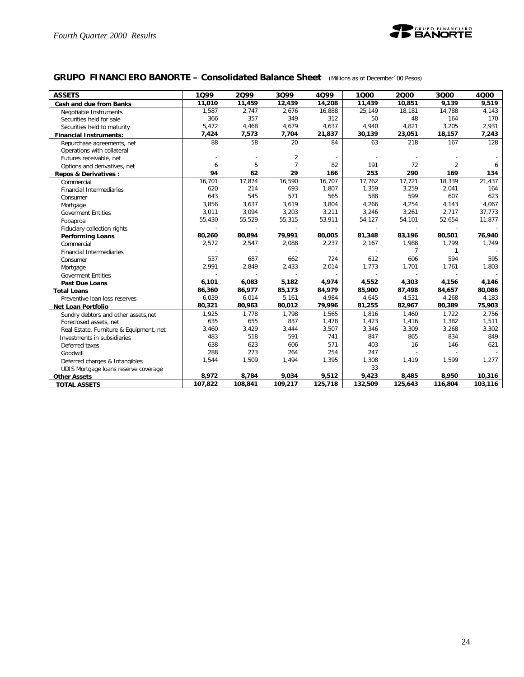

## **GRUPO FINANCIERO BANORTE – Consolidated Balance Sheet** *(Millions as of December´00 Pesos)*

| <b>ASSETS</b>                           | 1099    | 2099    | 3Q99           | 4099                     | 1000                     | 2000           | 3000           | 4000    |
|-----------------------------------------|---------|---------|----------------|--------------------------|--------------------------|----------------|----------------|---------|
| Cash and due from Banks                 | 11,010  | 11,459  | 12,439         | 14,208                   | 11,439                   | 10,851         | 9,139          | 9,519   |
| Negotiable Instruments                  | 1,587   | 2,747   | 2,676          | 16,888                   | 25,149                   | 18,181         | 14,788         | 4,143   |
| Securities held for sale                | 366     | 357     | 349            | 312                      | 50                       | 48             | 164            | 170     |
| Securities held to maturity             | 5,472   | 4,468   | 4,679          | 4,637                    | 4,940                    | 4,821          | 3,205          | 2,931   |
| <b>Financial Instruments:</b>           | 7,424   | 7,573   | 7,704          | 21,837                   | 30,139                   | 23,051         | 18,157         | 7,243   |
| Repurchase agreements, net              | 88      | 58      | 20             | 84                       | 63                       | 218            | 167            | 128     |
| Operations with collateral              |         |         |                |                          |                          |                |                |         |
| Futures receivable, net                 |         |         | $\overline{2}$ | $\overline{a}$           |                          |                |                |         |
| Options and derivatives, net            | 6       | 5       | $\overline{7}$ | 82                       | 191                      | 72             | $\overline{2}$ | 6       |
| <b>Repos &amp; Derivatives:</b>         | 94      | 62      | 29             | 166                      | 253                      | 290            | 169            | 134     |
| Commercial                              | 16,701  | 17,874  | 16,590         | 16,707                   | 17,762                   | 17,721         | 18,339         | 21,437  |
| <b>Financial Intermediaries</b>         | 620     | 214     | 693            | 1,807                    | 1,359                    | 3,259          | 2,041          | 164     |
| Consumer                                | 643     | 545     | 571            | 565                      | 588                      | 599            | 607            | 623     |
| Mortgage                                | 3,856   | 3,637   | 3,619          | 3,804                    | 4,266                    | 4,254          | 4,143          | 4,067   |
| <b>Goverment Entities</b>               | 3,011   | 3,094   | 3,203          | 3,211                    | 3,246                    | 3,261          | 2,717          | 37,773  |
| Fobaproa                                | 55,430  | 55,529  | 55,315         | 53,911                   | 54,127                   | 54,101         | 52,654         | 11,877  |
| Fiduciary collection rights             |         |         |                |                          |                          |                |                |         |
| <b>Performing Loans</b>                 | 80,260  | 80,894  | 79,991         | 80,005                   | 81,348                   | 83,196         | 80,501         | 76,940  |
| Commercial                              | 2,572   | 2,547   | 2,088          | 2,237                    | 2,167                    | 1,988          | 1,799          | 1,749   |
| <b>Financial Intermediaries</b>         |         |         |                |                          |                          | $\overline{7}$ | $\mathbf{1}$   |         |
| Consumer                                | 537     | 687     | 662            | 724                      | 612                      | 606            | 594            | 595     |
| Mortgage                                | 2,991   | 2,849   | 2,433          | 2,014                    | 1,773                    | 1,701          | 1,761          | 1,803   |
| <b>Goverment Entities</b>               |         |         |                | $\overline{\phantom{a}}$ | $\overline{\phantom{a}}$ | $\overline{a}$ | $\sim$         |         |
| <b>Past Due Loans</b>                   | 6,101   | 6,083   | 5,182          | 4,974                    | 4,552                    | 4,303          | 4,156          | 4,146   |
| <b>Total Loans</b>                      | 86,360  | 86,977  | 85,173         | 84,979                   | 85,900                   | 87,498         | 84,657         | 80,086  |
| Preventive loan loss reserves           | 6,039   | 6,014   | 5,161          | 4,984                    | 4,645                    | 4,531          | 4,268          | 4,183   |
| Net Loan Portfolio                      | 80,321  | 80,963  | 80,012         | 79,996                   | 81,255                   | 82,967         | 80,389         | 75,903  |
| Sundry debtors and other assets, net    | 1,925   | 1,778   | 1,798          | 1,565                    | 1,816                    | 1,460          | 1,722          | 2,756   |
| Foreclosed assets, net                  | 635     | 655     | 837            | 1,478                    | 1,423                    | 1,416          | 1,382          | 1,511   |
| Real Estate, Furniture & Equipment, net | 3,460   | 3,429   | 3,444          | 3,507                    | 3,346                    | 3,309          | 3,268          | 3,302   |
| Investments in subsidiaries             | 483     | 518     | 591            | 741                      | 847                      | 865            | 834            | 849     |
| Deferred taxes                          | 638     | 623     | 606            | 571                      | 403                      | 16             | 146            | 621     |
| Goodwill                                | 288     | 273     | 264            | 254                      | 247                      |                |                |         |
| Deferred charges & Intangibles          | 1,544   | 1,509   | 1,494          | 1,395                    | 1,308                    | 1,419          | 1,599          | 1,277   |
| UDIS Mortgage loans reserve coverage    |         |         |                |                          | 33                       |                |                |         |
| <b>Other Assets</b>                     | 8,972   | 8,784   | 9,034          | 9,512                    | 9,423                    | 8,485          | 8,950          | 10,316  |
| <b>TOTAL ASSETS</b>                     | 107,822 | 108,841 | 109,217        | 125,718                  | 132,509                  | 125,643        | 116,804        | 103,116 |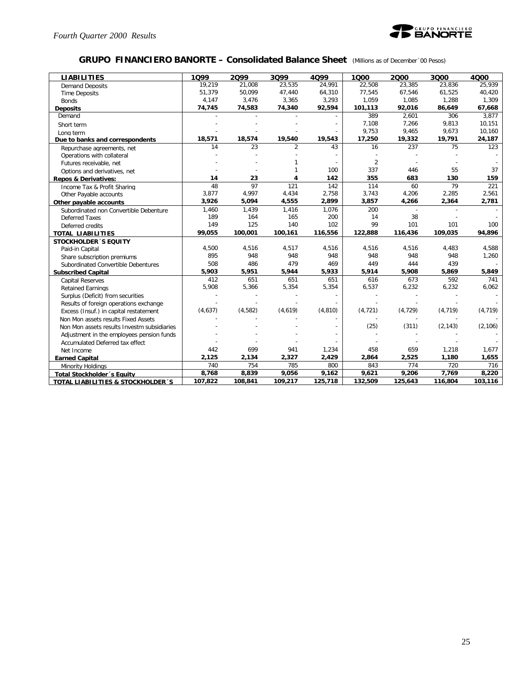

#### **GRUPO FINANCIERO BANORTE – Consolidated Balance Sheet** *(Millions as of December´00 Pesos)*

| <b>LIABILITIES</b>                          | 1099    | 2099    | 3Q99           | 4099     | 1000           | 2000                     | 3000     | 4000     |
|---------------------------------------------|---------|---------|----------------|----------|----------------|--------------------------|----------|----------|
| <b>Demand Deposits</b>                      | 19,219  | 21.008  | 23,535         | 24,991   | 22.508         | 23.385                   | 23.836   | 25,939   |
| <b>Time Deposits</b>                        | 51,379  | 50,099  | 47,440         | 64,310   | 77,545         | 67,546                   | 61,525   | 40,420   |
| <b>Bonds</b>                                | 4,147   | 3,476   | 3,365          | 3,293    | 1,059          | 1,085                    | 1,288    | 1,309    |
| <b>Deposits</b>                             | 74,745  | 74,583  | 74,340         | 92,594   | 101,113        | 92,016                   | 86,649   | 67,668   |
| Demand                                      |         |         |                |          | 389            | 2,601                    | 306      | 3,877    |
| Short term                                  |         |         |                |          | 7.108          | 7,266                    | 9,813    | 10,151   |
| Long term                                   |         |         |                |          | 9,753          | 9,465                    | 9,673    | 10,160   |
| Due to banks and correspondents             | 18,571  | 18,574  | 19,540         | 19,543   | 17,250         | 19,332                   | 19,791   | 24,187   |
| Repurchase agreements, net                  | 14      | 23      | $\overline{2}$ | 43       | 16             | 237                      | 75       | 123      |
| Operations with collateral                  |         |         |                |          |                |                          |          |          |
| Futures receivable, net                     |         |         |                |          | $\overline{2}$ |                          |          |          |
| Options and derivatives, net                |         |         |                | 100      | 337            | 446                      | 55       | 37       |
| <b>Repos &amp; Derivatives:</b>             | 14      | 23      | 4              | 142      | 355            | 683                      | 130      | 159      |
| Income Tax & Profit Sharing                 | 48      | 97      | 121            | 142      | 114            | 60                       | 79       | 221      |
| Other Payable accounts                      | 3,877   | 4,997   | 4,434          | 2,758    | 3,743          | 4,206                    | 2,285    | 2,561    |
| Other payable accounts                      | 3,926   | 5,094   | 4,555          | 2,899    | 3,857          | 4,266                    | 2,364    | 2,781    |
| Subordinated non Convertible Debenture      | 1.460   | 1,439   | 1,416          | 1,076    | 200            | $\overline{\phantom{a}}$ |          |          |
| <b>Deferred Taxes</b>                       | 189     | 164     | 165            | 200      | 14             | 38                       |          |          |
| Deferred credits                            | 149     | 125     | 140            | 102      | 99             | 101                      | 101      | 100      |
| <b>TOTAL LIABILITIES</b>                    | 99,055  | 100,001 | 100,161        | 116,556  | 122,888        | 116,436                  | 109,035  | 94,896   |
| <b>STOCKHOLDER 'S EQUITY</b>                |         |         |                |          |                |                          |          |          |
| Paid-in Capital                             | 4,500   | 4,516   | 4,517          | 4,516    | 4,516          | 4,516                    | 4,483    | 4,588    |
| Share subscription premiums                 | 895     | 948     | 948            | 948      | 948            | 948                      | 948      | 1,260    |
| Subordinated Convertible Debentures         | 508     | 486     | 479            | 469      | 449            | 444                      | 439      |          |
| <b>Subscribed Capital</b>                   | 5,903   | 5,951   | 5,944          | 5,933    | 5,914          | 5,908                    | 5,869    | 5,849    |
| <b>Capital Reserves</b>                     | 412     | 651     | 651            | 651      | 616            | 673                      | 592      | 741      |
| <b>Retained Earnings</b>                    | 5,908   | 5,366   | 5,354          | 5,354    | 6,537          | 6,232                    | 6,232    | 6,062    |
| Surplus (Deficit) from securities           |         |         |                |          |                |                          |          |          |
| Results of foreign operations exchange      |         |         |                |          |                |                          |          |          |
| Excess (Insuf.) in capital restatement      | (4,637) | (4,582) | (4,619)        | (4, 810) | (4, 721)       | (4, 729)                 | (4, 719) | (4, 719) |
| Non Mon assets results Fixed Assets         |         |         |                |          |                |                          |          |          |
| Non Mon assets results Investm subsidiaries |         |         |                |          | (25)           | (311)                    | (2, 143) | (2, 106) |
| Adjustment in the employees pension funds   |         |         |                |          |                |                          |          |          |
| Accumulated Deferred tax effect             |         |         |                |          |                |                          |          |          |
| Net Income                                  | 442     | 699     | 941            | 1,234    | 458            | 659                      | 1,218    | 1,677    |
| <b>Earned Capital</b>                       | 2,125   | 2,134   | 2,327          | 2,429    | 2,864          | 2,525                    | 1,180    | 1,655    |
| Minority Holdings                           | 740     | 754     | 785            | 800      | 843            | 774                      | 720      | 716      |
| <b>Total Stockholder</b> 's Equity          | 8,768   | 8,839   | 9,056          | 9,162    | 9,621          | 9,206                    | 7,769    | 8.220    |
| TOTAL LIABILITIES & STOCKHOLDER 'S          | 107,822 | 108,841 | 109,217        | 125,718  | 132,509        | 125,643                  | 116,804  | 103,116  |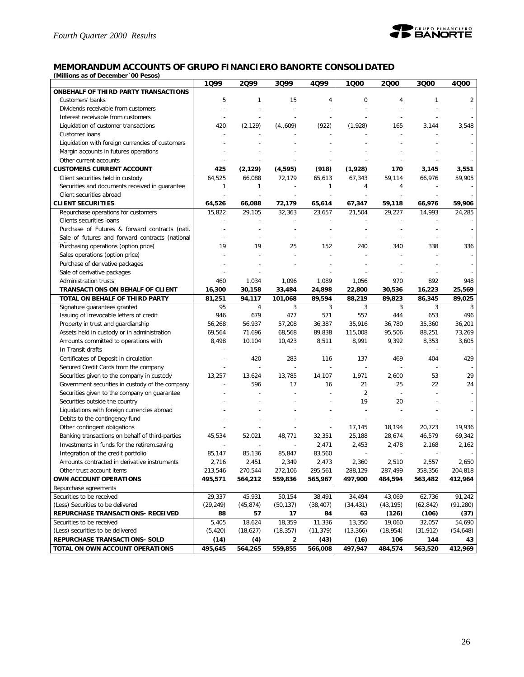

#### **MEMORANDUM ACCOUNTS OF GRUPO FINANCIERO BANORTE CONSOLIDATED**

*(Millions as of December´00 Pesos)*

|                                                  | 1Q99      | 2099                     | 3Q99      | 4Q99      | 1000           | 2000           | 3Q00      | 4Q00      |
|--------------------------------------------------|-----------|--------------------------|-----------|-----------|----------------|----------------|-----------|-----------|
| ONBEHALF OF THIRD PARTY TRANSACTIONS             |           |                          |           |           |                |                |           |           |
| Customers' banks                                 | 5         | 1                        | 15        | 4         | 0              | 4              | 1         | 2         |
| Dividends receivable from customers              |           |                          |           |           |                |                |           |           |
| Interest receivable from customers               |           |                          |           |           |                |                |           |           |
| Liquidation of customer transactions             | 420       | (2, 129)                 | (4.,609)  | (922)     | (1,928)        | 165            | 3,144     | 3,548     |
| Customer Ioans                                   |           |                          |           |           |                |                |           |           |
| Liquidation with foreign currencies of customers |           |                          |           |           |                |                |           |           |
| Margin accounts in futures operations            |           |                          |           |           |                |                |           |           |
| Other current accounts                           |           |                          |           |           |                |                |           |           |
| <b>CUSTOMERS CURRENT ACCOUNT</b>                 | 425       | (2, 129)                 | (4, 595)  | (918)     | (1,928)        | 170            | 3,145     | 3,551     |
| Client securities held in custody                | 64,525    | 66,088                   | 72,179    | 65,613    | 67,343         | 59,114         | 66,976    | 59,905    |
| Securities and documents received in guarantee   | 1         | 1                        |           | 1         | 4              | 4              |           |           |
| Client securities abroad                         |           |                          |           |           |                |                |           |           |
| <b>CLIENT SECURITIES</b>                         | 64,526    | 66,088                   | 72,179    | 65,614    | 67,347         | 59,118         | 66,976    | 59,906    |
| Repurchase operations for customers              | 15,822    | 29,105                   | 32,363    | 23,657    | 21,504         | 29,227         | 14,993    | 24,285    |
| Clients securities loans                         |           |                          |           |           |                |                |           |           |
| Purchase of Futures & forward contracts (nati.   |           |                          |           |           |                |                |           |           |
| Sale of futures and forward contracts (national  |           |                          |           |           |                |                |           |           |
| Purchasing operations (option price)             | 19        | 19                       | 25        | 152       | 240            | 340            | 338       | 336       |
| Sales operations (option price)                  |           |                          |           |           |                |                |           |           |
| Purchase of derivative packages                  |           |                          |           |           |                |                |           |           |
| Sale of derivative packages                      |           |                          |           |           |                |                |           |           |
| Administration trusts                            | 460       | 1,034                    | 1,096     | 1,089     | 1,056          | 970            | 892       | 948       |
| <b>TRANSACTIONS ON BEHALF OF CLIENT</b>          | 16,300    | 30,158                   | 33,484    | 24,898    | 22,800         | 30,536         | 16,223    | 25,569    |
| TOTAL ON BEHALF OF THIRD PARTY                   | 81,251    | 94,117                   | 101,068   | 89,594    | 88,219         | 89,823         | 86,345    | 89,025    |
| Signature guarantees granted                     | 95        | 4                        | 3         | 3         | 3              | 3              | 3         | 3         |
| Issuing of irrevocable letters of credit         | 946       | 679                      | 477       | 571       | 557            | 444            | 653       | 496       |
| Property in trust and guardianship               | 56.268    | 56,937                   | 57,208    | 36,387    | 35,916         | 36,780         | 35,360    | 36,201    |
| Assets held in custody or in administration      | 69,564    | 71,696                   | 68,568    | 89,838    | 115,008        | 95,506         | 88,251    | 73,269    |
| Amounts committed to operations with             | 8,498     | 10,104                   | 10,423    | 8,511     | 8,991          | 9,392          | 8,353     | 3,605     |
| In Transit drafts                                |           |                          |           |           |                |                |           |           |
| Certificates of Deposit in circulation           |           | 420                      | 283       | 116       | 137            | 469            | 404       | 429       |
| Secured Credit Cards from the company            |           | $\overline{\phantom{a}}$ | ÷,        |           |                |                |           |           |
| Securities given to the company in custody       | 13,257    | 13,624                   | 13,785    | 14,107    | 1,971          | 2,600          | 53        | 29        |
| Government securities in custody of the company  |           | 596                      | 17        | 16        | 21             | 25             | 22        | 24        |
| Securities given to the company on guarantee     |           |                          |           |           | $\overline{2}$ | $\overline{a}$ |           |           |
| Securities outside the country                   |           |                          |           |           | 19             | 20             |           |           |
| Liquidations with foreign currencies abroad      |           |                          |           |           |                |                |           |           |
| Debits to the contingency fund                   |           |                          |           |           |                |                |           |           |
| Other contingent obligations                     |           |                          |           |           | 17,145         | 18,194         | 20,723    | 19,936    |
| Banking transactions on behalf of third-parties  | 45,534    | 52,021                   | 48,771    | 32,351    | 25,188         | 28,674         | 46,579    | 69,342    |
| Investments in funds for the retirem saving      |           |                          |           | 2,471     | 2,453          | 2,478          | 2,168     | 2,162     |
| Integration of the credit portfolio              | 85,147    | 85,136                   | 85,847    | 83,560    |                |                |           |           |
| Amounts contracted in derivative instruments     | 2.716     | 2,451                    | 2,349     | 2,473     | 2,360          | 2,510          | 2,557     | 2,650     |
| Other trust account items                        | 213,546   | 270,544                  | 272,106   | 295,561   | 288,129        | 287,499        | 358,356   | 204,818   |
| OWN ACCOUNT OPERATIONS                           | 495,571   | 564,212                  | 559,836   | 565,967   | 497,900        | 484,594        | 563,482   | 412,964   |
| Repurchase agreements                            |           |                          |           |           |                |                |           |           |
| Securities to be received                        | 29,337    | 45,931                   | 50,154    | 38,491    | 34,494         | 43,069         | 62,736    | 91,242    |
| (Less) Securities to be delivered                | (29, 249) | (45, 874)                | (50, 137) | (38, 407) | (34, 431)      | (43, 195)      | (62, 842) | (91, 280) |
| REPURCHASE TRANSACTIONS- RECEIVED                | 88        | 57                       | 17        | 84        | 63             | (126)          | (106)     | (37)      |
| Securities to be received                        | 5,405     | 18,624                   | 18,359    | 11,336    | 13,350         | 19,060         | 32,057    | 54,690    |
| (Less) securities to be delivered                | (5, 420)  | (18,627)                 | (18, 357) | (11, 379) | (13, 366)      | (18, 954)      | (31, 912) | (54, 648) |
| REPURCHASE TRANSACTIONS- SOLD                    | (14)      | (4)                      | 2         | (43)      | (16)           | 106            | 144       | 43        |
| TOTAL ON OWN ACCOUNT OPERATIONS                  | 495,645   | 564,265                  | 559,855   | 566,008   | 497,947        | 484,574        | 563,520   | 412,969   |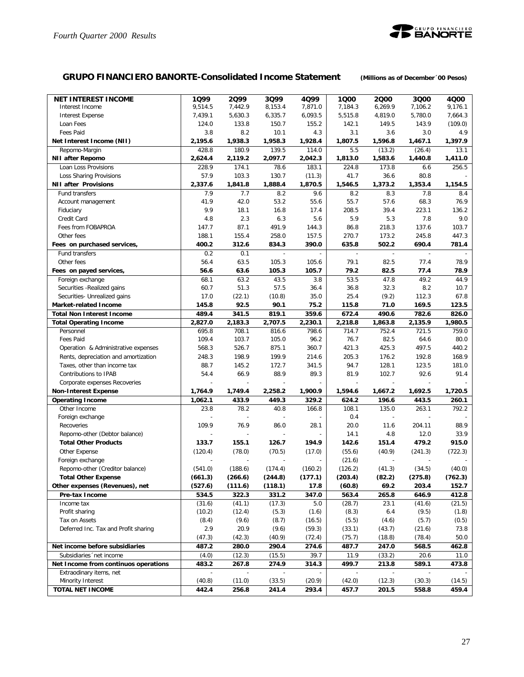

## **GRUPO FINANCIERO BANORTE-Consolidated Income Statement** *(Millions as of December´00 Pesos)*

| <b>NET INTEREST INCOME</b>           | 1Q99    | 2099                     | 3Q99                     | 4Q99    | 1Q00    | 2000                     | 3000                     | 4Q00    |
|--------------------------------------|---------|--------------------------|--------------------------|---------|---------|--------------------------|--------------------------|---------|
| Interest Income                      | 9,514.5 | 7,442.9                  | 8,153.4                  | 7,871.0 | 7,184.3 | 6,269.9                  | 7,106.2                  | 9,176.1 |
| <b>Interest Expense</b>              | 7,439.1 | 5,630.3                  | 6,335.7                  | 6,093.5 | 5,515.8 | 4,819.0                  | 5,780.0                  | 7,664.3 |
| Loan Fees                            | 124.0   | 133.8                    | 150.7                    | 155.2   | 142.1   | 149.5                    | 143.9                    | (109.0) |
| Fees Paid                            | 3.8     | 8.2                      | 10.1                     | 4.3     | 3.1     | 3.6                      | 3.0                      | 4.9     |
| Net Interest Income (NII)            | 2.195.6 | 1,938.3                  | 1,958.3                  | 1,928.4 | 1,807.5 | 1,596.8                  | 1,467.1                  | 1,397.9 |
| Repomo-Margin                        | 428.8   | 180.9                    | 139.5                    | 114.0   | 5.5     | (13.2)                   | (26.4)                   | 13.1    |
| NII after Repomo                     | 2,624.4 | 2,119.2                  | 2,097.7                  | 2,042.3 | 1,813.0 | 1,583.6                  | 1,440.8                  | 1,411.0 |
| Loan Loss Provisions                 | 228.9   | 174.1                    | 78.6                     | 183.1   | 224.8   | 173.8                    | 6.6                      | 256.5   |
| Loss Sharing Provisions              | 57.9    | 103.3                    | 130.7                    | (11.3)  | 41.7    | 36.6                     | 80.8                     |         |
| <b>NII after Provisions</b>          | 2,337.6 | 1,841.8                  | 1,888.4                  | 1,870.5 | 1,546.5 | 1,373.2                  | 1,353.4                  | 1,154.5 |
| Fund transfers                       | 7.9     | 7.7                      | 8.2                      | 9.6     | 8.2     | 8.3                      | 7.8                      | 8.4     |
| Account management                   | 41.9    | 42.0                     | 53.2                     | 55.6    | 55.7    | 57.6                     | 68.3                     | 76.9    |
| Fiduciary                            | 9.9     | 18.1                     | 16.8                     | 17.4    | 208.5   | 39.4                     | 223.1                    | 136.2   |
| Credit Card                          | 4.8     | 2.3                      | 6.3                      | 5.6     | 5.9     | 5.3                      | 7.8                      | 9.0     |
| Fees from FOBAPROA                   | 147.7   | 87.1                     | 491.9                    | 144.3   | 86.8    | 218.3                    | 137.6                    | 103.7   |
| Other fees                           | 188.1   | 155.4                    | 258.0                    | 157.5   | 270.7   | 173.2                    | 245.8                    | 447.3   |
| Fees on purchased services,          | 400.2   | 312.6                    | 834.3                    | 390.0   | 635.8   | 502.2                    | 690.4                    | 781.4   |
| Fund transfers                       | 0.2     | 0.1                      | $\sim$                   |         |         | $\mathbb{Z}$             | $\overline{\phantom{a}}$ |         |
| Other fees                           | 56.4    | 63.5                     | 105.3                    | 105.6   | 79.1    | 82.5                     | 77.4                     | 78.9    |
| Fees on payed services,              | 56.6    | 63.6                     | 105.3                    | 105.7   | 79.2    | 82.5                     | 77.4                     | 78.9    |
| Foreign exchange                     | 68.1    | 63.2                     | 43.5                     | 3.8     | 53.5    | 47.8                     | 49.2                     | 44.9    |
| Securities - Realized gains          | 60.7    | 51.3                     | 57.5                     | 36.4    | 36.8    | 32.3                     | 8.2                      | 10.7    |
| Securities- Unrealized gains         | 17.0    | (22.1)                   | (10.8)                   | 35.0    | 25.4    | (9.2)                    | 112.3                    | 67.8    |
| <b>Market-related Income</b>         | 145.8   | 92.5                     | 90.1                     | 75.2    | 115.8   | 71.0                     | 169.5                    | 123.5   |
| <b>Total Non Interest Income</b>     | 489.4   | 341.5                    | 819.1                    | 359.6   | 672.4   | 490.6                    | 782.6                    | 826.0   |
| <b>Total Operating Income</b>        | 2,827.0 | 2,183.3                  | 2,707.5                  | 2,230.1 | 2,218.8 | 1,863.8                  | 2,135.9                  | 1,980.5 |
| Personnel                            | 695.8   | 708.1                    | 816.6                    | 798.6   | 714.7   | 752.4                    | 721.5                    | 759.0   |
| <b>Fees Paid</b>                     | 109.4   | 103.7                    | 105.0                    | 96.2    | 76.7    | 82.5                     | 64.6                     | 80.0    |
| Operation & Administrative expenses  | 568.3   | 526.7                    | 875.1                    | 360.7   | 421.3   | 425.3                    | 497.5                    | 440.2   |
| Rents, depreciation and amortization | 248.3   | 198.9                    | 199.9                    | 214.6   | 205.3   | 176.2                    | 192.8                    | 168.9   |
| Taxes, other than income tax         | 88.7    | 145.2                    | 172.7                    | 341.5   | 94.7    | 128.1                    | 123.5                    | 181.0   |
| Contributions to IPAB                | 54.4    | 66.9                     | 88.9                     | 89.3    | 81.9    | 102.7                    | 92.6                     | 91.4    |
| Corporate expenses Recoveries        |         |                          | $\overline{a}$           |         |         |                          |                          |         |
| <b>Non-Interest Expense</b>          | 1,764.9 | 1,749.4                  | 2,258.2                  | 1,900.9 | 1,594.6 | 1,667.2                  | 1,692.5                  | 1,720.5 |
| <b>Operating Income</b>              | 1,062.1 | 433.9                    | 449.3                    | 329.2   | 624.2   | 196.6                    | 443.5                    | 260.1   |
| Other Income                         | 23.8    | 78.2                     | 40.8                     | 166.8   | 108.1   | 135.0                    | 263.1                    | 792.2   |
| Foreign exchange                     |         |                          |                          |         | 0.4     |                          |                          |         |
| Recoveries                           | 109.9   | 76.9                     | 86.0                     | 28.1    | 20.0    | 11.6                     | 204.11                   | 88.9    |
| Repomo-other (Debtor balance)        |         | $\overline{\phantom{a}}$ |                          |         | 14.1    | 4.8                      | 12.0                     | 33.9    |
| <b>Total Other Products</b>          | 133.7   | 155.1                    | 126.7                    | 194.9   | 142.6   | 151.4                    | 479.2                    | 915.0   |
| Other Expense                        | (120.4) | (78.0)                   | (70.5)                   | (17.0)  | (55.6)  | (40.9)                   | (241.3)                  | (722.3) |
| Foreign exchange                     |         | $\overline{a}$           | $\overline{\phantom{a}}$ |         | (21.6)  | $\overline{\phantom{a}}$ | $\overline{\phantom{a}}$ |         |
| Repomo-other (Creditor balance)      | (541.0) | (188.6)                  | (174.4)                  | (160.2) | (126.2) | (41.3)                   | (34.5)                   | (40.0)  |
| <b>Total Other Expense</b>           | (661.3) | (266.6)                  | (244.8)                  | (177.1) | (203.4) | (82.2)                   | (275.8)                  | (762.3) |
| Other expenses (Revenues), net       | (527.6) | (111.6)                  | (118.1)                  | 17.8    | (60.8)  | 69.2                     | 203.4                    | 152.7   |
| Pre-tax Income                       | 534.5   | 322.3                    | 331.2                    | 347.0   | 563.4   | 265.8                    | 646.9                    | 412.8   |
| Income tax                           | (31.6)  | (41.1)                   | (17.3)                   | 5.0     | (28.7)  | 23.1                     | (41.6)                   | (21.5)  |
| Profit sharing                       | (10.2)  | (12.4)                   | (5.3)                    | (1.6)   | (8.3)   | 6.4                      | (9.5)                    | (1.8)   |
| Tax on Assets                        | (8.4)   | (9.6)                    | (8.7)                    | (16.5)  | (5.5)   | (4.6)                    | (5.7)                    | (0.5)   |
| Deferred Inc. Tax and Profit sharing | 2.9     | 20.9                     | (9.6)                    | (59.3)  | (33.1)  | (43.7)                   | (21.6)                   | 73.8    |
|                                      | (47.3)  | (42.3)                   | (40.9)                   | (72.4)  | (75.7)  | (18.8)                   | (78.4)                   | 50.0    |
| Net income before subsidiaries       | 487.2   | 280.0                    | 290.4                    | 274.6   | 487.7   | 247.0                    | 568.5                    | 462.8   |
| Subsidiaries 'net income             | (4.0)   | (12.3)                   | (15.5)                   | 39.7    | 11.9    | (33.2)                   | 20.6                     | 11.0    |
| Net Income from continuos operations | 483.2   | 267.8                    | 274.9                    | 314.3   | 499.7   | 213.8                    | 589.1                    | 473.8   |
| Extraodinary items, net              |         |                          |                          |         |         |                          |                          |         |
| Minority Interest                    | (40.8)  | (11.0)                   | (33.5)                   | (20.9)  | (42.0)  | (12.3)                   | (30.3)                   | (14.5)  |
| <b>TOTAL NET INCOME</b>              | 442.4   | 256.8                    | 241.4                    | 293.4   | 457.7   | 201.5                    | 558.8                    | 459.4   |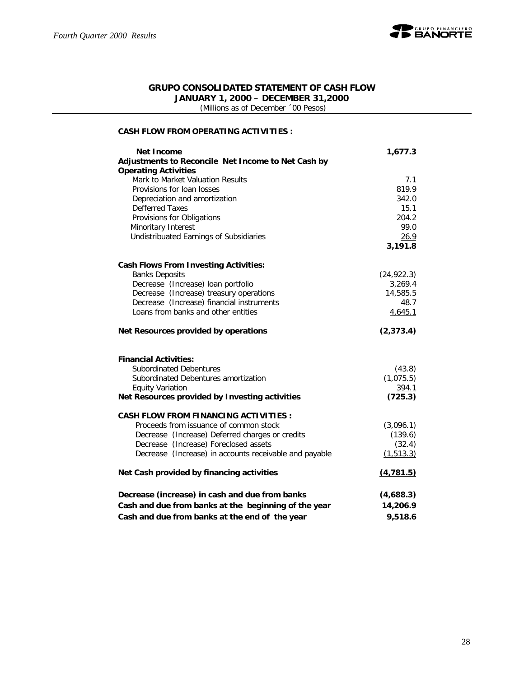

#### **GRUPO CONSOLIDATED STATEMENT OF CASH FLOW JANUARY 1, 2000 – DECEMBER 31,2000**

 *(Millions as of December ´00 Pesos)*

#### **CASH FLOW FROM OPERATING ACTIVITIES :**

| Net Income                                             | 1,677.3     |
|--------------------------------------------------------|-------------|
| Adjustments to Reconcile Net Income to Net Cash by     |             |
| <b>Operating Activities</b>                            |             |
| Mark to Market Valuation Results                       | 7.1         |
| Provisions for loan losses                             | 819.9       |
| Depreciation and amortization                          | 342.0       |
| <b>Defferred Taxes</b>                                 | 15.1        |
| Provisions for Obligations                             | 204.2       |
| Minoritary Interest                                    | 99.0        |
| Undistribuated Earnings of Subsidiaries                | 26.9        |
|                                                        | 3,191.8     |
| <b>Cash Flows From Investing Activities:</b>           |             |
| <b>Banks Deposits</b>                                  | (24, 922.3) |
| Decrease (Increase) loan portfolio                     | 3,269.4     |
| Decrease (Increase) treasury operations                | 14,585.5    |
| Decrease (Increase) financial instruments              | 48.7        |
| Loans from banks and other entities                    | 4,645.1     |
|                                                        |             |
| Net Resources provided by operations                   | (2, 373.4)  |
|                                                        |             |
| <b>Financial Activities:</b>                           |             |
| <b>Subordinated Debentures</b>                         | (43.8)      |
| Subordinated Debentures amortization                   | (1,075.5)   |
| <b>Equity Variation</b>                                | 394.1       |
| Net Resources provided by Investing activities         | (725.3)     |
| <b>CASH FLOW FROM FINANCING ACTIVITIES:</b>            |             |
| Proceeds from issuance of common stock                 | (3,096.1)   |
| Decrease (Increase) Deferred charges or credits        | (139.6)     |
| Decrease (Increase) Foreclosed assets                  | (32.4)      |
| Decrease (Increase) in accounts receivable and payable | (1, 513.3)  |
| Net Cash provided by financing activities              | (4, 781.5)  |
| Decrease (increase) in cash and due from banks         | (4,688.3)   |
| Cash and due from banks at the beginning of the year   | 14,206.9    |
| Cash and due from banks at the end of the year         | 9,518.6     |
|                                                        |             |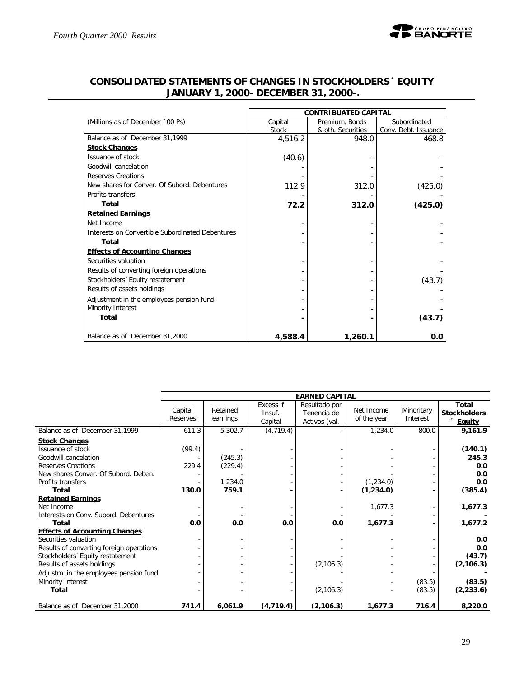

|                                                  |         | <b>CONTRIBUATED CAPITAL</b> |                      |
|--------------------------------------------------|---------|-----------------------------|----------------------|
| (Millions as of December '00 Ps)                 | Capital | Premium, Bonds              | Subordinated         |
|                                                  | Stock   | & oth. Securities           | Conv. Debt. Issuance |
| Balance as of December 31,1999                   | 4,516.2 | 948.0                       | 468.8                |
| <b>Stock Changes</b>                             |         |                             |                      |
| Issuance of stock                                | (40.6)  |                             |                      |
| Goodwill cancelation                             |         |                             |                      |
| Reserves Creations                               |         |                             |                      |
| New shares for Conver, Of Subord, Debentures     | 112.9   | 312.0                       | (425.0)              |
| Profits transfers                                |         |                             |                      |
| Total                                            | 72.2    | 312.0                       | (425.0)              |
| <b>Retained Earnings</b>                         |         |                             |                      |
| Net Income                                       |         |                             |                      |
| Interests on Convertible Subordinated Debentures |         |                             |                      |
| Total                                            |         |                             |                      |
| <b>Effects of Accounting Changes</b>             |         |                             |                      |
| Securities valuation                             |         |                             |                      |
| Results of converting foreign operations         |         |                             |                      |
| Stockholders 'Equity restatement                 |         |                             | (43.7)               |
| Results of assets holdings                       |         |                             |                      |
| Adjustment in the employees pension fund         |         |                             |                      |
| Minority Interest                                |         |                             |                      |
| Total                                            |         |                             | (43.7)               |
| Balance as of December 31,2000                   | 4,588.4 | 1,260.1                     | 0.0                  |

## **CONSOLIDATED STATEMENTS OF CHANGES IN STOCKHOLDERS´ EQUITY JANUARY 1, 2000- DECEMBER 31, 2000-.**

|                                          |                     |                      |                                | <b>EARNED CAPITAL</b>                         |                           |                        |                                                      |
|------------------------------------------|---------------------|----------------------|--------------------------------|-----------------------------------------------|---------------------------|------------------------|------------------------------------------------------|
|                                          | Capital<br>Reserves | Retained<br>earnings | Excess if<br>Insuf.<br>Capital | Resultado por<br>Tenencia de<br>Activos (val. | Net Income<br>of the year | Minoritary<br>Interest | <b>Total</b><br><b>Stockholders</b><br><b>Equity</b> |
| Balance as of December 31,1999           | 611.3               | 5,302.7              | (4, 719.4)                     |                                               | 1,234.0                   | 800.0                  | 9,161.9                                              |
| <b>Stock Changes</b>                     |                     |                      |                                |                                               |                           |                        |                                                      |
| Issuance of stock                        | (99.4)              |                      |                                |                                               |                           |                        | (140.1)                                              |
| Goodwill cancelation                     |                     | (245.3)              |                                |                                               |                           |                        | 245.3                                                |
| <b>Reserves Creations</b>                | 229.4               | (229.4)              |                                |                                               |                           |                        | 0.0                                                  |
| New shares Conver. Of Subord. Deben.     |                     |                      |                                |                                               |                           |                        | 0.0                                                  |
| Profits transfers                        |                     | 1,234.0              |                                |                                               | (1,234.0)                 |                        | 0.0                                                  |
| Total                                    | 130.0               | 759.1                |                                |                                               | (1,234.0)                 |                        | (385.4)                                              |
| <b>Retained Earnings</b>                 |                     |                      |                                |                                               |                           |                        |                                                      |
| Net Income                               |                     |                      |                                |                                               | 1,677.3                   |                        | 1,677.3                                              |
| Interests on Conv. Subord. Debentures    |                     |                      |                                |                                               |                           |                        |                                                      |
| Total                                    | 0.0                 | 0.0                  | 0.0                            | 0.0                                           | 1,677.3                   |                        | 1,677.2                                              |
| <b>Effects of Accounting Changes</b>     |                     |                      |                                |                                               |                           |                        |                                                      |
| Securities valuation                     |                     |                      |                                |                                               |                           |                        | 0.0<br>0.0                                           |
| Results of converting foreign operations |                     |                      |                                |                                               |                           |                        |                                                      |
| Stockholders Equity restatement          |                     |                      |                                |                                               |                           |                        | (43.7)                                               |
| Results of assets holdings               |                     |                      |                                | (2, 106.3)                                    |                           |                        | (2, 106.3)                                           |
| Adjustm. in the employees pension fund   |                     |                      |                                |                                               |                           |                        |                                                      |
| Minority Interest                        |                     |                      |                                |                                               |                           | (83.5)                 | (83.5)                                               |
| Total                                    |                     |                      |                                | (2, 106.3)                                    |                           | (83.5)                 | (2, 233.6)                                           |
| Balance as of December 31,2000           | 741.4               | 6,061.9              | (4,719.4)                      | (2, 106.3)                                    | 1,677.3                   | 716.4                  | 8,220.0                                              |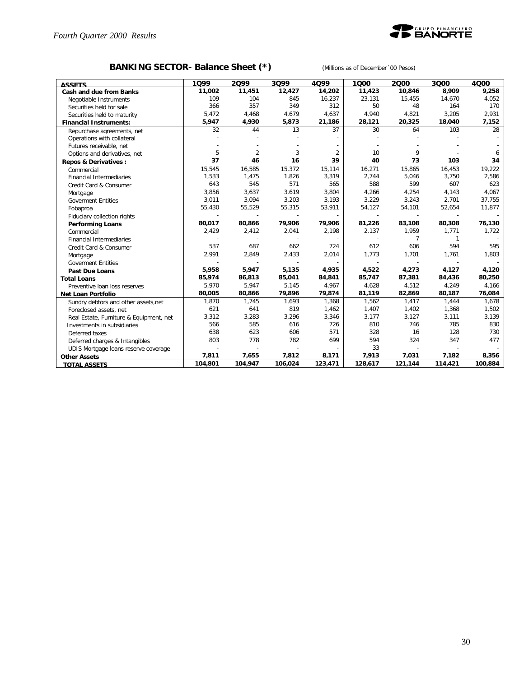

## **BANKING SECTOR- Balance Sheet (\*)** *(Millions as of December´00 Pesos)*

| <b>ASSETS</b>                           | 1099    | 2099           | 3099    | 4099           | 1000    | 2000    | 3000    | 4000    |
|-----------------------------------------|---------|----------------|---------|----------------|---------|---------|---------|---------|
| Cash and due from Banks                 | 11,002  | 11,451         | 12,427  | 14,202         | 11,423  | 10,846  | 8,909   | 9,258   |
| Negotiable Instruments                  | 109     | 104            | 845     | 16,237         | 23,131  | 15,455  | 14,670  | 4,052   |
| Securities held for sale                | 366     | 357            | 349     | 312            | 50      | 48      | 164     | 170     |
| Securities held to maturity             | 5,472   | 4,468          | 4,679   | 4,637          | 4,940   | 4,821   | 3,205   | 2,931   |
| <b>Financial Instruments:</b>           | 5.947   | 4,930          | 5,873   | 21,186         | 28,121  | 20,325  | 18,040  | 7,152   |
| Repurchase agreements, net              | 32      | 44             | 13      | 37             | 30      | 64      | 103     | 28      |
| Operations with collateral              |         |                |         |                |         |         |         |         |
| Futures receivable, net                 |         |                |         |                |         |         |         |         |
| Options and derivatives, net            | 5       | $\overline{2}$ | 3       | $\overline{2}$ | 10      | 9       |         | 6       |
| Repos & Derivatives :                   | 37      | 46             | 16      | 39             | 40      | 73      | 103     | 34      |
| Commercial                              | 15,545  | 16,585         | 15,372  | 15,114         | 16,271  | 15,865  | 16,453  | 19,222  |
| Financial Intermediaries                | 1,533   | 1,475          | 1,826   | 3,319          | 2,744   | 5,046   | 3,750   | 2,586   |
| Credit Card & Consumer                  | 643     | 545            | 571     | 565            | 588     | 599     | 607     | 623     |
| Mortgage                                | 3,856   | 3,637          | 3,619   | 3,804          | 4,266   | 4,254   | 4,143   | 4,067   |
| <b>Goverment Entities</b>               | 3,011   | 3,094          | 3,203   | 3,193          | 3,229   | 3,243   | 2,701   | 37,755  |
| Fobaproa                                | 55,430  | 55,529         | 55,315  | 53,911         | 54,127  | 54,101  | 52,654  | 11,877  |
| Fiduciary collection rights             |         |                |         |                |         |         |         |         |
| <b>Performing Loans</b>                 | 80,017  | 80,866         | 79,906  | 79,906         | 81,226  | 83,108  | 80,308  | 76,130  |
| Commercial                              | 2,429   | 2,412          | 2,041   | 2,198          | 2,137   | 1,959   | 1,771   | 1,722   |
| Financial Intermediaries                |         |                |         |                |         | 7       | 1       |         |
| Credit Card & Consumer                  | 537     | 687            | 662     | 724            | 612     | 606     | 594     | 595     |
| Mortgage                                | 2,991   | 2,849          | 2,433   | 2,014          | 1,773   | 1,701   | 1,761   | 1,803   |
| <b>Goverment Entities</b>               |         |                |         |                |         |         |         |         |
| <b>Past Due Loans</b>                   | 5,958   | 5,947          | 5,135   | 4,935          | 4,522   | 4,273   | 4,127   | 4,120   |
| <b>Total Loans</b>                      | 85,974  | 86,813         | 85,041  | 84,841         | 85,747  | 87,381  | 84,436  | 80,250  |
| Preventive loan loss reserves           | 5,970   | 5,947          | 5,145   | 4,967          | 4,628   | 4,512   | 4,249   | 4,166   |
| Net Loan Portfolio                      | 80,005  | 80,866         | 79,896  | 79,874         | 81,119  | 82,869  | 80,187  | 76,084  |
| Sundry debtors and other assets, net    | 1,870   | 1,745          | 1,693   | 1,368          | 1,562   | 1,417   | 1,444   | 1,678   |
| Foreclosed assets, net                  | 621     | 641            | 819     | 1,462          | 1,407   | 1,402   | 1,368   | 1,502   |
| Real Estate, Furniture & Equipment, net | 3,312   | 3,283          | 3,296   | 3,346          | 3,177   | 3,127   | 3,111   | 3,139   |
| Investments in subsidiaries             | 566     | 585            | 616     | 726            | 810     | 746     | 785     | 830     |
| Deferred taxes                          | 638     | 623            | 606     | 571            | 328     | 16      | 128     | 730     |
| Deferred charges & Intangibles          | 803     | 778            | 782     | 699            | 594     | 324     | 347     | 477     |
| UDIS Mortgage loans reserve coverage    |         |                |         |                | 33      |         |         |         |
| <b>Other Assets</b>                     | 7,811   | 7,655          | 7,812   | 8,171          | 7,913   | 7,031   | 7,182   | 8,356   |
| <b>TOTAL ASSETS</b>                     | 104,801 | 104,947        | 106,024 | 123,471        | 128,617 | 121,144 | 114,421 | 100,884 |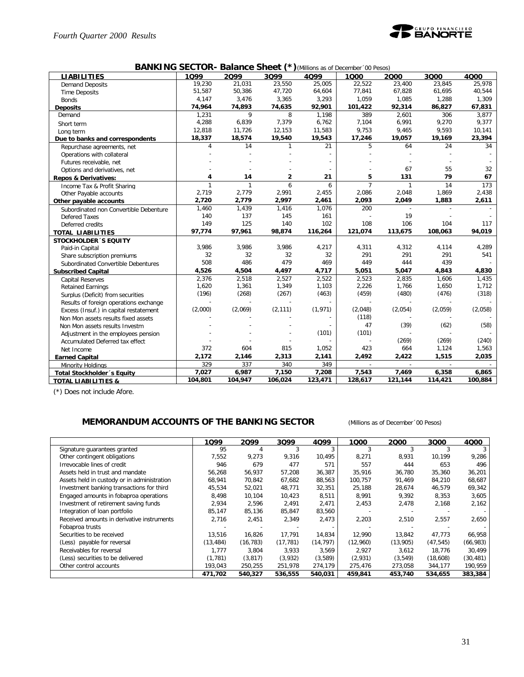

#### **BANKING SECTOR- Balance Sheet (\*)***(Millions as of December´00 Pesos)*

| <b>LIABILITIES</b>                     | ,,,,,<br>1099 | <b>DUIDING ONG PR</b><br>2Q99 | 3Q99         | 4Q99     | $\int$ ( <i>willions as or December</i> of <i>resus)</i><br>1000 | 2000    | 3000    | 4000    |
|----------------------------------------|---------------|-------------------------------|--------------|----------|------------------------------------------------------------------|---------|---------|---------|
| <b>Demand Deposits</b>                 | 19.230        | 21,031                        | 23,550       | 25,005   | 22,522                                                           | 23,400  | 23,845  | 25,978  |
| <b>Time Deposits</b>                   | 51,587        | 50,386                        | 47,720       | 64,604   | 77,841                                                           | 67,828  | 61,695  | 40,544  |
| <b>Bonds</b>                           | 4,147         | 3,476                         | 3,365        | 3,293    | 1,059                                                            | 1,085   | 1,288   | 1,309   |
| <b>Deposits</b>                        | 74,964        | 74,893                        | 74,635       | 92,901   | 101,422                                                          | 92,314  | 86,827  | 67,831  |
| Demand                                 | 1,231         | 9                             | 8            | 1,198    | 389                                                              | 2,601   | 306     | 3,877   |
| Short term                             | 4,288         | 6,839                         | 7,379        | 6,762    | 7,104                                                            | 6,991   | 9,270   | 9,377   |
| Long term                              | 12,818        | 11,726                        | 12,153       | 11,583   | 9,753                                                            | 9,465   | 9,593   | 10,141  |
| Due to banks and correspondents        | 18,337        | 18,574                        | 19,540       | 19,543   | 17,246                                                           | 19,057  | 19,169  | 23,394  |
| Repurchase agreements, net             | 4             | 14                            | $\mathbf{1}$ | 21       | 5                                                                | 64      | 24      | 34      |
| Operations with collateral             |               |                               |              |          |                                                                  |         |         |         |
| Futures receivable, net                |               |                               |              |          |                                                                  |         |         |         |
| Options and derivatives, net           |               |                               |              |          |                                                                  | 67      | 55      | 32      |
| <b>Repos &amp; Derivatives:</b>        | 4             | 14                            | 2            | 21       | 5                                                                | 131     | 79      | 67      |
| Income Tax & Profit Sharing            | $\mathbf{1}$  | $\mathbf{1}$                  | 6            | 6        | $\overline{7}$                                                   | 1       | 14      | 173     |
| Other Payable accounts                 | 2,719         | 2,779                         | 2,991        | 2,455    | 2,086                                                            | 2,048   | 1,869   | 2,438   |
| Other payable accounts                 | 2,720         | 2,779                         | 2,997        | 2,461    | 2,093                                                            | 2,049   | 1,883   | 2,611   |
| Subordinated non Convertible Debenture | 1,460         | 1,439                         | 1,416        | 1,076    | 200                                                              |         |         |         |
| <b>Defered Taxes</b>                   | 140           | 137                           | 145          | 161      |                                                                  | 19      |         |         |
| Deferred credits                       | 149           | 125                           | 140          | 102      | 108                                                              | 106     | 104     | 117     |
| <b>TOTAL LIABILITIES</b>               | 97,774        | 97,961                        | 98,874       | 116,264  | 121,074                                                          | 113,675 | 108,063 | 94,019  |
| <b>STOCKHOLDER 'S EQUITY</b>           |               |                               |              |          |                                                                  |         |         |         |
| Paid-in Capital                        | 3,986         | 3,986                         | 3,986        | 4,217    | 4,311                                                            | 4,312   | 4,114   | 4,289   |
| Share subscription premiums            | 32            | 32                            | 32           | 32       | 291                                                              | 291     | 291     | 541     |
| Subordinated Convertible Debentures    | 508           | 486                           | 479          | 469      | 449                                                              | 444     | 439     |         |
| <b>Subscribed Capital</b>              | 4,526         | 4,504                         | 4,497        | 4,717    | 5,051                                                            | 5,047   | 4,843   | 4,830   |
| <b>Capital Reserves</b>                | 2,376         | 2,518                         | 2,527        | 2,522    | 2,523                                                            | 2,835   | 1,606   | 1,435   |
| <b>Retained Earnings</b>               | 1,620         | 1,361                         | 1,349        | 1,103    | 2,226                                                            | 1,766   | 1,650   | 1,712   |
| Surplus (Deficit) from securities      | (196)         | (268)                         | (267)        | (463)    | (459)                                                            | (480)   | (476)   | (318)   |
| Results of foreign operations exchange |               |                               |              |          |                                                                  |         |         |         |
| Excess (Insuf.) in capital restatement | (2,000)       | (2,069)                       | (2, 111)     | (1, 971) | (2,048)                                                          | (2,054) | (2,059) | (2,058) |
| Non Mon assets results fixed assets    |               |                               |              |          | (118)                                                            |         |         |         |
| Non Mon assets results Investm         |               |                               |              |          | 47                                                               | (39)    | (62)    | (58)    |
| Adjustment in the employees pension    |               |                               |              | (101)    | (101)                                                            |         |         |         |
| Accumulated Deferred tax effect        |               |                               |              |          |                                                                  | (269)   | (269)   | (240)   |
| Net Income                             | 372           | 604                           | 815          | 1,052    | 423                                                              | 664     | 1,124   | 1,563   |
| <b>Earned Capital</b>                  | 2,172         | 2,146                         | 2,313        | 2,141    | 2,492                                                            | 2,422   | 1,515   | 2,035   |
| Minority Holdings                      | 329           | 337                           | 340          | 349      | $\overline{a}$                                                   | $\sim$  | $\sim$  |         |
| Total Stockholder's Equity             | 7,027         | 6,987                         | 7,150        | 7,208    | 7,543                                                            | 7,469   | 6,358   | 6,865   |
| <b>TOTAL LIABILITIES &amp;</b>         | 104,801       | 104,947                       | 106,024      | 123,471  | 128,617                                                          | 121,144 | 114,421 | 100,884 |

(\*) Does not include Afore.

#### **MEMORANDUM ACCOUNTS OF THE BANKING SECTOR** *(Millions as of December´00 Pesos)*

|                                             | 1Q99      | 2099      | 3Q99      | 4Q99      | 1000     | 2000     | 3000      | 4000      |
|---------------------------------------------|-----------|-----------|-----------|-----------|----------|----------|-----------|-----------|
|                                             |           |           |           |           |          |          |           |           |
| Signature guarantees granted                | 95        |           |           | 3         |          |          |           |           |
| Other contingent obligations                | 7,552     | 9,273     | 9,316     | 10,495    | 8,271    | 8,931    | 10,199    | 9,286     |
| Irrevocable lines of credit                 | 946       | 679       | 477       | 571       | 557      | 444      | 653       | 496       |
| Assets held in trust and mandate            | 56,268    | 56,937    | 57,208    | 36,387    | 35,916   | 36,780   | 35,360    | 36,201    |
| Assets held in custody or in administration | 68,941    | 70,842    | 67,682    | 88,563    | 100.757  | 91,469   | 84,210    | 68,687    |
| Investment banking transactions for third   | 45,534    | 52,021    | 48,771    | 32,351    | 25,188   | 28,674   | 46,579    | 69,342    |
| Engaged amounts in fobaproa operations      | 8,498     | 10,104    | 10,423    | 8,511     | 8,991    | 9,392    | 8,353     | 3,605     |
| Investment of retirement saving funds       | 2,934     | 2,596     | 2,491     | 2,471     | 2,453    | 2,478    | 2,168     | 2,162     |
| Integration of loan portfolio               | 85,147    | 85,136    | 85,847    | 83,560    |          |          |           |           |
| Received amounts in derivative instruments  | 2,716     | 2,451     | 2,349     | 2,473     | 2,203    | 2,510    | 2,557     | 2,650     |
| Fobaproa trusts                             |           |           |           |           |          |          |           |           |
| Securities to be received                   | 13,516    | 16,826    | 17,791    | 14,834    | 12,990   | 13,842   | 47,773    | 66,958    |
| (Less) payable for reversal                 | (13, 484) | (16, 783) | (17, 781) | (14, 797) | (12,960) | (13,905) | (47, 545) | (66, 983) |
| Receivables for reversal                    | .777      | 3.804     | 3.933     | 3.569     | 2.927    | 3.612    | 18.776    | 30,499    |
| (Less) securities to be delivered           | (1, 781)  | (3, 817)  | (3,932)   | (3,589)   | (2,931)  | (3, 549) | (18,608)  | (30, 481) |
| Other control accounts                      | 193,043   | 250,255   | 251,978   | 274,179   | 275,476  | 273,058  | 344,177   | 190,959   |
|                                             | 471,702   | 540,327   | 536,555   | 540,031   | 459,841  | 453,740  | 534,655   | 383,384   |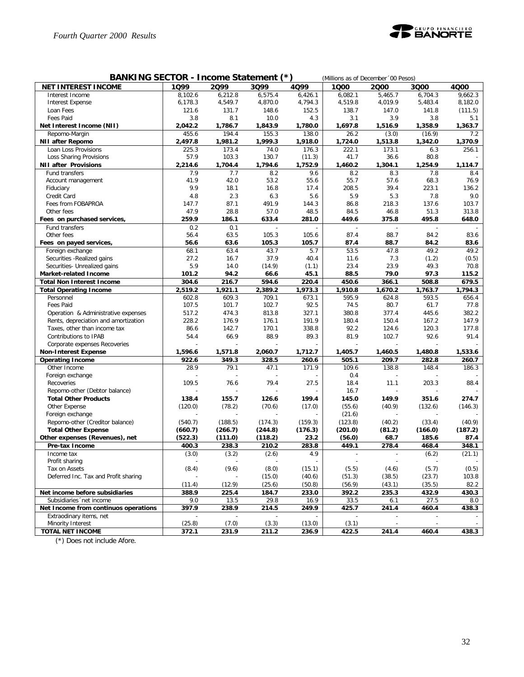

| BANKING SECTOR - Income Statement (*)<br>(Millions as of December '00 Pesos) |                    |         |                                   |                  |                          |                        |                  |              |  |  |
|------------------------------------------------------------------------------|--------------------|---------|-----------------------------------|------------------|--------------------------|------------------------|------------------|--------------|--|--|
| <b>NET INTEREST INCOME</b>                                                   | 1Q99               | 2099    | 3Q99                              | 4Q99             | 1000                     | 2000                   | 3000             | 4Q00         |  |  |
| Interest Income                                                              | 8,102.6            | 6,212.8 | 6,575.4                           | 6,426.1          | 6,082.1                  | 5,465.7                | 6,704.3          | 9,662.3      |  |  |
| <b>Interest Expense</b>                                                      | 6,178.3            | 4,549.7 | 4,870.0                           | 4,794.3          | 4,519.8                  | 4,019.9                | 5,483.4          | 8,182.0      |  |  |
| Loan Fees                                                                    | 121.6              | 131.7   | 148.6                             | 152.5            | 138.7                    | 147.0                  | 141.8            | (111.5)      |  |  |
| Fees Paid                                                                    | 3.8                | 8.1     | 10.0                              | 4.3              | 3.1                      | 3.9                    | 3.8              | 5.1          |  |  |
| Net Interest Income (NII)                                                    | 2,042.2            | 1,786.7 | 1,843.9                           | 1,780.0          | 1,697.8                  | 1,516.9                | 1,358.9          | 1,363.7      |  |  |
| Repomo-Margin                                                                | 455.6              | 194.4   | 155.3                             | 138.0            | 26.2                     | (3.0)                  | (16.9)           | 7.2          |  |  |
| <b>NII after Repomo</b>                                                      | 2,497.8            | 1,981.2 | 1,999.3                           | 1,918.0          | 1,724.0                  | 1,513.8                | 1,342.0          | 1,370.9      |  |  |
| Loan Loss Provisions                                                         | 225.3              | 173.4   | 74.0                              | 176.3            | 222.1                    | 173.1                  | 6.3              | 256.1        |  |  |
| Loss Sharing Provisions                                                      | 57.9               | 103.3   | 130.7                             | (11.3)           | 41.7                     | 36.6                   | 80.8             |              |  |  |
| <b>NII after Provisions</b>                                                  | 2,214.6            | 1,704.4 | 1,794.6                           | 1,752.9          | 1,460.2                  | 1,304.1                | 1,254.9          | 1,114.7      |  |  |
| Fund transfers                                                               | 7.9                | 7.7     | 8.2                               | 9.6              | 8.2                      | 8.3                    | 7.8              | 8.4          |  |  |
| Account management                                                           | 41.9               | 42.0    | 53.2                              | 55.6             | 55.7                     | 57.6                   | 68.3             | 76.9         |  |  |
| Fiduciary                                                                    | 9.9                | 18.1    | 16.8                              | 17.4             | 208.5                    | 39.4                   | 223.1            | 136.2        |  |  |
| Credit Card                                                                  | 4.8                | 2.3     | 6.3                               | 5.6              | 5.9                      | 5.3                    | 7.8              | 9.0          |  |  |
| Fees from FOBAPROA                                                           | 147.7              | 87.1    | 491.9                             | 144.3            | 86.8                     | 218.3                  | 137.6            | 103.7        |  |  |
| Other fees                                                                   | 47.9               | 28.8    | 57.0                              | 48.5             | 84.5                     | 46.8                   | 51.3             | 313.8        |  |  |
| Fees on purchased services,                                                  | 259.9              | 186.1   | 633.4                             | 281.0            | 449.6                    | 375.8                  | 495.8            | 648.0        |  |  |
| Fund transfers                                                               | 0.2                | 0.1     | $\overline{a}$                    |                  | $\overline{a}$           | ÷,                     |                  |              |  |  |
| Other fees                                                                   | 56.4               | 63.5    | 105.3                             | 105.6            | 87.4                     | 88.7                   | 84.2             | 83.6         |  |  |
| Fees on payed services,                                                      | 56.6               | 63.6    | 105.3                             | 105.7            | 87.4                     | 88.7                   | 84.2             | 83.6         |  |  |
| Foreign exchange                                                             | 68.1               | 63.4    | 43.7                              | 5.7              | 53.5                     | 47.8                   | 49.2             | 49.2         |  |  |
| Securities - Realized gains                                                  | 27.2               | 16.7    | 37.9                              | 40.4             | 11.6                     | 7.3                    | (1.2)            | (0.5)        |  |  |
| Securities- Unrealized gains                                                 | 5.9                | 14.0    | (14.9)                            | (1.1)            | 23.4                     | 23.9                   | 49.3             | 70.8         |  |  |
| <b>Market-related Income</b>                                                 | 101.2              | 94.2    | 66.6                              | 45.1             | 88.5                     | 79.0                   | 97.3             | 115.2        |  |  |
| <b>Total Non Interest Income</b>                                             | 304.6              | 216.7   | 594.6                             | 220.4            | 450.6                    | 366.1                  | 508.8            | 679.5        |  |  |
| <b>Total Operating Income</b>                                                | 2,519.2            | 1,921.1 | 2,389.2                           | 1,973.3          | 1,910.8                  | 1,670.2                | 1,763.7          | 1,794.3      |  |  |
| Personnel                                                                    | 602.8              | 609.3   | 709.1                             | 673.1            | 595.9                    | 624.8                  | 593.5            | 656.4        |  |  |
| Fees Paid                                                                    | 107.5              | 101.7   | 102.7                             | 92.5             | 74.5                     | 80.7                   | 61.7             | 77.8         |  |  |
| Operation & Administrative expenses                                          | 517.2              | 474.3   | 813.8                             | 327.1            | 380.8                    | 377.4                  | 445.6            | 382.2        |  |  |
| Rents, depreciation and amortization                                         | 228.2              | 176.9   | 176.1                             | 191.9            | 180.4                    | 150.4                  | 167.2            | 147.9        |  |  |
| Taxes, other than income tax                                                 | 86.6               | 142.7   | 170.1                             | 338.8            | 92.2                     | 124.6                  | 120.3            | 177.8        |  |  |
| Contributions to IPAB                                                        | 54.4               | 66.9    | 88.9                              | 89.3             | 81.9                     | 102.7                  | 92.6             | 91.4         |  |  |
| Corporate expenses Recoveries                                                |                    |         |                                   |                  |                          |                        |                  |              |  |  |
| <b>Non-Interest Expense</b>                                                  | 1,596.6            | 1,571.8 | 2,060.7                           | 1,712.7          | 1,405.7                  | 1,460.5                | 1,480.8          | 1,533.6      |  |  |
| <b>Operating Income</b>                                                      | 922.6              | 349.3   | 328.5                             | 260.6            | 505.1                    | 209.7                  | 282.8            | 260.7        |  |  |
| Other Income                                                                 | 28.9               | 79.1    | 47.1                              | 171.9            | 109.6                    | 138.8                  | 148.4            | 186.3        |  |  |
| Foreign exchange                                                             |                    |         |                                   |                  | 0.4                      |                        |                  |              |  |  |
| Recoveries                                                                   | 109.5              | 76.6    | 79.4                              | 27.5             | 18.4                     | 11.1<br>$\overline{a}$ | 203.3            | 88.4         |  |  |
| Repomo-other (Debtor balance)                                                |                    |         |                                   |                  | 16.7                     |                        |                  |              |  |  |
| <b>Total Other Products</b>                                                  | 138.4              | 155.7   | 126.6                             | 199.4            | 145.0                    | 149.9                  | 351.6            | 274.7        |  |  |
| Other Expense                                                                | (120.0)            | (78.2)  | (70.6)                            | (17.0)           | (55.6)                   | (40.9)                 | (132.6)          | (146.3)      |  |  |
| Foreign exchange                                                             |                    |         |                                   |                  | (21.6)                   |                        |                  |              |  |  |
| Repomo-other (Creditor balance)                                              | (540.7)            | (188.5) | (174.3)                           | (159.3)          | (123.8)                  | (40.2)                 | (33.4)           | (40.9)       |  |  |
| <b>Total Other Expense</b>                                                   | (660.7)<br>(522.3) | (266.7) | (244.8)                           | (176.3)          | (201.0)                  | (81.2)<br>68.7         | (166.0)<br>185.6 | (187.2)      |  |  |
| Other expenses (Revenues), net                                               |                    | (111.0) | (118.2)                           | 23.2             | (56.0)<br>449.1          |                        |                  | 87.4         |  |  |
| Pre-tax Income                                                               | 400.3              | 238.3   | 210.2                             | 283.8<br>4.9     |                          | 278.4                  | 468.4            | 348.1        |  |  |
| Income tax                                                                   | (3.0)              | (3.2)   | (2.6)                             |                  | $\overline{\phantom{a}}$ |                        | (6.2)            | (21.1)       |  |  |
| Profit sharing<br>Tax on Assets                                              | (8.4)              | (9.6)   | $\overline{\phantom{a}}$<br>(8.0) | (15.1)           | (5.5)                    | (4.6)                  | (5.7)            | (0.5)        |  |  |
| Deferred Inc. Tax and Profit sharing                                         |                    |         |                                   |                  |                          | (38.5)                 |                  | 103.8        |  |  |
|                                                                              | (11.4)             | (12.9)  | (15.0)<br>(25.6)                  | (40.6)<br>(50.8) | (51.3)<br>(56.9)         | (43.1)                 | (23.7)<br>(35.5) | 82.2         |  |  |
| Net income before subsidiaries                                               | 388.9              | 225.4   | 184.7                             | 233.0            | 392.2                    | 235.3                  | 432.9            |              |  |  |
| Subsidiaries 'net income                                                     | 9.0                | 13.5    | 29.8                              | 16.9             | 33.5                     | 6.1                    | 27.5             | 430.3<br>8.0 |  |  |
| Net Income from continuos operations                                         | 397.9              | 238.9   | 214.5                             | 249.9            | 425.7                    | 241.4                  | 460.4            | 438.3        |  |  |
| Extraodinary items, net                                                      |                    |         |                                   |                  |                          |                        |                  |              |  |  |
| Minority Interest                                                            | (25.8)             | (7.0)   | (3.3)                             | (13.0)           | (3.1)                    |                        |                  |              |  |  |
| <b>TOTAL NET INCOME</b>                                                      | 372.1              | 231.9   | 211.2                             | 236.9            | 422.5                    | 241.4                  | 460.4            | 438.3        |  |  |

(\*) Does not include Afore.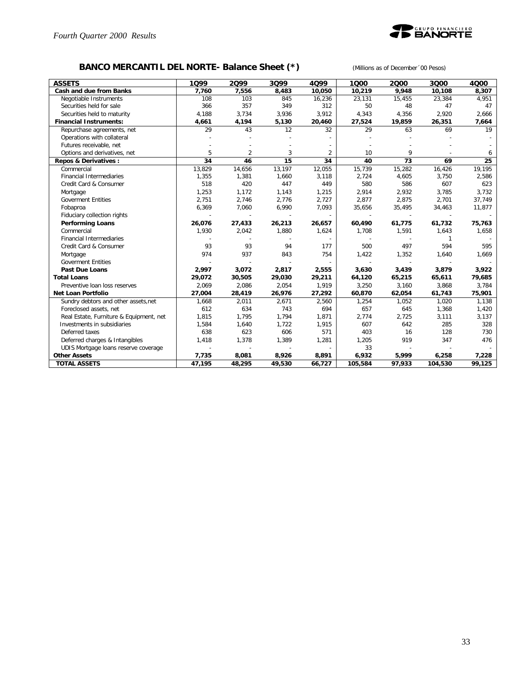

## **BANCO MERCANTIL DEL NORTE- Balance Sheet (\*)** *(Millions as of December´00 Pesos)*

| <b>ASSETS</b>                           | 1099   | 2099           | 3099   | 4099           | 1000    | 2000   | 3000    | 4000   |
|-----------------------------------------|--------|----------------|--------|----------------|---------|--------|---------|--------|
| Cash and due from Banks                 | 7,760  | 7,556          | 8,483  | 10,050         | 10,219  | 9,948  | 10,108  | 8,307  |
| Negotiable Instruments                  | 108    | 103            | 845    | 16,236         | 23,131  | 15,455 | 23,384  | 4,951  |
| Securities held for sale                | 366    | 357            | 349    | 312            | 50      | 48     | 47      | 47     |
| Securities held to maturity             | 4,188  | 3,734          | 3,936  | 3,912          | 4,343   | 4,356  | 2,920   | 2,666  |
| <b>Financial Instruments:</b>           | 4,661  | 4,194          | 5,130  | 20,460         | 27,524  | 19,859 | 26,351  | 7,664  |
| Repurchase agreements, net              | 29     | 43             | 12     | 32             | 29      | 63     | 69      | 19     |
| Operations with collateral              |        |                |        |                |         |        |         |        |
| Futures receivable, net                 |        |                |        |                |         |        |         |        |
| Options and derivatives, net            | 5      | $\overline{2}$ | 3      | $\overline{2}$ | 10      | 9      |         | 6      |
| <b>Repos &amp; Derivatives:</b>         | 34     | 46             | 15     | 34             | 40      | 73     | 69      | 25     |
| Commercial                              | 13,829 | 14,656         | 13,197 | 12,055         | 15,739  | 15,282 | 16,426  | 19,195 |
| <b>Financial Intermediaries</b>         | 1,355  | 1,381          | 1,660  | 3,118          | 2,724   | 4,605  | 3,750   | 2,586  |
| Credit Card & Consumer                  | 518    | 420            | 447    | 449            | 580     | 586    | 607     | 623    |
| Mortgage                                | 1,253  | 1,172          | 1,143  | 1,215          | 2,914   | 2,932  | 3,785   | 3,732  |
| <b>Goverment Entities</b>               | 2,751  | 2,746          | 2,776  | 2,727          | 2,877   | 2,875  | 2,701   | 37,749 |
| Fobaproa                                | 6,369  | 7,060          | 6,990  | 7,093          | 35,656  | 35,495 | 34,463  | 11,877 |
| Fiduciary collection rights             |        |                |        |                |         |        |         |        |
| <b>Performing Loans</b>                 | 26,076 | 27,433         | 26,213 | 26,657         | 60,490  | 61,775 | 61,732  | 75,763 |
| Commercial                              | 1,930  | 2,042          | 1,880  | 1,624          | 1,708   | 1,591  | 1,643   | 1,658  |
| <b>Financial Intermediaries</b>         |        |                |        |                |         |        | 1       |        |
| Credit Card & Consumer                  | 93     | 93             | 94     | 177            | 500     | 497    | 594     | 595    |
| Mortgage                                | 974    | 937            | 843    | 754            | 1,422   | 1,352  | 1,640   | 1,669  |
| <b>Goverment Entities</b>               |        |                |        |                |         |        |         |        |
| Past Due Loans                          | 2,997  | 3,072          | 2,817  | 2,555          | 3,630   | 3,439  | 3,879   | 3,922  |
| <b>Total Loans</b>                      | 29,072 | 30,505         | 29,030 | 29,211         | 64,120  | 65,215 | 65,611  | 79,685 |
| Preventive loan loss reserves           | 2,069  | 2,086          | 2,054  | 1,919          | 3,250   | 3,160  | 3,868   | 3,784  |
| <b>Net Loan Portfolio</b>               | 27,004 | 28,419         | 26,976 | 27,292         | 60,870  | 62,054 | 61,743  | 75,901 |
| Sundry debtors and other assets, net    | 1,668  | 2,011          | 2,671  | 2,560          | 1,254   | 1,052  | 1,020   | 1.138  |
| Foreclosed assets, net                  | 612    | 634            | 743    | 694            | 657     | 645    | 1,368   | 1,420  |
| Real Estate, Furniture & Equipment, net | 1,815  | 1,795          | 1,794  | 1,871          | 2,774   | 2,725  | 3,111   | 3,137  |
| Investments in subsidiaries             | 1,584  | 1,640          | 1,722  | 1,915          | 607     | 642    | 285     | 328    |
| Deferred taxes                          | 638    | 623            | 606    | 571            | 403     | 16     | 128     | 730    |
| Deferred charges & Intangibles          | 1,418  | 1,378          | 1,389  | 1,281          | 1,205   | 919    | 347     | 476    |
| UDIS Mortgage loans reserve coverage    |        |                |        |                | 33      |        |         |        |
| <b>Other Assets</b>                     | 7,735  | 8,081          | 8,926  | 8,891          | 6,932   | 5,999  | 6,258   | 7,228  |
| <b>TOTAL ASSETS</b>                     | 47,195 | 48,295         | 49,530 | 66,727         | 105,584 | 97,933 | 104,530 | 99,125 |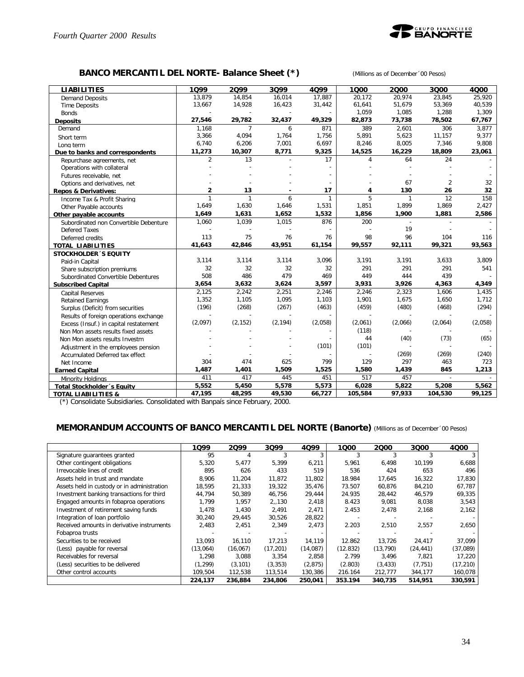

## **BANCO MERCANTIL DEL NORTE- Balance Sheet (\*)** *(Millions as of December´00 Pesos)*

| <b>LIABILITIES</b>                     | 1099           | 2099           | 3099     | 4099         | 1000    | 2000    | 3000           | 4000    |
|----------------------------------------|----------------|----------------|----------|--------------|---------|---------|----------------|---------|
| <b>Demand Deposits</b>                 | 13,879         | 14,854         | 16,014   | 17,887       | 20,172  | 20,974  | 23,845         | 25,920  |
| <b>Time Deposits</b>                   | 13,667         | 14,928         | 16,423   | 31,442       | 61,641  | 51,679  | 53,369         | 40,539  |
| <b>Bonds</b>                           |                |                |          |              | 1,059   | 1,085   | 1,288          | 1,309   |
| <b>Deposits</b>                        | 27,546         | 29,782         | 32,437   | 49,329       | 82,873  | 73,738  | 78,502         | 67,767  |
| Demand                                 | 1,168          | $\overline{7}$ | 6        | 871          | 389     | 2,601   | 306            | 3,877   |
| Short term                             | 3,366          | 4,094          | 1,764    | 1,756        | 5,891   | 5,623   | 11,157         | 9,377   |
| Long term                              | 6,740          | 6,206          | 7,001    | 6,697        | 8,246   | 8,005   | 7,346          | 9,808   |
| Due to banks and correspondents        | 11,273         | 10,307         | 8,771    | 9,325        | 14,525  | 16,229  | 18,809         | 23,061  |
| Repurchase agreements, net             | $\overline{2}$ | 13             |          | 17           | 4       | 64      | 24             |         |
| Operations with collateral             |                |                |          |              |         |         |                |         |
| Futures receivable, net                |                |                |          |              |         |         |                |         |
| Options and derivatives, net           |                |                |          |              |         | 67      | $\overline{2}$ | 32      |
| <b>Repos &amp; Derivatives:</b>        | $\overline{2}$ | 13             |          | 17           | 4       | 130     | 26             | 32      |
| Income Tax & Profit Sharing            | $\mathbf{1}$   | $\mathbf{1}$   | 6        | $\mathbf{1}$ | 5       | 1       | 12             | 158     |
| Other Payable accounts                 | 1,649          | 1,630          | 1,646    | 1,531        | 1,851   | 1,899   | 1,869          | 2,427   |
| Other payable accounts                 | 1,649          | 1,631          | 1,652    | 1,532        | 1,856   | 1,900   | 1,881          | 2,586   |
| Subordinated non Convertible Debenture | 1,060          | 1,039          | 1,015    | 876          | 200     |         |                |         |
| <b>Defered Taxes</b>                   |                |                |          |              |         | 19      |                |         |
| Deferred credits                       | 113            | 75             | 76       | 76           | 98      | 96      | 104            | 116     |
| <b>TOTAL LIABILITIES</b>               | 41,643         | 42,846         | 43,951   | 61,154       | 99,557  | 92,111  | 99,321         | 93,563  |
| <b>STOCKHOLDER 'S EQUITY</b>           |                |                |          |              |         |         |                |         |
| Paid-in Capital                        | 3,114          | 3,114          | 3,114    | 3,096        | 3,191   | 3,191   | 3,633          | 3,809   |
| Share subscription premiums            | 32             | 32             | 32       | 32           | 291     | 291     | 291            | 541     |
| Subordinated Convertible Debentures    | 508            | 486            | 479      | 469          | 449     | 444     | 439            |         |
| <b>Subscribed Capital</b>              | 3,654          | 3,632          | 3,624    | 3,597        | 3,931   | 3,926   | 4,363          | 4,349   |
| <b>Capital Reserves</b>                | 2,125          | 2,242          | 2,251    | 2,246        | 2,246   | 2,323   | 1,606          | 1,435   |
| <b>Retained Earnings</b>               | 1,352          | 1,105          | 1,095    | 1,103        | 1,901   | 1,675   | 1,650          | 1,712   |
| Surplus (Deficit) from securities      | (196)          | (268)          | (267)    | (463)        | (459)   | (480)   | (468)          | (294)   |
| Results of foreign operations exchange |                |                |          |              |         |         |                |         |
| Excess (Insuf.) in capital restatement | (2,097)        | (2, 152)       | (2, 194) | (2,058)      | (2,061) | (2,066) | (2,064)        | (2,058) |
| Non Mon assets results fixed assets    |                |                |          |              | (118)   |         |                |         |
| Non Mon assets results Investm         |                |                |          |              | 44      | (40)    | (73)           | (65)    |
| Adjustment in the employees pension    |                |                |          | (101)        | (101)   |         |                |         |
| Accumulated Deferred tax effect        |                |                |          |              |         | (269)   | (269)          | (240)   |
| Net Income                             | 304            | 474            | 625      | 799          | 129     | 297     | 463            | 723     |
| <b>Earned Capital</b>                  | 1,487          | 1,401          | 1,509    | 1,525        | 1,580   | 1,439   | 845            | 1,213   |
| Minority Holdings                      | 411            | 417            | 445      | 451          | 517     | 457     | $\overline{a}$ |         |
| <b>Total Stockholder</b> 's Equity     | 5,552          | 5,450          | 5,578    | 5,573        | 6,028   | 5,822   | 5,208          | 5,562   |
| <b>TOTAL LIABILITIES &amp;</b>         | 47,195         | 48,295         | 49,530   | 66,727       | 105,584 | 97,933  | 104,530        | 99,125  |

(\*) Consolidate Subsidiaries. Consolidated with Banpaís since February, 2000.

#### **MEMORANDUM ACCOUNTS OF BANCO MERCANTIL DEL NORTE (Banorte)** *(Millions as of December´00 Pesos)*

|                                             | 1099     | 2099     | 3099      | 4Q99     | 1Q00     | 2000      | 3000      | 4000      |
|---------------------------------------------|----------|----------|-----------|----------|----------|-----------|-----------|-----------|
| Signature guarantees granted                | 95       |          |           | 3        |          |           |           |           |
| Other contingent obligations                | 5,320    | 5,477    | 5,399     | 6,211    | 5,961    | 6,498     | 10,199    | 6,688     |
| Irrevocable lines of credit                 | 895      | 626      | 433       | 519      | 536      | 424       | 653       | 496       |
| Assets held in trust and mandate            | 8,906    | 11,204   | 11,872    | 11,802   | 18.984   | 17,645    | 16,322    | 17,830    |
| Assets held in custody or in administration | 18,595   | 21,333   | 19,322    | 35,476   | 73.507   | 60,876    | 84,210    | 67,787    |
| Investment banking transactions for third   | 44,794   | 50,389   | 46,756    | 29,444   | 24.935   | 28,442    | 46,579    | 69,335    |
| Engaged amounts in fobaproa operations      | 1.799    | 1.957    | 2,,130    | 2,418    | 8.423    | 9,081     | 8,038     | 3,543     |
| Investment of retirement saving funds       | 1,478    | 1.430    | 2.491     | 2,471    | 2.453    | 2,478     | 2,168     | 2,162     |
| Integration of loan portfolio               | 30.240   | 29,445   | 30,526    | 28,822   |          |           |           |           |
| Received amounts in derivative instruments  | 2,483    | 2,451    | 2.349     | 2,473    | 2.203    | 2,510     | 2,557     | 2,650     |
| Fobaproa trusts                             |          |          |           |          |          |           |           |           |
| Securities to be received                   | 13.093   | 16.110   | 17.213    | 14,119   | 12.862   | 13.726    | 24.417    | 37,099    |
| (Less) payable for reversal                 | (13,064) | (16,067) | (17, 201) | (14,087) | (12.832) | (13, 790) | (24, 441) | (37,089)  |
| Receivables for reversal                    | .298     | 3.088    | 3.354     | 2.858    | 2.799    | 3.496     | 7.821     | 17.220    |
| (Less) securities to be delivered           | (1, 299) | (3, 101) | (3, 353)  | (2, 875) | (2.803)  | (3, 433)  | (7, 751)  | (17, 210) |
| Other control accounts                      | 109,504  | 112,538  | 113,514   | 130,386  | 216.164  | 212,777   | 344,177   | 160,078   |
|                                             | 224,137  | 236,884  | 234,806   | 250,041  | 353.194  | 340,735   | 514,951   | 330,591   |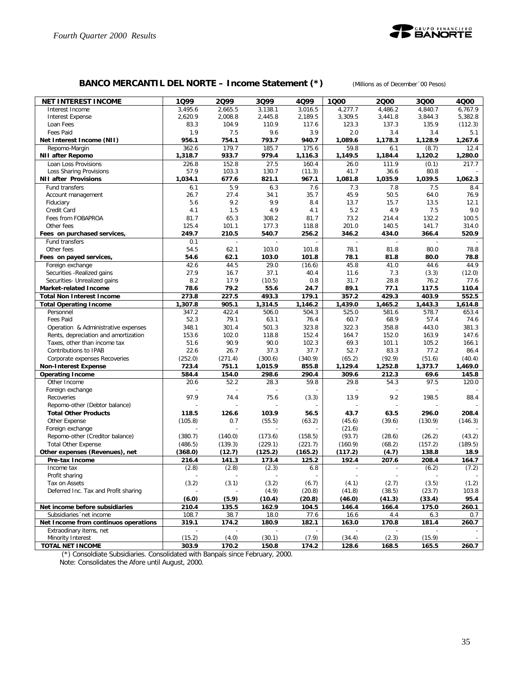

## **BANCO MERCANTIL DEL NORTE – Income Statement (\*)** *(Millions as of December´00 Pesos)*

| <b>NET INTEREST INCOME</b>                                      | 1Q99          | 2099                     | 3Q99                     | 4Q99                     | 1000                     | 2000                     | 3Q00          | 4000          |
|-----------------------------------------------------------------|---------------|--------------------------|--------------------------|--------------------------|--------------------------|--------------------------|---------------|---------------|
| Interest Income                                                 | 3,495.6       | 2.665.5                  | 3,138.1                  | 3,016.5                  | 4,277.7                  | 4,486.2                  | 4,840.7       | 6,767.9       |
| <b>Interest Expense</b>                                         | 2,620.9       | 2,008.8                  | 2,445.8                  | 2,189.5                  | 3,309.5                  | 3,441.8                  | 3,844.3       | 5,382.8       |
| Loan Fees                                                       | 83.3          | 104.9                    | 110.9                    | 117.6                    | 123.3                    | 137.3                    | 135.9         | (112.3)       |
| Fees Paid                                                       | 1.9           | 7.5                      | 9.6                      | 3.9                      | 2.0                      | 3.4                      | 3.4           | 5.1           |
| Net Interest Income (NII)                                       | 956.1         | 754.1                    | 793.7                    | 940.7                    | 1,089.6                  | 1,178.3                  | 1,128.9       | 1,267.6       |
| Repomo-Margin                                                   | 362.6         | 179.7                    | 185.7                    | 175.6                    | 59.8                     | 6.1                      | (8.7)         | 12.4          |
| <b>NII after Repomo</b>                                         | 1,318.7       | 933.7                    | 979.4                    | 1,116.3                  | 1,149.5                  | 1,184.4                  | 1,120.2       | 1,280.0       |
| Loan Loss Provisions                                            | 226.8<br>57.9 | 152.8<br>103.3           | 27.5                     | 160.4                    | 26.0                     | 111.9<br>36.6            | (0.1)<br>80.8 | 217.7         |
| Loss Sharing Provisions<br><b>NII after Provisions</b>          | 1,034.1       | 677.6                    | 130.7<br>821.1           | (11.3)<br>967.1          | 41.7<br>1,081.8          | 1,035.9                  | 1,039.5       | 1,062.3       |
| Fund transfers                                                  | 6.1           | 5.9                      | 6.3                      | 7.6                      | 7.3                      | 7.8                      | 7.5           | 8.4           |
| Account management                                              | 26.7          | 27.4                     | 34.1                     | 35.7                     | 45.9                     | 50.5                     | 64.0          | 76.9          |
| Fiduciary                                                       | 5.6           | 9.2                      | 9.9                      | 8.4                      | 13.7                     | 15.7                     | 13.5          | 12.1          |
| Credit Card                                                     | 4.1           | 1.5                      | 4.9                      | 4.1                      | 5.2                      | 4.9                      | 7.5           | 9.0           |
| Fees from FOBAPROA                                              | 81.7          | 65.3                     | 308.2                    | 81.7                     | 73.2                     | 214.4                    | 132.2         | 100.5         |
| Other fees                                                      | 125.4         | 101.1                    | 177.3                    | 118.8                    | 201.0                    | 140.5                    | 141.7         | 314.0         |
| Fees on purchased services,                                     | 249.7         | 210.5                    | 540.7                    | 256.2                    | 346.2                    | 434.0                    | 366.4         | 520.9         |
| Fund transfers                                                  | 0.1           | $\overline{\phantom{a}}$ | $\overline{\phantom{a}}$ | $\blacksquare$           | $\overline{\phantom{a}}$ | $\overline{\phantom{a}}$ | $\mathcal{L}$ |               |
| Other fees                                                      | 54.5          | 62.1                     | 103.0                    | 101.8                    | 78.1                     | 81.8                     | 80.0          | 78.8          |
| Fees on payed services,                                         | 54.6          | 62.1                     | 103.0                    | 101.8                    | 78.1                     | 81.8                     | 80.0          | 78.8          |
| Foreign exchange                                                | 42.6          | 44.5                     | 29.0                     | (16.6)                   | 45.8                     | 41.0                     | 44.6          | 44.9          |
| Securities - Realized gains                                     | 27.9          | 16.7                     | 37.1                     | 40.4                     | 11.6                     | 7.3                      | (3.3)         | (12.0)        |
| Securities- Unrealized gains                                    | 8.2           | 17.9                     | (10.5)                   | 0.8                      | 31.7                     | 28.8                     | 76.2          | 77.6          |
| <b>Market-related Income</b>                                    | 78.6          | 79.2                     | 55.6                     | 24.7                     | 89.1                     | 77.1                     | 117.5         | 110.4         |
| <b>Total Non Interest Income</b>                                | 273.8         | 227.5                    | 493.3                    | 179.1                    | 357.2                    | 429.3                    | 403.9         | 552.5         |
| <b>Total Operating Income</b>                                   | 1,307.8       | 905.1                    | 1,314.5                  | 1,146.2                  | 1,439.0                  | 1,465.2                  | 1,443.3       | 1,614.8       |
| Personnel                                                       | 347.2         | 422.4                    | 506.0                    | 504.3                    | 525.0                    | 581.6                    | 578.7         | 653.4         |
| Fees Paid                                                       | 52.3          | 79.1                     | 63.1                     | 76.4                     | 60.7                     | 68.9                     | 57.4          | 74.6          |
| Operation & Administrative expenses                             | 348.1         | 301.4                    | 501.3                    | 323.8                    | 322.3                    | 358.8                    | 443.0         | 381.3         |
| Rents, depreciation and amortization                            | 153.6         | 102.0                    | 118.8                    | 152.4                    | 164.7                    | 152.0                    | 163.9         | 147.6         |
| Taxes, other than income tax                                    | 51.6<br>22.6  | 90.9<br>26.7             | 90.0<br>37.3             | 102.3<br>37.7            | 69.3<br>52.7             | 101.1<br>83.3            | 105.2<br>77.2 | 166.1<br>86.4 |
| Contributions to IPAB<br>Corporate expenses Recoveries          | (252.0)       | (271.4)                  | (300.6)                  | (340.9)                  | (65.2)                   | (92.9)                   | (51.6)        | (40.4)        |
| <b>Non-Interest Expense</b>                                     | 723.4         | 751.1                    | 1,015.9                  | 855.8                    | 1,129.4                  | 1,252.8                  | 1,373.7       | 1,469.0       |
| <b>Operating Income</b>                                         | 584.4         | 154.0                    | 298.6                    | 290.4                    | 309.6                    | 212.3                    | 69.6          | 145.8         |
| Other Income                                                    | 20.6          | 52.2                     | 28.3                     | 59.8                     | 29.8                     | 54.3                     | 97.5          | 120.0         |
| Foreign exchange                                                |               |                          |                          |                          |                          |                          |               |               |
| Recoveries                                                      | 97.9          | 74.4                     | 75.6                     | (3.3)                    | 13.9                     | 9.2                      | 198.5         | 88.4          |
| Repomo-other (Debtor balance)                                   |               |                          |                          |                          |                          |                          |               |               |
| <b>Total Other Products</b>                                     | 118.5         | 126.6                    | 103.9                    | 56.5                     | 43.7                     | 63.5                     | 296.0         | 208.4         |
| Other Expense                                                   | (105.8)       | 0.7                      | (55.5)                   | (63.2)                   | (45.6)                   | (39.6)                   | (130.9)       | (146.3)       |
| Foreign exchange                                                |               |                          |                          |                          | (21.6)                   |                          |               |               |
| Repomo-other (Creditor balance)                                 | (380.7)       | (140.0)                  | (173.6)                  | (158.5)                  | (93.7)                   | (28.6)                   | (26.2)        | (43.2)        |
| <b>Total Other Expense</b>                                      | (486.5)       | (139.3)                  | (229.1)                  | (221.7)                  | (160.9)                  | (68.2)                   | (157.2)       | (189.5)       |
| Other expenses (Revenues), net                                  | (368.0)       | (12.7)                   | (125.2)                  | (165.2)                  | (117.2)                  | (4.7)                    | 138.8         | 18.9          |
| Pre-tax Income                                                  | 216.4         | 141.3                    | 173.4                    | 125.2                    | 192.4                    | 207.6                    | 208.4         | 164.7         |
| Income tax                                                      | (2.8)         | (2.8)                    | (2.3)                    | 6.8                      |                          |                          | (6.2)         | (7.2)         |
| Profit sharing                                                  |               | $\overline{a}$           |                          | $\overline{\phantom{a}}$ | $\overline{\phantom{a}}$ | $\overline{\phantom{a}}$ |               |               |
| Tax on Assets                                                   | (3.2)         | (3.1)                    | (3.2)                    | (6.7)                    | (4.1)                    | (2.7)                    | (3.5)         | (1.2)         |
| Deferred Inc. Tax and Profit sharing                            |               |                          | (4.9)                    | (20.8)                   | (41.8)                   | (38.5)                   | (23.7)        | 103.8         |
|                                                                 | (6.0)         | (5.9)                    | (10.4)                   | (20.8)                   | (46.0)                   | (41.3)                   | (33.4)        | 95.4          |
| Net income before subsidiaries                                  | 210.4         | 135.5                    | 162.9                    | 104.5                    | 146.4                    | 166.4                    | 175.0         | 260.1         |
| Subsidiaries 'net income                                        | 108.7         | 38.7                     | 18.0                     | 77.6                     | 16.6                     | 4.4                      | 6.3           | 0.7           |
| Net Income from continuos operations<br>Extraodinary items, net | 319.1         | 174.2                    | 180.9                    | 182.1                    | 163.0                    | 170.8                    | 181.4         | 260.7         |
| Minority Interest                                               | (15.2)        | (4.0)                    | (30.1)                   | (7.9)                    | (34.4)                   | (2.3)                    | (15.9)        |               |
| <b>TOTAL NET INCOME</b>                                         | 303.9         | 170.2                    | 150.8                    | 174.2                    | 128.6                    | 168.5                    | 165.5         | 260.7         |
|                                                                 |               |                          |                          |                          |                          |                          |               |               |

(\*) Consoldiate Subsidiaries. Consolidated with Banpaís since February, 2000.

Note: Consolidates the Afore until August, 2000.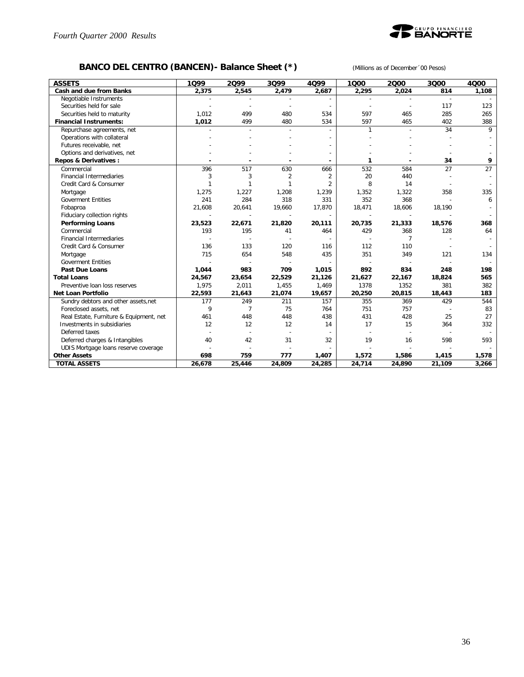

## **BANCO DEL CENTRO (BANCEN)- Balance Sheet (\*)** *(Millions as of December´00 Pesos)*

| <b>ASSETS</b>                           | 1099   | 2099           | 3Q99           | 4099           | 1000         | 2000           | 3000           | 4000  |
|-----------------------------------------|--------|----------------|----------------|----------------|--------------|----------------|----------------|-------|
| Cash and due from Banks                 | 2,375  | 2,545          | 2,479          | 2,687          | 2,295        | 2,024          | 814            | 1,108 |
| Negotiable Instruments                  |        |                |                |                |              |                | $\overline{a}$ |       |
| Securities held for sale                |        |                |                |                |              |                | 117            | 123   |
| Securities held to maturity             | 1.012  | 499            | 480            | 534            | 597          | 465            | 285            | 265   |
| <b>Financial Instruments:</b>           | 1,012  | 499            | 480            | 534            | 597          | 465            | 402            | 388   |
| Repurchase agreements, net              |        |                |                |                | $\mathbf{1}$ |                | 34             | 9     |
| Operations with collateral              |        |                |                |                |              |                |                |       |
| Futures receivable, net                 |        |                |                |                |              |                |                |       |
| Options and derivatives, net            |        |                |                |                |              |                |                |       |
| Repos & Derivatives:                    |        |                |                |                |              |                | 34             | 9     |
| Commercial                              | 396    | 517            | 630            | 666            | 532          | 584            | 27             | 27    |
| <b>Financial Intermediaries</b>         | 3      | 3              | $\overline{2}$ | $\overline{2}$ | 20           | 440            |                |       |
| Credit Card & Consumer                  | 1      | $\mathbf{1}$   |                | $\overline{2}$ | 8            | 14             |                |       |
| Mortgage                                | 1,275  | 1,227          | 1,208          | 1,239          | 1,352        | 1,322          | 358            | 335   |
| <b>Goverment Entities</b>               | 241    | 284            | 318            | 331            | 352          | 368            |                | 6     |
| Fobaproa                                | 21,608 | 20,641         | 19,660         | 17,870         | 18,471       | 18,606         | 18,190         |       |
| Fiduciary collection rights             |        |                |                |                |              |                |                |       |
| <b>Performing Loans</b>                 | 23,523 | 22,671         | 21,820         | 20,111         | 20,735       | 21,333         | 18,576         | 368   |
| Commercial                              | 193    | 195            | 41             | 464            | 429          | 368            | 128            | 64    |
| <b>Financial Intermediaries</b>         |        |                |                |                |              | $\overline{7}$ |                |       |
| Credit Card & Consumer                  | 136    | 133            | 120            | 116            | 112          | 110            |                |       |
| Mortgage                                | 715    | 654            | 548            | 435            | 351          | 349            | 121            | 134   |
| <b>Goverment Entities</b>               |        |                |                |                |              |                |                |       |
| Past Due Loans                          | 1,044  | 983            | 709            | 1,015          | 892          | 834            | 248            | 198   |
| <b>Total Loans</b>                      | 24,567 | 23,654         | 22,529         | 21,126         | 21,627       | 22,167         | 18,824         | 565   |
| Preventive loan loss reserves           | 1,975  | 2,011          | 1,455          | 1,469          | 1378         | 1352           | 381            | 382   |
| <b>Net Loan Portfolio</b>               | 22,593 | 21,643         | 21,074         | 19,657         | 20,250       | 20,815         | 18,443         | 183   |
| Sundry debtors and other assets, net    | 177    | 249            | 211            | 157            | 355          | 369            | 429            | 544   |
| Foreclosed assets, net                  | 9      | $\overline{7}$ | 75             | 764            | 751          | 757            |                | 83    |
| Real Estate, Furniture & Equipment, net | 461    | 448            | 448            | 438            | 431          | 428            | 25             | 27    |
| Investments in subsidiaries             | 12     | 12             | 12             | 14             | 17           | 15             | 364            | 332   |
| Deferred taxes                          |        |                |                |                |              |                |                |       |
| Deferred charges & Intangibles          | 40     | 42             | 31             | 32             | 19           | 16             | 598            | 593   |
| UDIS Mortgage loans reserve coverage    |        |                |                |                |              |                |                |       |
| <b>Other Assets</b>                     | 698    | 759            | 777            | 1,407          | 1,572        | 1,586          | 1,415          | 1,578 |
| <b>TOTAL ASSETS</b>                     | 26,678 | 25,446         | 24,809         | 24,285         | 24,714       | 24,890         | 21,109         | 3,266 |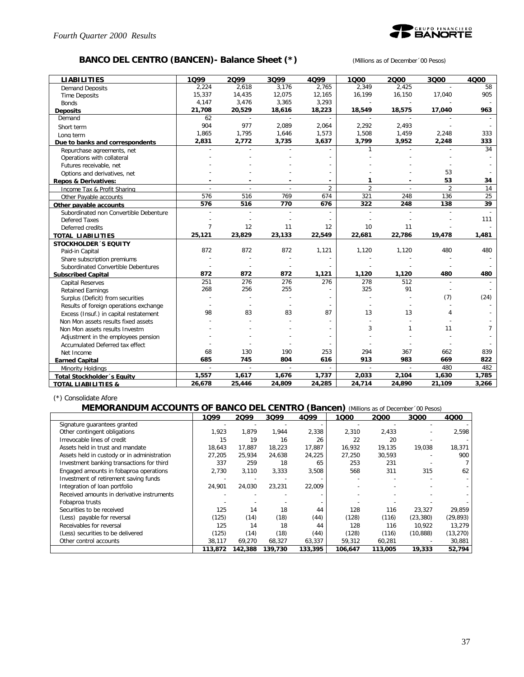

## **BANCO DEL CENTRO (BANCEN)- Balance Sheet (\*)** *(Millions as of December´00 Pesos)*

| <b>LIABILITIES</b>                     | 1099           | 2099   | 3099   | 4099   | 1000           | 2000           | 3000           | 4000  |
|----------------------------------------|----------------|--------|--------|--------|----------------|----------------|----------------|-------|
| <b>Demand Deposits</b>                 | 2.224          | 2.618  | 3.176  | 2.765  | 2.349          | 2.425          |                | 58    |
| <b>Time Deposits</b>                   | 15,337         | 14,435 | 12,075 | 12,165 | 16,199         | 16,150         | 17,040         | 905   |
| <b>Bonds</b>                           | 4,147          | 3,476  | 3,365  | 3,293  |                |                |                |       |
| <b>Deposits</b>                        | 21,708         | 20,529 | 18,616 | 18,223 | 18,549         | 18,575         | 17,040         | 963   |
| Demand                                 | 62             |        |        |        |                |                |                |       |
| Short term                             | 904            | 977    | 2,089  | 2,064  | 2,292          | 2,493          |                |       |
| Long term                              | 1,865          | 1,795  | 1,646  | 1,573  | 1,508          | 1,459          | 2,248          | 333   |
| Due to banks and correspondents        | 2,831          | 2,772  | 3,735  | 3,637  | 3,799          | 3,952          | 2,248          | 333   |
| Repurchase agreements, net             |                |        |        |        | 1              |                |                | 34    |
| Operations with collateral             |                |        |        |        |                |                |                |       |
| Futures receivable, net                |                |        |        |        |                |                |                |       |
| Options and derivatives, net           |                |        |        |        |                |                | 53             |       |
| <b>Repos &amp; Derivatives:</b>        |                |        |        |        | 1              |                | 53             | 34    |
| Income Tax & Profit Sharing            | $\overline{a}$ |        |        | 2      | $\overline{2}$ | $\overline{a}$ | $\mathfrak{D}$ | 14    |
| Other Payable accounts                 | 576            | 516    | 769    | 674    | 321            | 248            | 136            | 25    |
| Other pavable accounts                 | 576            | 516    | 770    | 676    | 322            | 248            | 138            | 39    |
| Subordinated non Convertible Debenture |                |        |        |        |                |                |                |       |
| <b>Defered Taxes</b>                   |                |        |        |        |                |                |                | 111   |
| Deferred credits                       | $\overline{7}$ | 12     | 11     | 12     | 10             | 11             |                |       |
| <b>TOTAL LIABILITIES</b>               | 25,121         | 23,829 | 23,133 | 22,549 | 22,681         | 22,786         | 19,478         | 1,481 |
| <b>STOCKHOLDER 'S EQUITY</b>           |                |        |        |        |                |                |                |       |
| Paid-in Capital                        | 872            | 872    | 872    | 1,121  | 1,120          | 1,120          | 480            | 480   |
| Share subscription premiums            |                |        |        |        |                |                |                |       |
| Subordinated Convertible Debentures    |                |        |        |        |                |                |                |       |
| <b>Subscribed Capital</b>              | 872            | 872    | 872    | 1,121  | 1,120          | 1,120          | 480            | 480   |
| <b>Capital Reserves</b>                | 251            | 276    | 276    | 276    | 278            | 512            |                |       |
| <b>Retained Earnings</b>               | 268            | 256    | 255    |        | 325            | 91             |                |       |
| Surplus (Deficit) from securities      |                |        |        |        |                |                | (7)            | (24)  |
| Results of foreign operations exchange |                |        |        |        |                |                |                |       |
| Excess (Insuf.) in capital restatement | 98             | 83     | 83     | 87     | 13             | 13             | 4              |       |
| Non Mon assets results fixed assets    |                |        |        |        |                |                |                |       |
| Non Mon assets results Investm         |                |        |        |        | 3              | 1              | 11             | 7     |
| Adjustment in the employees pension    |                |        |        |        |                |                |                |       |
| Accumulated Deferred tax effect        |                |        |        |        |                |                |                |       |
| Net Income                             | 68             | 130    | 190    | 253    | 294            | 367            | 662            | 839   |
| <b>Earned Capital</b>                  | 685            | 745    | 804    | 616    | 913            | 983            | 669            | 822   |
| Minority Holdings                      | $\overline{a}$ | $\sim$ | $\sim$ |        | $\sim$         | $\sim$         | 480            | 482   |
| Total Stockholder 's Equity            | 1,557          | 1,617  | 1,676  | 1,737  | 2,033          | 2,104          | 1,630          | 1,785 |
| <b>TOTAL LIABILITIES &amp;</b>         | 26,678         | 25,446 | 24,809 | 24,285 | 24,714         | 24,890         | 21,109         | 3,266 |

#### (\*) Consolidate Afore

#### **MEMORANDUM ACCOUNTS OF BANCO DEL CENTRO (Bancen)** *(Millions as of December´00 Pesos)*

|                                             |         |         |         |         | . .     |         |           |           |
|---------------------------------------------|---------|---------|---------|---------|---------|---------|-----------|-----------|
|                                             | 1099    | 2099    | 3Q99    | 4099    | 1Q00    | 2000    | 3000      | 4Q00      |
| Signature guarantees granted                |         |         |         |         |         |         |           |           |
| Other contingent obligations                | 1,923   | 1,879   | 1,944   | 2,338   | 2,310   | 2,433   |           | 2,598     |
| Irrevocable lines of credit                 | 15      | 19      | 16      | 26      | 22      | 20      |           |           |
| Assets held in trust and mandate            | 18.643  | 17,887  | 18,223  | 17,887  | 16,932  | 19,135  | 19.038    | 18,371    |
| Assets held in custody or in administration | 27,205  | 25,934  | 24,638  | 24,225  | 27,250  | 30,593  |           | 900       |
| Investment banking transactions for third   | 337     | 259     | 18      | 65      | 253     | 231     |           |           |
| Engaged amounts in fobaproa operations      | 2,730   | 3,110   | 3,333   | 3,508   | 568     | 311     | 315       | 62        |
| Investment of retirement saving funds       |         |         |         |         |         |         |           |           |
| Integration of loan portfolio               | 24,901  | 24,030  | 23,231  | 22,009  |         |         |           |           |
| Received amounts in derivative instruments  |         |         |         |         |         |         |           |           |
| Fobaproa trusts                             |         |         |         |         |         |         |           |           |
| Securities to be received                   | 125     | 14      | 18      | 44      | 128     | 116     | 23,327    | 29,859    |
| (Less) payable for reversal                 | (125)   | (14)    | (18)    | (44)    | (128)   | (116)   | (23, 380) | (29, 893) |
| Receivables for reversal                    | 125     | 14      | 18      | 44      | 128     | 116     | 10.922    | 13,279    |
| (Less) securities to be delivered           | (125)   | (14)    | (18)    | (44)    | (128)   | (116)   | (10, 888) | (13, 270) |
| Other control accounts                      | 38,117  | 69,270  | 68,327  | 63,337  | 59,312  | 60,281  |           | 30,881    |
|                                             | 113,872 | 142,388 | 139,730 | 133,395 | 106,647 | 113,005 | 19,333    | 52,794    |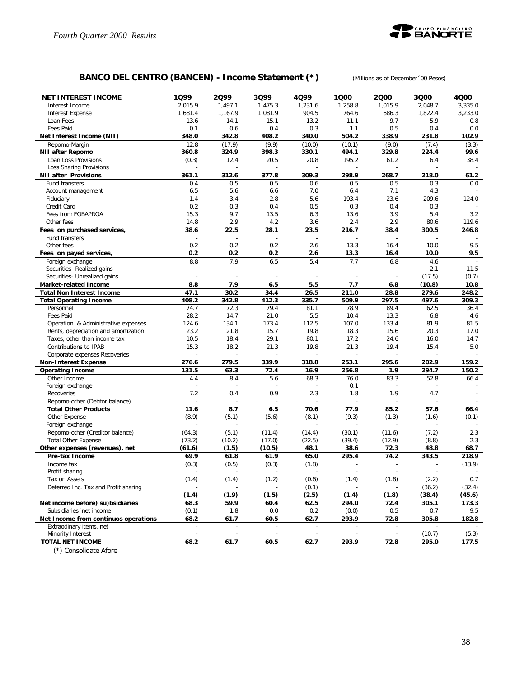

## **BANCO DEL CENTRO (BANCEN) - Income Statement (\*)** *(Millions as of December´00 Pesos)*

| 2,015.9<br>1.497.1<br>1,475.3<br>1,231.6<br>1,258.8<br>1,015.9<br>3.335.0<br>Interest Income<br>2,048.7<br>1,681.4<br>1,167.9<br>1,081.9<br>904.5<br>686.3<br>1,822.4<br>3,233.0<br><b>Interest Expense</b><br>764.6<br>13.6<br>15.1<br>13.2<br>9.7<br>5.9<br>0.8<br>Loan Fees<br>14.1<br>11.1<br>Fees Paid<br>0.1<br>0.6<br>0.4<br>0.3<br>1.1<br>0.5<br>0.4<br>0.0<br>408.2<br>Net Interest Income (NII)<br>348.0<br>342.8<br>340.0<br>504.2<br>338.9<br>231.8<br>102.9<br>Repomo-Margin<br>12.8<br>(17.9)<br>(9.9)<br>(10.0)<br>(10.1)<br>(9.0)<br>(7.4)<br>(3.3)<br>360.8<br>398.3<br>329.8<br><b>NII after Repomo</b><br>324.9<br>330.1<br>494.1<br>224.4<br>99.6<br>(0.3)<br>Loan Loss Provisions<br>12.4<br>20.5<br>20.8<br>195.2<br>61.2<br>38.4<br>6.4<br>Loss Sharing Provisions<br>361.1<br>312.6<br>377.8<br>309.3<br>298.9<br>268.7<br><b>NII after Provisions</b><br>218.0<br>61.2<br>0.5<br>0.5<br>0.5<br>Fund transfers<br>0.4<br>0.6<br>0.5<br>0.3<br>0.0<br>6.5<br>5.6<br>4.3<br>Account management<br>6.6<br>7.0<br>6.4<br>7.1<br>1.4<br>3.4<br>2.8<br>5.6<br>193.4<br>23.6<br>209.6<br>124.0<br>Fiduciary<br>Credit Card<br>0.2<br>0.3<br>0.4<br>0.5<br>0.3<br>0.4<br>0.3<br>15.3<br>9.7<br>13.5<br>3.9<br>5.4<br>3.2<br>Fees from FOBAPROA<br>6.3<br>13.6<br>2.9<br>14.8<br>4.2<br>3.6<br>2.4<br>2.9<br>80.6<br>119.6<br>Other fees<br>38.6<br>22.5<br>28.1<br>23.5<br>216.7<br>38.4<br>300.5<br>Fees on purchased services,<br>246.8<br>Fund transfers<br>$\overline{\phantom{a}}$<br>$\overline{\phantom{a}}$<br>÷,<br>$\overline{\phantom{a}}$<br>$\overline{\phantom{a}}$<br>$\overline{\phantom{a}}$<br>$\overline{\phantom{a}}$<br>0.2<br>0.2<br>0.2<br>9.5<br>Other fees<br>2.6<br>13.3<br>16.4<br>10.0<br>0.2<br>0.2<br>0.2<br>2.6<br>13.3<br>16.4<br>10.0<br>9.5<br>Fees on payed services,<br>8.8<br>7.9<br>6.5<br>5.4<br>7.7<br>6.8<br>Foreign exchange<br>4.6<br>2.1<br>11.5<br>Securities - Realized gains<br>Securities- Unrealized gains<br>(17.5)<br>(0.7)<br>(10.8)<br>Market-related Income<br>8.8<br>7.9<br>6.5<br>5.5<br>7.7<br>6.8<br>10.8<br>30.2<br>211.0<br>279.6<br><b>Total Non Interest Income</b><br>47.1<br>34.4<br>26.5<br>28.8<br>248.2<br>412.3<br>335.7<br>509.9<br>297.5<br>497.6<br>309.3<br>408.2<br>342.8<br><b>Total Operating Income</b><br>79.4<br>78.9<br>89.4<br>Personnel<br>74.7<br>72.3<br>81.1<br>62.5<br>36.4<br>Fees Paid<br>28.2<br>14.7<br>21.0<br>5.5<br>10.4<br>13.3<br>6.8<br>4.6<br>124.6<br>134.1<br>173.4<br>112.5<br>107.0<br>133.4<br>81.9<br>81.5<br>Operation & Administrative expenses<br>23.2<br>21.8<br>15.7<br>19.8<br>18.3<br>15.6<br>20.3<br>17.0<br>Rents, depreciation and amortization<br>10.5<br>18.4<br>29.1<br>80.1<br>17.2<br>24.6<br>16.0<br>14.7<br>Taxes, other than income tax<br>15.3<br>18.2<br>21.3<br>21.3<br>19.4<br>15.4<br>5.0<br>Contributions to IPAB<br>19.8<br>Corporate expenses Recoveries<br>276.6<br>279.5<br>339.9<br>253.1<br>295.6<br>202.9<br>159.2<br><b>Non-Interest Expense</b><br>318.8<br>131.5<br>256.8<br>294.7<br><b>Operating Income</b><br>63.3<br>72.4<br>16.9<br>1.9<br>150.2<br>Other Income<br>4.4<br>8.4<br>5.6<br>68.3<br>76.0<br>83.3<br>52.8<br>66.4<br>0.1<br>Foreign exchange<br>7.2<br>0.4<br>0.9<br>2.3<br>1.8<br>1.9<br>4.7<br>Recoveries<br>Repomo-other (Debtor balance)<br>÷,<br>÷,<br>$\overline{a}$<br>$\overline{a}$<br><b>Total Other Products</b><br>8.7<br>6.5<br>77.9<br>11.6<br>70.6<br>85.2<br>57.6<br>66.4<br>Other Expense<br>(8.9)<br>(5.1)<br>(5.6)<br>(8.1)<br>(9.3)<br>(1.3)<br>(0.1)<br>(1.6)<br>Foreign exchange<br>Repomo-other (Creditor balance)<br>(64.3)<br>(5.1)<br>(11.4)<br>(7.2)<br>2.3<br>(14.4)<br>(30.1)<br>(11.6)<br><b>Total Other Expense</b><br>(73.2)<br>(10.2)<br>(17.0)<br>(22.5)<br>(39.4)<br>(12.9)<br>(8.8)<br>2.3<br>68.7<br>Other expenses (revenues), net<br>(61.6)<br>(1.5)<br>(10.5)<br>48.1<br>38.6<br>72.3<br>48.8<br>69.9<br>295.4<br>74.2<br>343.5<br>Pre-tax Income<br>61.8<br>61.9<br>65.0<br>218.9<br>(0.3)<br>(13.9)<br>(0.3)<br>(0.5)<br>(1.8)<br>Income tax<br>$\overline{\phantom{a}}$<br>$\overline{\phantom{a}}$<br>$\sim$<br>Profit sharing<br>$\overline{a}$<br>$\overline{\phantom{a}}$<br>$\sim$<br>$\overline{\phantom{a}}$<br>$\overline{\phantom{a}}$<br>$\sim$<br>$\sim$<br>(1.4)<br>(1.4)<br>(1.2)<br>(1.4)<br>(1.8)<br>(2.2)<br>0.7<br>Tax on Assets<br>(0.6)<br>Deferred Inc. Tax and Profit sharing<br>(0.1)<br>(32.4)<br>(36.2)<br>(1.9)<br>(1.5)<br>(2.5)<br>(1.8)<br>(38.4)<br>(1.4)<br>(1.4)<br>(45.6)<br>59.9<br>60.4<br>62.5<br>294.0<br>72.4<br>305.1<br>173.3<br>Net income before) su) bsidiaries<br>68.3<br>(0.1)<br>1.8<br>$0.0\,$<br>0.5<br>0.2<br>(0.0)<br>0.7<br>Subsidiaries 'net income<br>9.5<br>Net Income from continuos operations<br>68.2<br>61.7<br>60.5<br>62.7<br>293.9<br>72.8<br>305.8<br>182.8<br>Extraodinary items, net<br>$\overline{\phantom{a}}$<br>$\overline{\phantom{a}}$<br>Minority Interest<br>(5.3)<br>(10.7)<br>$\overline{\phantom{a}}$<br>$\overline{\phantom{a}}$<br>$\overline{\phantom{a}}$<br>÷.<br>÷,<br>$\overline{\phantom{a}}$<br><b>TOTAL NET INCOME</b><br>61.7<br>60.5<br>62.7<br>293.9<br>72.8<br>177.5<br>68.2<br>295.0 | <b>NET INTEREST INCOME</b> | 1Q99 | 2Q99 | 3Q99 | 4Q99 | 1000 | 2000 | 3000 | 4000 |
|---------------------------------------------------------------------------------------------------------------------------------------------------------------------------------------------------------------------------------------------------------------------------------------------------------------------------------------------------------------------------------------------------------------------------------------------------------------------------------------------------------------------------------------------------------------------------------------------------------------------------------------------------------------------------------------------------------------------------------------------------------------------------------------------------------------------------------------------------------------------------------------------------------------------------------------------------------------------------------------------------------------------------------------------------------------------------------------------------------------------------------------------------------------------------------------------------------------------------------------------------------------------------------------------------------------------------------------------------------------------------------------------------------------------------------------------------------------------------------------------------------------------------------------------------------------------------------------------------------------------------------------------------------------------------------------------------------------------------------------------------------------------------------------------------------------------------------------------------------------------------------------------------------------------------------------------------------------------------------------------------------------------------------------------------------------------------------------------------------------------------------------------------------------------------------------------------------------------------------------------------------------------------------------------------------------------------------------------------------------------------------------------------------------------------------------------------------------------------------------------------------------------------------------------------------------------------------------------------------------------------------------------------------------------------------------------------------------------------------------------------------------------------------------------------------------------------------------------------------------------------------------------------------------------------------------------------------------------------------------------------------------------------------------------------------------------------------------------------------------------------------------------------------------------------------------------------------------------------------------------------------------------------------------------------------------------------------------------------------------------------------------------------------------------------------------------------------------------------------------------------------------------------------------------------------------------------------------------------------------------------------------------------------------------------------------------------------------------------------------------------------------------------------------------------------------------------------------------------------------------------------------------------------------------------------------------------------------------------------------------------------------------------------------------------------------------------------------------------------------------------------------------------------------------------------------------------------------------------------------------------------------------------------------------------------------------------------------------------------------------------------------------------------------------------------------------------------------------------------------------------------------------------------------------------------------------------------------------------------------------------------------------------------------------------------------------------------------------------------------------------------------------------------------------------------------------------------------------------------------------------------------------------------------------------------------------------------------------------------------------------------------------------------------------------------------------------------------------------------------------------------------------------------------------------------------------------|----------------------------|------|------|------|------|------|------|------|------|
|                                                                                                                                                                                                                                                                                                                                                                                                                                                                                                                                                                                                                                                                                                                                                                                                                                                                                                                                                                                                                                                                                                                                                                                                                                                                                                                                                                                                                                                                                                                                                                                                                                                                                                                                                                                                                                                                                                                                                                                                                                                                                                                                                                                                                                                                                                                                                                                                                                                                                                                                                                                                                                                                                                                                                                                                                                                                                                                                                                                                                                                                                                                                                                                                                                                                                                                                                                                                                                                                                                                                                                                                                                                                                                                                                                                                                                                                                                                                                                                                                                                                                                                                                                                                                                                                                                                                                                                                                                                                                                                                                                                                                                                                                                                                                                                                                                                                                                                                                                                                                                                                                                                                                                                                   |                            |      |      |      |      |      |      |      |      |
|                                                                                                                                                                                                                                                                                                                                                                                                                                                                                                                                                                                                                                                                                                                                                                                                                                                                                                                                                                                                                                                                                                                                                                                                                                                                                                                                                                                                                                                                                                                                                                                                                                                                                                                                                                                                                                                                                                                                                                                                                                                                                                                                                                                                                                                                                                                                                                                                                                                                                                                                                                                                                                                                                                                                                                                                                                                                                                                                                                                                                                                                                                                                                                                                                                                                                                                                                                                                                                                                                                                                                                                                                                                                                                                                                                                                                                                                                                                                                                                                                                                                                                                                                                                                                                                                                                                                                                                                                                                                                                                                                                                                                                                                                                                                                                                                                                                                                                                                                                                                                                                                                                                                                                                                   |                            |      |      |      |      |      |      |      |      |
|                                                                                                                                                                                                                                                                                                                                                                                                                                                                                                                                                                                                                                                                                                                                                                                                                                                                                                                                                                                                                                                                                                                                                                                                                                                                                                                                                                                                                                                                                                                                                                                                                                                                                                                                                                                                                                                                                                                                                                                                                                                                                                                                                                                                                                                                                                                                                                                                                                                                                                                                                                                                                                                                                                                                                                                                                                                                                                                                                                                                                                                                                                                                                                                                                                                                                                                                                                                                                                                                                                                                                                                                                                                                                                                                                                                                                                                                                                                                                                                                                                                                                                                                                                                                                                                                                                                                                                                                                                                                                                                                                                                                                                                                                                                                                                                                                                                                                                                                                                                                                                                                                                                                                                                                   |                            |      |      |      |      |      |      |      |      |
|                                                                                                                                                                                                                                                                                                                                                                                                                                                                                                                                                                                                                                                                                                                                                                                                                                                                                                                                                                                                                                                                                                                                                                                                                                                                                                                                                                                                                                                                                                                                                                                                                                                                                                                                                                                                                                                                                                                                                                                                                                                                                                                                                                                                                                                                                                                                                                                                                                                                                                                                                                                                                                                                                                                                                                                                                                                                                                                                                                                                                                                                                                                                                                                                                                                                                                                                                                                                                                                                                                                                                                                                                                                                                                                                                                                                                                                                                                                                                                                                                                                                                                                                                                                                                                                                                                                                                                                                                                                                                                                                                                                                                                                                                                                                                                                                                                                                                                                                                                                                                                                                                                                                                                                                   |                            |      |      |      |      |      |      |      |      |
|                                                                                                                                                                                                                                                                                                                                                                                                                                                                                                                                                                                                                                                                                                                                                                                                                                                                                                                                                                                                                                                                                                                                                                                                                                                                                                                                                                                                                                                                                                                                                                                                                                                                                                                                                                                                                                                                                                                                                                                                                                                                                                                                                                                                                                                                                                                                                                                                                                                                                                                                                                                                                                                                                                                                                                                                                                                                                                                                                                                                                                                                                                                                                                                                                                                                                                                                                                                                                                                                                                                                                                                                                                                                                                                                                                                                                                                                                                                                                                                                                                                                                                                                                                                                                                                                                                                                                                                                                                                                                                                                                                                                                                                                                                                                                                                                                                                                                                                                                                                                                                                                                                                                                                                                   |                            |      |      |      |      |      |      |      |      |
|                                                                                                                                                                                                                                                                                                                                                                                                                                                                                                                                                                                                                                                                                                                                                                                                                                                                                                                                                                                                                                                                                                                                                                                                                                                                                                                                                                                                                                                                                                                                                                                                                                                                                                                                                                                                                                                                                                                                                                                                                                                                                                                                                                                                                                                                                                                                                                                                                                                                                                                                                                                                                                                                                                                                                                                                                                                                                                                                                                                                                                                                                                                                                                                                                                                                                                                                                                                                                                                                                                                                                                                                                                                                                                                                                                                                                                                                                                                                                                                                                                                                                                                                                                                                                                                                                                                                                                                                                                                                                                                                                                                                                                                                                                                                                                                                                                                                                                                                                                                                                                                                                                                                                                                                   |                            |      |      |      |      |      |      |      |      |
|                                                                                                                                                                                                                                                                                                                                                                                                                                                                                                                                                                                                                                                                                                                                                                                                                                                                                                                                                                                                                                                                                                                                                                                                                                                                                                                                                                                                                                                                                                                                                                                                                                                                                                                                                                                                                                                                                                                                                                                                                                                                                                                                                                                                                                                                                                                                                                                                                                                                                                                                                                                                                                                                                                                                                                                                                                                                                                                                                                                                                                                                                                                                                                                                                                                                                                                                                                                                                                                                                                                                                                                                                                                                                                                                                                                                                                                                                                                                                                                                                                                                                                                                                                                                                                                                                                                                                                                                                                                                                                                                                                                                                                                                                                                                                                                                                                                                                                                                                                                                                                                                                                                                                                                                   |                            |      |      |      |      |      |      |      |      |
|                                                                                                                                                                                                                                                                                                                                                                                                                                                                                                                                                                                                                                                                                                                                                                                                                                                                                                                                                                                                                                                                                                                                                                                                                                                                                                                                                                                                                                                                                                                                                                                                                                                                                                                                                                                                                                                                                                                                                                                                                                                                                                                                                                                                                                                                                                                                                                                                                                                                                                                                                                                                                                                                                                                                                                                                                                                                                                                                                                                                                                                                                                                                                                                                                                                                                                                                                                                                                                                                                                                                                                                                                                                                                                                                                                                                                                                                                                                                                                                                                                                                                                                                                                                                                                                                                                                                                                                                                                                                                                                                                                                                                                                                                                                                                                                                                                                                                                                                                                                                                                                                                                                                                                                                   |                            |      |      |      |      |      |      |      |      |
|                                                                                                                                                                                                                                                                                                                                                                                                                                                                                                                                                                                                                                                                                                                                                                                                                                                                                                                                                                                                                                                                                                                                                                                                                                                                                                                                                                                                                                                                                                                                                                                                                                                                                                                                                                                                                                                                                                                                                                                                                                                                                                                                                                                                                                                                                                                                                                                                                                                                                                                                                                                                                                                                                                                                                                                                                                                                                                                                                                                                                                                                                                                                                                                                                                                                                                                                                                                                                                                                                                                                                                                                                                                                                                                                                                                                                                                                                                                                                                                                                                                                                                                                                                                                                                                                                                                                                                                                                                                                                                                                                                                                                                                                                                                                                                                                                                                                                                                                                                                                                                                                                                                                                                                                   |                            |      |      |      |      |      |      |      |      |
|                                                                                                                                                                                                                                                                                                                                                                                                                                                                                                                                                                                                                                                                                                                                                                                                                                                                                                                                                                                                                                                                                                                                                                                                                                                                                                                                                                                                                                                                                                                                                                                                                                                                                                                                                                                                                                                                                                                                                                                                                                                                                                                                                                                                                                                                                                                                                                                                                                                                                                                                                                                                                                                                                                                                                                                                                                                                                                                                                                                                                                                                                                                                                                                                                                                                                                                                                                                                                                                                                                                                                                                                                                                                                                                                                                                                                                                                                                                                                                                                                                                                                                                                                                                                                                                                                                                                                                                                                                                                                                                                                                                                                                                                                                                                                                                                                                                                                                                                                                                                                                                                                                                                                                                                   |                            |      |      |      |      |      |      |      |      |
|                                                                                                                                                                                                                                                                                                                                                                                                                                                                                                                                                                                                                                                                                                                                                                                                                                                                                                                                                                                                                                                                                                                                                                                                                                                                                                                                                                                                                                                                                                                                                                                                                                                                                                                                                                                                                                                                                                                                                                                                                                                                                                                                                                                                                                                                                                                                                                                                                                                                                                                                                                                                                                                                                                                                                                                                                                                                                                                                                                                                                                                                                                                                                                                                                                                                                                                                                                                                                                                                                                                                                                                                                                                                                                                                                                                                                                                                                                                                                                                                                                                                                                                                                                                                                                                                                                                                                                                                                                                                                                                                                                                                                                                                                                                                                                                                                                                                                                                                                                                                                                                                                                                                                                                                   |                            |      |      |      |      |      |      |      |      |
|                                                                                                                                                                                                                                                                                                                                                                                                                                                                                                                                                                                                                                                                                                                                                                                                                                                                                                                                                                                                                                                                                                                                                                                                                                                                                                                                                                                                                                                                                                                                                                                                                                                                                                                                                                                                                                                                                                                                                                                                                                                                                                                                                                                                                                                                                                                                                                                                                                                                                                                                                                                                                                                                                                                                                                                                                                                                                                                                                                                                                                                                                                                                                                                                                                                                                                                                                                                                                                                                                                                                                                                                                                                                                                                                                                                                                                                                                                                                                                                                                                                                                                                                                                                                                                                                                                                                                                                                                                                                                                                                                                                                                                                                                                                                                                                                                                                                                                                                                                                                                                                                                                                                                                                                   |                            |      |      |      |      |      |      |      |      |
|                                                                                                                                                                                                                                                                                                                                                                                                                                                                                                                                                                                                                                                                                                                                                                                                                                                                                                                                                                                                                                                                                                                                                                                                                                                                                                                                                                                                                                                                                                                                                                                                                                                                                                                                                                                                                                                                                                                                                                                                                                                                                                                                                                                                                                                                                                                                                                                                                                                                                                                                                                                                                                                                                                                                                                                                                                                                                                                                                                                                                                                                                                                                                                                                                                                                                                                                                                                                                                                                                                                                                                                                                                                                                                                                                                                                                                                                                                                                                                                                                                                                                                                                                                                                                                                                                                                                                                                                                                                                                                                                                                                                                                                                                                                                                                                                                                                                                                                                                                                                                                                                                                                                                                                                   |                            |      |      |      |      |      |      |      |      |
|                                                                                                                                                                                                                                                                                                                                                                                                                                                                                                                                                                                                                                                                                                                                                                                                                                                                                                                                                                                                                                                                                                                                                                                                                                                                                                                                                                                                                                                                                                                                                                                                                                                                                                                                                                                                                                                                                                                                                                                                                                                                                                                                                                                                                                                                                                                                                                                                                                                                                                                                                                                                                                                                                                                                                                                                                                                                                                                                                                                                                                                                                                                                                                                                                                                                                                                                                                                                                                                                                                                                                                                                                                                                                                                                                                                                                                                                                                                                                                                                                                                                                                                                                                                                                                                                                                                                                                                                                                                                                                                                                                                                                                                                                                                                                                                                                                                                                                                                                                                                                                                                                                                                                                                                   |                            |      |      |      |      |      |      |      |      |
|                                                                                                                                                                                                                                                                                                                                                                                                                                                                                                                                                                                                                                                                                                                                                                                                                                                                                                                                                                                                                                                                                                                                                                                                                                                                                                                                                                                                                                                                                                                                                                                                                                                                                                                                                                                                                                                                                                                                                                                                                                                                                                                                                                                                                                                                                                                                                                                                                                                                                                                                                                                                                                                                                                                                                                                                                                                                                                                                                                                                                                                                                                                                                                                                                                                                                                                                                                                                                                                                                                                                                                                                                                                                                                                                                                                                                                                                                                                                                                                                                                                                                                                                                                                                                                                                                                                                                                                                                                                                                                                                                                                                                                                                                                                                                                                                                                                                                                                                                                                                                                                                                                                                                                                                   |                            |      |      |      |      |      |      |      |      |
|                                                                                                                                                                                                                                                                                                                                                                                                                                                                                                                                                                                                                                                                                                                                                                                                                                                                                                                                                                                                                                                                                                                                                                                                                                                                                                                                                                                                                                                                                                                                                                                                                                                                                                                                                                                                                                                                                                                                                                                                                                                                                                                                                                                                                                                                                                                                                                                                                                                                                                                                                                                                                                                                                                                                                                                                                                                                                                                                                                                                                                                                                                                                                                                                                                                                                                                                                                                                                                                                                                                                                                                                                                                                                                                                                                                                                                                                                                                                                                                                                                                                                                                                                                                                                                                                                                                                                                                                                                                                                                                                                                                                                                                                                                                                                                                                                                                                                                                                                                                                                                                                                                                                                                                                   |                            |      |      |      |      |      |      |      |      |
|                                                                                                                                                                                                                                                                                                                                                                                                                                                                                                                                                                                                                                                                                                                                                                                                                                                                                                                                                                                                                                                                                                                                                                                                                                                                                                                                                                                                                                                                                                                                                                                                                                                                                                                                                                                                                                                                                                                                                                                                                                                                                                                                                                                                                                                                                                                                                                                                                                                                                                                                                                                                                                                                                                                                                                                                                                                                                                                                                                                                                                                                                                                                                                                                                                                                                                                                                                                                                                                                                                                                                                                                                                                                                                                                                                                                                                                                                                                                                                                                                                                                                                                                                                                                                                                                                                                                                                                                                                                                                                                                                                                                                                                                                                                                                                                                                                                                                                                                                                                                                                                                                                                                                                                                   |                            |      |      |      |      |      |      |      |      |
|                                                                                                                                                                                                                                                                                                                                                                                                                                                                                                                                                                                                                                                                                                                                                                                                                                                                                                                                                                                                                                                                                                                                                                                                                                                                                                                                                                                                                                                                                                                                                                                                                                                                                                                                                                                                                                                                                                                                                                                                                                                                                                                                                                                                                                                                                                                                                                                                                                                                                                                                                                                                                                                                                                                                                                                                                                                                                                                                                                                                                                                                                                                                                                                                                                                                                                                                                                                                                                                                                                                                                                                                                                                                                                                                                                                                                                                                                                                                                                                                                                                                                                                                                                                                                                                                                                                                                                                                                                                                                                                                                                                                                                                                                                                                                                                                                                                                                                                                                                                                                                                                                                                                                                                                   |                            |      |      |      |      |      |      |      |      |
|                                                                                                                                                                                                                                                                                                                                                                                                                                                                                                                                                                                                                                                                                                                                                                                                                                                                                                                                                                                                                                                                                                                                                                                                                                                                                                                                                                                                                                                                                                                                                                                                                                                                                                                                                                                                                                                                                                                                                                                                                                                                                                                                                                                                                                                                                                                                                                                                                                                                                                                                                                                                                                                                                                                                                                                                                                                                                                                                                                                                                                                                                                                                                                                                                                                                                                                                                                                                                                                                                                                                                                                                                                                                                                                                                                                                                                                                                                                                                                                                                                                                                                                                                                                                                                                                                                                                                                                                                                                                                                                                                                                                                                                                                                                                                                                                                                                                                                                                                                                                                                                                                                                                                                                                   |                            |      |      |      |      |      |      |      |      |
|                                                                                                                                                                                                                                                                                                                                                                                                                                                                                                                                                                                                                                                                                                                                                                                                                                                                                                                                                                                                                                                                                                                                                                                                                                                                                                                                                                                                                                                                                                                                                                                                                                                                                                                                                                                                                                                                                                                                                                                                                                                                                                                                                                                                                                                                                                                                                                                                                                                                                                                                                                                                                                                                                                                                                                                                                                                                                                                                                                                                                                                                                                                                                                                                                                                                                                                                                                                                                                                                                                                                                                                                                                                                                                                                                                                                                                                                                                                                                                                                                                                                                                                                                                                                                                                                                                                                                                                                                                                                                                                                                                                                                                                                                                                                                                                                                                                                                                                                                                                                                                                                                                                                                                                                   |                            |      |      |      |      |      |      |      |      |
|                                                                                                                                                                                                                                                                                                                                                                                                                                                                                                                                                                                                                                                                                                                                                                                                                                                                                                                                                                                                                                                                                                                                                                                                                                                                                                                                                                                                                                                                                                                                                                                                                                                                                                                                                                                                                                                                                                                                                                                                                                                                                                                                                                                                                                                                                                                                                                                                                                                                                                                                                                                                                                                                                                                                                                                                                                                                                                                                                                                                                                                                                                                                                                                                                                                                                                                                                                                                                                                                                                                                                                                                                                                                                                                                                                                                                                                                                                                                                                                                                                                                                                                                                                                                                                                                                                                                                                                                                                                                                                                                                                                                                                                                                                                                                                                                                                                                                                                                                                                                                                                                                                                                                                                                   |                            |      |      |      |      |      |      |      |      |
|                                                                                                                                                                                                                                                                                                                                                                                                                                                                                                                                                                                                                                                                                                                                                                                                                                                                                                                                                                                                                                                                                                                                                                                                                                                                                                                                                                                                                                                                                                                                                                                                                                                                                                                                                                                                                                                                                                                                                                                                                                                                                                                                                                                                                                                                                                                                                                                                                                                                                                                                                                                                                                                                                                                                                                                                                                                                                                                                                                                                                                                                                                                                                                                                                                                                                                                                                                                                                                                                                                                                                                                                                                                                                                                                                                                                                                                                                                                                                                                                                                                                                                                                                                                                                                                                                                                                                                                                                                                                                                                                                                                                                                                                                                                                                                                                                                                                                                                                                                                                                                                                                                                                                                                                   |                            |      |      |      |      |      |      |      |      |
|                                                                                                                                                                                                                                                                                                                                                                                                                                                                                                                                                                                                                                                                                                                                                                                                                                                                                                                                                                                                                                                                                                                                                                                                                                                                                                                                                                                                                                                                                                                                                                                                                                                                                                                                                                                                                                                                                                                                                                                                                                                                                                                                                                                                                                                                                                                                                                                                                                                                                                                                                                                                                                                                                                                                                                                                                                                                                                                                                                                                                                                                                                                                                                                                                                                                                                                                                                                                                                                                                                                                                                                                                                                                                                                                                                                                                                                                                                                                                                                                                                                                                                                                                                                                                                                                                                                                                                                                                                                                                                                                                                                                                                                                                                                                                                                                                                                                                                                                                                                                                                                                                                                                                                                                   |                            |      |      |      |      |      |      |      |      |
|                                                                                                                                                                                                                                                                                                                                                                                                                                                                                                                                                                                                                                                                                                                                                                                                                                                                                                                                                                                                                                                                                                                                                                                                                                                                                                                                                                                                                                                                                                                                                                                                                                                                                                                                                                                                                                                                                                                                                                                                                                                                                                                                                                                                                                                                                                                                                                                                                                                                                                                                                                                                                                                                                                                                                                                                                                                                                                                                                                                                                                                                                                                                                                                                                                                                                                                                                                                                                                                                                                                                                                                                                                                                                                                                                                                                                                                                                                                                                                                                                                                                                                                                                                                                                                                                                                                                                                                                                                                                                                                                                                                                                                                                                                                                                                                                                                                                                                                                                                                                                                                                                                                                                                                                   |                            |      |      |      |      |      |      |      |      |
|                                                                                                                                                                                                                                                                                                                                                                                                                                                                                                                                                                                                                                                                                                                                                                                                                                                                                                                                                                                                                                                                                                                                                                                                                                                                                                                                                                                                                                                                                                                                                                                                                                                                                                                                                                                                                                                                                                                                                                                                                                                                                                                                                                                                                                                                                                                                                                                                                                                                                                                                                                                                                                                                                                                                                                                                                                                                                                                                                                                                                                                                                                                                                                                                                                                                                                                                                                                                                                                                                                                                                                                                                                                                                                                                                                                                                                                                                                                                                                                                                                                                                                                                                                                                                                                                                                                                                                                                                                                                                                                                                                                                                                                                                                                                                                                                                                                                                                                                                                                                                                                                                                                                                                                                   |                            |      |      |      |      |      |      |      |      |
|                                                                                                                                                                                                                                                                                                                                                                                                                                                                                                                                                                                                                                                                                                                                                                                                                                                                                                                                                                                                                                                                                                                                                                                                                                                                                                                                                                                                                                                                                                                                                                                                                                                                                                                                                                                                                                                                                                                                                                                                                                                                                                                                                                                                                                                                                                                                                                                                                                                                                                                                                                                                                                                                                                                                                                                                                                                                                                                                                                                                                                                                                                                                                                                                                                                                                                                                                                                                                                                                                                                                                                                                                                                                                                                                                                                                                                                                                                                                                                                                                                                                                                                                                                                                                                                                                                                                                                                                                                                                                                                                                                                                                                                                                                                                                                                                                                                                                                                                                                                                                                                                                                                                                                                                   |                            |      |      |      |      |      |      |      |      |
|                                                                                                                                                                                                                                                                                                                                                                                                                                                                                                                                                                                                                                                                                                                                                                                                                                                                                                                                                                                                                                                                                                                                                                                                                                                                                                                                                                                                                                                                                                                                                                                                                                                                                                                                                                                                                                                                                                                                                                                                                                                                                                                                                                                                                                                                                                                                                                                                                                                                                                                                                                                                                                                                                                                                                                                                                                                                                                                                                                                                                                                                                                                                                                                                                                                                                                                                                                                                                                                                                                                                                                                                                                                                                                                                                                                                                                                                                                                                                                                                                                                                                                                                                                                                                                                                                                                                                                                                                                                                                                                                                                                                                                                                                                                                                                                                                                                                                                                                                                                                                                                                                                                                                                                                   |                            |      |      |      |      |      |      |      |      |
|                                                                                                                                                                                                                                                                                                                                                                                                                                                                                                                                                                                                                                                                                                                                                                                                                                                                                                                                                                                                                                                                                                                                                                                                                                                                                                                                                                                                                                                                                                                                                                                                                                                                                                                                                                                                                                                                                                                                                                                                                                                                                                                                                                                                                                                                                                                                                                                                                                                                                                                                                                                                                                                                                                                                                                                                                                                                                                                                                                                                                                                                                                                                                                                                                                                                                                                                                                                                                                                                                                                                                                                                                                                                                                                                                                                                                                                                                                                                                                                                                                                                                                                                                                                                                                                                                                                                                                                                                                                                                                                                                                                                                                                                                                                                                                                                                                                                                                                                                                                                                                                                                                                                                                                                   |                            |      |      |      |      |      |      |      |      |
|                                                                                                                                                                                                                                                                                                                                                                                                                                                                                                                                                                                                                                                                                                                                                                                                                                                                                                                                                                                                                                                                                                                                                                                                                                                                                                                                                                                                                                                                                                                                                                                                                                                                                                                                                                                                                                                                                                                                                                                                                                                                                                                                                                                                                                                                                                                                                                                                                                                                                                                                                                                                                                                                                                                                                                                                                                                                                                                                                                                                                                                                                                                                                                                                                                                                                                                                                                                                                                                                                                                                                                                                                                                                                                                                                                                                                                                                                                                                                                                                                                                                                                                                                                                                                                                                                                                                                                                                                                                                                                                                                                                                                                                                                                                                                                                                                                                                                                                                                                                                                                                                                                                                                                                                   |                            |      |      |      |      |      |      |      |      |
|                                                                                                                                                                                                                                                                                                                                                                                                                                                                                                                                                                                                                                                                                                                                                                                                                                                                                                                                                                                                                                                                                                                                                                                                                                                                                                                                                                                                                                                                                                                                                                                                                                                                                                                                                                                                                                                                                                                                                                                                                                                                                                                                                                                                                                                                                                                                                                                                                                                                                                                                                                                                                                                                                                                                                                                                                                                                                                                                                                                                                                                                                                                                                                                                                                                                                                                                                                                                                                                                                                                                                                                                                                                                                                                                                                                                                                                                                                                                                                                                                                                                                                                                                                                                                                                                                                                                                                                                                                                                                                                                                                                                                                                                                                                                                                                                                                                                                                                                                                                                                                                                                                                                                                                                   |                            |      |      |      |      |      |      |      |      |
|                                                                                                                                                                                                                                                                                                                                                                                                                                                                                                                                                                                                                                                                                                                                                                                                                                                                                                                                                                                                                                                                                                                                                                                                                                                                                                                                                                                                                                                                                                                                                                                                                                                                                                                                                                                                                                                                                                                                                                                                                                                                                                                                                                                                                                                                                                                                                                                                                                                                                                                                                                                                                                                                                                                                                                                                                                                                                                                                                                                                                                                                                                                                                                                                                                                                                                                                                                                                                                                                                                                                                                                                                                                                                                                                                                                                                                                                                                                                                                                                                                                                                                                                                                                                                                                                                                                                                                                                                                                                                                                                                                                                                                                                                                                                                                                                                                                                                                                                                                                                                                                                                                                                                                                                   |                            |      |      |      |      |      |      |      |      |
|                                                                                                                                                                                                                                                                                                                                                                                                                                                                                                                                                                                                                                                                                                                                                                                                                                                                                                                                                                                                                                                                                                                                                                                                                                                                                                                                                                                                                                                                                                                                                                                                                                                                                                                                                                                                                                                                                                                                                                                                                                                                                                                                                                                                                                                                                                                                                                                                                                                                                                                                                                                                                                                                                                                                                                                                                                                                                                                                                                                                                                                                                                                                                                                                                                                                                                                                                                                                                                                                                                                                                                                                                                                                                                                                                                                                                                                                                                                                                                                                                                                                                                                                                                                                                                                                                                                                                                                                                                                                                                                                                                                                                                                                                                                                                                                                                                                                                                                                                                                                                                                                                                                                                                                                   |                            |      |      |      |      |      |      |      |      |
|                                                                                                                                                                                                                                                                                                                                                                                                                                                                                                                                                                                                                                                                                                                                                                                                                                                                                                                                                                                                                                                                                                                                                                                                                                                                                                                                                                                                                                                                                                                                                                                                                                                                                                                                                                                                                                                                                                                                                                                                                                                                                                                                                                                                                                                                                                                                                                                                                                                                                                                                                                                                                                                                                                                                                                                                                                                                                                                                                                                                                                                                                                                                                                                                                                                                                                                                                                                                                                                                                                                                                                                                                                                                                                                                                                                                                                                                                                                                                                                                                                                                                                                                                                                                                                                                                                                                                                                                                                                                                                                                                                                                                                                                                                                                                                                                                                                                                                                                                                                                                                                                                                                                                                                                   |                            |      |      |      |      |      |      |      |      |
|                                                                                                                                                                                                                                                                                                                                                                                                                                                                                                                                                                                                                                                                                                                                                                                                                                                                                                                                                                                                                                                                                                                                                                                                                                                                                                                                                                                                                                                                                                                                                                                                                                                                                                                                                                                                                                                                                                                                                                                                                                                                                                                                                                                                                                                                                                                                                                                                                                                                                                                                                                                                                                                                                                                                                                                                                                                                                                                                                                                                                                                                                                                                                                                                                                                                                                                                                                                                                                                                                                                                                                                                                                                                                                                                                                                                                                                                                                                                                                                                                                                                                                                                                                                                                                                                                                                                                                                                                                                                                                                                                                                                                                                                                                                                                                                                                                                                                                                                                                                                                                                                                                                                                                                                   |                            |      |      |      |      |      |      |      |      |
|                                                                                                                                                                                                                                                                                                                                                                                                                                                                                                                                                                                                                                                                                                                                                                                                                                                                                                                                                                                                                                                                                                                                                                                                                                                                                                                                                                                                                                                                                                                                                                                                                                                                                                                                                                                                                                                                                                                                                                                                                                                                                                                                                                                                                                                                                                                                                                                                                                                                                                                                                                                                                                                                                                                                                                                                                                                                                                                                                                                                                                                                                                                                                                                                                                                                                                                                                                                                                                                                                                                                                                                                                                                                                                                                                                                                                                                                                                                                                                                                                                                                                                                                                                                                                                                                                                                                                                                                                                                                                                                                                                                                                                                                                                                                                                                                                                                                                                                                                                                                                                                                                                                                                                                                   |                            |      |      |      |      |      |      |      |      |
|                                                                                                                                                                                                                                                                                                                                                                                                                                                                                                                                                                                                                                                                                                                                                                                                                                                                                                                                                                                                                                                                                                                                                                                                                                                                                                                                                                                                                                                                                                                                                                                                                                                                                                                                                                                                                                                                                                                                                                                                                                                                                                                                                                                                                                                                                                                                                                                                                                                                                                                                                                                                                                                                                                                                                                                                                                                                                                                                                                                                                                                                                                                                                                                                                                                                                                                                                                                                                                                                                                                                                                                                                                                                                                                                                                                                                                                                                                                                                                                                                                                                                                                                                                                                                                                                                                                                                                                                                                                                                                                                                                                                                                                                                                                                                                                                                                                                                                                                                                                                                                                                                                                                                                                                   |                            |      |      |      |      |      |      |      |      |
|                                                                                                                                                                                                                                                                                                                                                                                                                                                                                                                                                                                                                                                                                                                                                                                                                                                                                                                                                                                                                                                                                                                                                                                                                                                                                                                                                                                                                                                                                                                                                                                                                                                                                                                                                                                                                                                                                                                                                                                                                                                                                                                                                                                                                                                                                                                                                                                                                                                                                                                                                                                                                                                                                                                                                                                                                                                                                                                                                                                                                                                                                                                                                                                                                                                                                                                                                                                                                                                                                                                                                                                                                                                                                                                                                                                                                                                                                                                                                                                                                                                                                                                                                                                                                                                                                                                                                                                                                                                                                                                                                                                                                                                                                                                                                                                                                                                                                                                                                                                                                                                                                                                                                                                                   |                            |      |      |      |      |      |      |      |      |
|                                                                                                                                                                                                                                                                                                                                                                                                                                                                                                                                                                                                                                                                                                                                                                                                                                                                                                                                                                                                                                                                                                                                                                                                                                                                                                                                                                                                                                                                                                                                                                                                                                                                                                                                                                                                                                                                                                                                                                                                                                                                                                                                                                                                                                                                                                                                                                                                                                                                                                                                                                                                                                                                                                                                                                                                                                                                                                                                                                                                                                                                                                                                                                                                                                                                                                                                                                                                                                                                                                                                                                                                                                                                                                                                                                                                                                                                                                                                                                                                                                                                                                                                                                                                                                                                                                                                                                                                                                                                                                                                                                                                                                                                                                                                                                                                                                                                                                                                                                                                                                                                                                                                                                                                   |                            |      |      |      |      |      |      |      |      |
|                                                                                                                                                                                                                                                                                                                                                                                                                                                                                                                                                                                                                                                                                                                                                                                                                                                                                                                                                                                                                                                                                                                                                                                                                                                                                                                                                                                                                                                                                                                                                                                                                                                                                                                                                                                                                                                                                                                                                                                                                                                                                                                                                                                                                                                                                                                                                                                                                                                                                                                                                                                                                                                                                                                                                                                                                                                                                                                                                                                                                                                                                                                                                                                                                                                                                                                                                                                                                                                                                                                                                                                                                                                                                                                                                                                                                                                                                                                                                                                                                                                                                                                                                                                                                                                                                                                                                                                                                                                                                                                                                                                                                                                                                                                                                                                                                                                                                                                                                                                                                                                                                                                                                                                                   |                            |      |      |      |      |      |      |      |      |
|                                                                                                                                                                                                                                                                                                                                                                                                                                                                                                                                                                                                                                                                                                                                                                                                                                                                                                                                                                                                                                                                                                                                                                                                                                                                                                                                                                                                                                                                                                                                                                                                                                                                                                                                                                                                                                                                                                                                                                                                                                                                                                                                                                                                                                                                                                                                                                                                                                                                                                                                                                                                                                                                                                                                                                                                                                                                                                                                                                                                                                                                                                                                                                                                                                                                                                                                                                                                                                                                                                                                                                                                                                                                                                                                                                                                                                                                                                                                                                                                                                                                                                                                                                                                                                                                                                                                                                                                                                                                                                                                                                                                                                                                                                                                                                                                                                                                                                                                                                                                                                                                                                                                                                                                   |                            |      |      |      |      |      |      |      |      |
|                                                                                                                                                                                                                                                                                                                                                                                                                                                                                                                                                                                                                                                                                                                                                                                                                                                                                                                                                                                                                                                                                                                                                                                                                                                                                                                                                                                                                                                                                                                                                                                                                                                                                                                                                                                                                                                                                                                                                                                                                                                                                                                                                                                                                                                                                                                                                                                                                                                                                                                                                                                                                                                                                                                                                                                                                                                                                                                                                                                                                                                                                                                                                                                                                                                                                                                                                                                                                                                                                                                                                                                                                                                                                                                                                                                                                                                                                                                                                                                                                                                                                                                                                                                                                                                                                                                                                                                                                                                                                                                                                                                                                                                                                                                                                                                                                                                                                                                                                                                                                                                                                                                                                                                                   |                            |      |      |      |      |      |      |      |      |
|                                                                                                                                                                                                                                                                                                                                                                                                                                                                                                                                                                                                                                                                                                                                                                                                                                                                                                                                                                                                                                                                                                                                                                                                                                                                                                                                                                                                                                                                                                                                                                                                                                                                                                                                                                                                                                                                                                                                                                                                                                                                                                                                                                                                                                                                                                                                                                                                                                                                                                                                                                                                                                                                                                                                                                                                                                                                                                                                                                                                                                                                                                                                                                                                                                                                                                                                                                                                                                                                                                                                                                                                                                                                                                                                                                                                                                                                                                                                                                                                                                                                                                                                                                                                                                                                                                                                                                                                                                                                                                                                                                                                                                                                                                                                                                                                                                                                                                                                                                                                                                                                                                                                                                                                   |                            |      |      |      |      |      |      |      |      |
|                                                                                                                                                                                                                                                                                                                                                                                                                                                                                                                                                                                                                                                                                                                                                                                                                                                                                                                                                                                                                                                                                                                                                                                                                                                                                                                                                                                                                                                                                                                                                                                                                                                                                                                                                                                                                                                                                                                                                                                                                                                                                                                                                                                                                                                                                                                                                                                                                                                                                                                                                                                                                                                                                                                                                                                                                                                                                                                                                                                                                                                                                                                                                                                                                                                                                                                                                                                                                                                                                                                                                                                                                                                                                                                                                                                                                                                                                                                                                                                                                                                                                                                                                                                                                                                                                                                                                                                                                                                                                                                                                                                                                                                                                                                                                                                                                                                                                                                                                                                                                                                                                                                                                                                                   |                            |      |      |      |      |      |      |      |      |
|                                                                                                                                                                                                                                                                                                                                                                                                                                                                                                                                                                                                                                                                                                                                                                                                                                                                                                                                                                                                                                                                                                                                                                                                                                                                                                                                                                                                                                                                                                                                                                                                                                                                                                                                                                                                                                                                                                                                                                                                                                                                                                                                                                                                                                                                                                                                                                                                                                                                                                                                                                                                                                                                                                                                                                                                                                                                                                                                                                                                                                                                                                                                                                                                                                                                                                                                                                                                                                                                                                                                                                                                                                                                                                                                                                                                                                                                                                                                                                                                                                                                                                                                                                                                                                                                                                                                                                                                                                                                                                                                                                                                                                                                                                                                                                                                                                                                                                                                                                                                                                                                                                                                                                                                   |                            |      |      |      |      |      |      |      |      |
|                                                                                                                                                                                                                                                                                                                                                                                                                                                                                                                                                                                                                                                                                                                                                                                                                                                                                                                                                                                                                                                                                                                                                                                                                                                                                                                                                                                                                                                                                                                                                                                                                                                                                                                                                                                                                                                                                                                                                                                                                                                                                                                                                                                                                                                                                                                                                                                                                                                                                                                                                                                                                                                                                                                                                                                                                                                                                                                                                                                                                                                                                                                                                                                                                                                                                                                                                                                                                                                                                                                                                                                                                                                                                                                                                                                                                                                                                                                                                                                                                                                                                                                                                                                                                                                                                                                                                                                                                                                                                                                                                                                                                                                                                                                                                                                                                                                                                                                                                                                                                                                                                                                                                                                                   |                            |      |      |      |      |      |      |      |      |
|                                                                                                                                                                                                                                                                                                                                                                                                                                                                                                                                                                                                                                                                                                                                                                                                                                                                                                                                                                                                                                                                                                                                                                                                                                                                                                                                                                                                                                                                                                                                                                                                                                                                                                                                                                                                                                                                                                                                                                                                                                                                                                                                                                                                                                                                                                                                                                                                                                                                                                                                                                                                                                                                                                                                                                                                                                                                                                                                                                                                                                                                                                                                                                                                                                                                                                                                                                                                                                                                                                                                                                                                                                                                                                                                                                                                                                                                                                                                                                                                                                                                                                                                                                                                                                                                                                                                                                                                                                                                                                                                                                                                                                                                                                                                                                                                                                                                                                                                                                                                                                                                                                                                                                                                   |                            |      |      |      |      |      |      |      |      |
|                                                                                                                                                                                                                                                                                                                                                                                                                                                                                                                                                                                                                                                                                                                                                                                                                                                                                                                                                                                                                                                                                                                                                                                                                                                                                                                                                                                                                                                                                                                                                                                                                                                                                                                                                                                                                                                                                                                                                                                                                                                                                                                                                                                                                                                                                                                                                                                                                                                                                                                                                                                                                                                                                                                                                                                                                                                                                                                                                                                                                                                                                                                                                                                                                                                                                                                                                                                                                                                                                                                                                                                                                                                                                                                                                                                                                                                                                                                                                                                                                                                                                                                                                                                                                                                                                                                                                                                                                                                                                                                                                                                                                                                                                                                                                                                                                                                                                                                                                                                                                                                                                                                                                                                                   |                            |      |      |      |      |      |      |      |      |
|                                                                                                                                                                                                                                                                                                                                                                                                                                                                                                                                                                                                                                                                                                                                                                                                                                                                                                                                                                                                                                                                                                                                                                                                                                                                                                                                                                                                                                                                                                                                                                                                                                                                                                                                                                                                                                                                                                                                                                                                                                                                                                                                                                                                                                                                                                                                                                                                                                                                                                                                                                                                                                                                                                                                                                                                                                                                                                                                                                                                                                                                                                                                                                                                                                                                                                                                                                                                                                                                                                                                                                                                                                                                                                                                                                                                                                                                                                                                                                                                                                                                                                                                                                                                                                                                                                                                                                                                                                                                                                                                                                                                                                                                                                                                                                                                                                                                                                                                                                                                                                                                                                                                                                                                   |                            |      |      |      |      |      |      |      |      |
|                                                                                                                                                                                                                                                                                                                                                                                                                                                                                                                                                                                                                                                                                                                                                                                                                                                                                                                                                                                                                                                                                                                                                                                                                                                                                                                                                                                                                                                                                                                                                                                                                                                                                                                                                                                                                                                                                                                                                                                                                                                                                                                                                                                                                                                                                                                                                                                                                                                                                                                                                                                                                                                                                                                                                                                                                                                                                                                                                                                                                                                                                                                                                                                                                                                                                                                                                                                                                                                                                                                                                                                                                                                                                                                                                                                                                                                                                                                                                                                                                                                                                                                                                                                                                                                                                                                                                                                                                                                                                                                                                                                                                                                                                                                                                                                                                                                                                                                                                                                                                                                                                                                                                                                                   |                            |      |      |      |      |      |      |      |      |
|                                                                                                                                                                                                                                                                                                                                                                                                                                                                                                                                                                                                                                                                                                                                                                                                                                                                                                                                                                                                                                                                                                                                                                                                                                                                                                                                                                                                                                                                                                                                                                                                                                                                                                                                                                                                                                                                                                                                                                                                                                                                                                                                                                                                                                                                                                                                                                                                                                                                                                                                                                                                                                                                                                                                                                                                                                                                                                                                                                                                                                                                                                                                                                                                                                                                                                                                                                                                                                                                                                                                                                                                                                                                                                                                                                                                                                                                                                                                                                                                                                                                                                                                                                                                                                                                                                                                                                                                                                                                                                                                                                                                                                                                                                                                                                                                                                                                                                                                                                                                                                                                                                                                                                                                   |                            |      |      |      |      |      |      |      |      |
|                                                                                                                                                                                                                                                                                                                                                                                                                                                                                                                                                                                                                                                                                                                                                                                                                                                                                                                                                                                                                                                                                                                                                                                                                                                                                                                                                                                                                                                                                                                                                                                                                                                                                                                                                                                                                                                                                                                                                                                                                                                                                                                                                                                                                                                                                                                                                                                                                                                                                                                                                                                                                                                                                                                                                                                                                                                                                                                                                                                                                                                                                                                                                                                                                                                                                                                                                                                                                                                                                                                                                                                                                                                                                                                                                                                                                                                                                                                                                                                                                                                                                                                                                                                                                                                                                                                                                                                                                                                                                                                                                                                                                                                                                                                                                                                                                                                                                                                                                                                                                                                                                                                                                                                                   |                            |      |      |      |      |      |      |      |      |
|                                                                                                                                                                                                                                                                                                                                                                                                                                                                                                                                                                                                                                                                                                                                                                                                                                                                                                                                                                                                                                                                                                                                                                                                                                                                                                                                                                                                                                                                                                                                                                                                                                                                                                                                                                                                                                                                                                                                                                                                                                                                                                                                                                                                                                                                                                                                                                                                                                                                                                                                                                                                                                                                                                                                                                                                                                                                                                                                                                                                                                                                                                                                                                                                                                                                                                                                                                                                                                                                                                                                                                                                                                                                                                                                                                                                                                                                                                                                                                                                                                                                                                                                                                                                                                                                                                                                                                                                                                                                                                                                                                                                                                                                                                                                                                                                                                                                                                                                                                                                                                                                                                                                                                                                   |                            |      |      |      |      |      |      |      |      |
|                                                                                                                                                                                                                                                                                                                                                                                                                                                                                                                                                                                                                                                                                                                                                                                                                                                                                                                                                                                                                                                                                                                                                                                                                                                                                                                                                                                                                                                                                                                                                                                                                                                                                                                                                                                                                                                                                                                                                                                                                                                                                                                                                                                                                                                                                                                                                                                                                                                                                                                                                                                                                                                                                                                                                                                                                                                                                                                                                                                                                                                                                                                                                                                                                                                                                                                                                                                                                                                                                                                                                                                                                                                                                                                                                                                                                                                                                                                                                                                                                                                                                                                                                                                                                                                                                                                                                                                                                                                                                                                                                                                                                                                                                                                                                                                                                                                                                                                                                                                                                                                                                                                                                                                                   |                            |      |      |      |      |      |      |      |      |
|                                                                                                                                                                                                                                                                                                                                                                                                                                                                                                                                                                                                                                                                                                                                                                                                                                                                                                                                                                                                                                                                                                                                                                                                                                                                                                                                                                                                                                                                                                                                                                                                                                                                                                                                                                                                                                                                                                                                                                                                                                                                                                                                                                                                                                                                                                                                                                                                                                                                                                                                                                                                                                                                                                                                                                                                                                                                                                                                                                                                                                                                                                                                                                                                                                                                                                                                                                                                                                                                                                                                                                                                                                                                                                                                                                                                                                                                                                                                                                                                                                                                                                                                                                                                                                                                                                                                                                                                                                                                                                                                                                                                                                                                                                                                                                                                                                                                                                                                                                                                                                                                                                                                                                                                   |                            |      |      |      |      |      |      |      |      |
|                                                                                                                                                                                                                                                                                                                                                                                                                                                                                                                                                                                                                                                                                                                                                                                                                                                                                                                                                                                                                                                                                                                                                                                                                                                                                                                                                                                                                                                                                                                                                                                                                                                                                                                                                                                                                                                                                                                                                                                                                                                                                                                                                                                                                                                                                                                                                                                                                                                                                                                                                                                                                                                                                                                                                                                                                                                                                                                                                                                                                                                                                                                                                                                                                                                                                                                                                                                                                                                                                                                                                                                                                                                                                                                                                                                                                                                                                                                                                                                                                                                                                                                                                                                                                                                                                                                                                                                                                                                                                                                                                                                                                                                                                                                                                                                                                                                                                                                                                                                                                                                                                                                                                                                                   |                            |      |      |      |      |      |      |      |      |
|                                                                                                                                                                                                                                                                                                                                                                                                                                                                                                                                                                                                                                                                                                                                                                                                                                                                                                                                                                                                                                                                                                                                                                                                                                                                                                                                                                                                                                                                                                                                                                                                                                                                                                                                                                                                                                                                                                                                                                                                                                                                                                                                                                                                                                                                                                                                                                                                                                                                                                                                                                                                                                                                                                                                                                                                                                                                                                                                                                                                                                                                                                                                                                                                                                                                                                                                                                                                                                                                                                                                                                                                                                                                                                                                                                                                                                                                                                                                                                                                                                                                                                                                                                                                                                                                                                                                                                                                                                                                                                                                                                                                                                                                                                                                                                                                                                                                                                                                                                                                                                                                                                                                                                                                   |                            |      |      |      |      |      |      |      |      |

(\*) Consolidate Afore